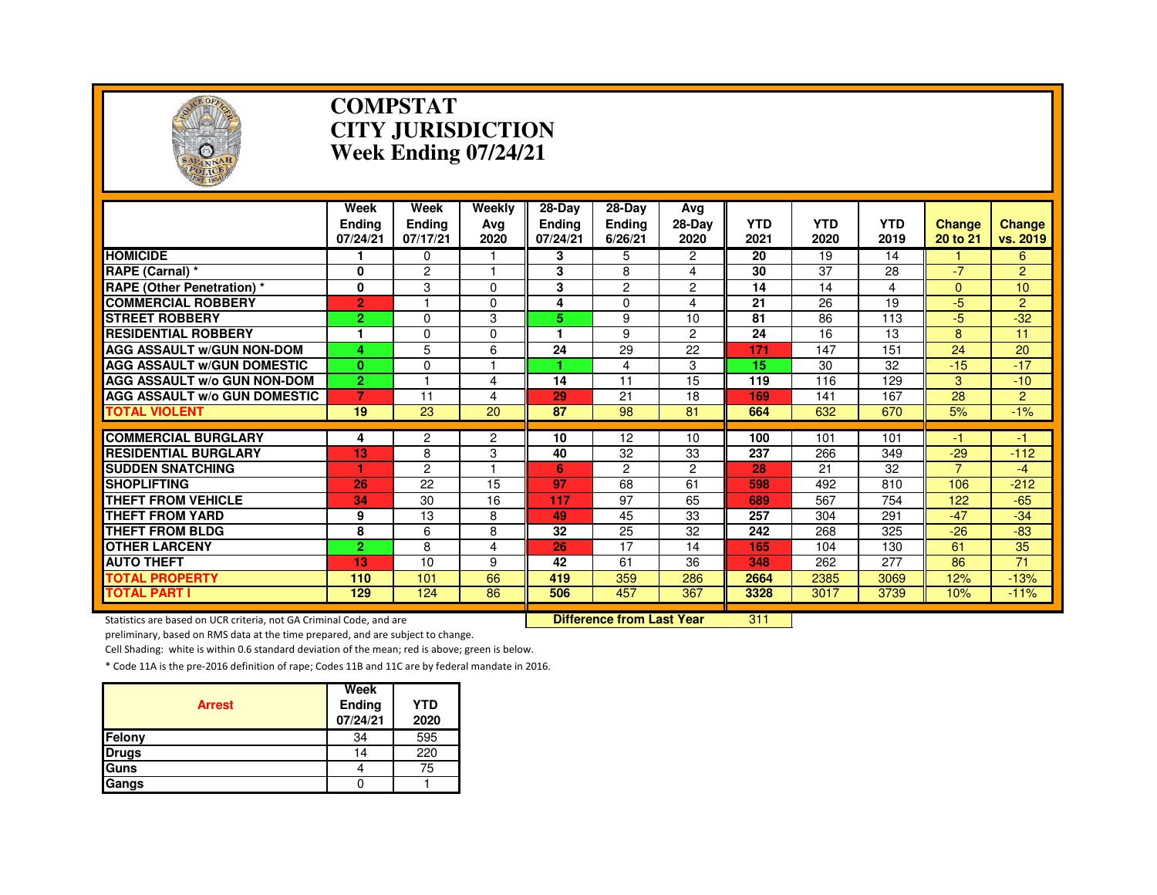

#### **COMPSTAT CITY JURISDICTIONWeek Ending 07/24/21**

|                                     | Week<br><b>Endina</b><br>07/24/21 | Week<br><b>Ending</b><br>07/17/21 | Weekly<br>Avg<br>2020 | 28-Day<br><b>Endina</b><br>07/24/21 | 28-Day<br><b>Ending</b><br>6/26/21 | Ava<br>28-Day<br>2020 | <b>YTD</b><br>2021 | <b>YTD</b><br>2020 | <b>YTD</b><br>2019 | <b>Change</b><br>20 to 21 | <b>Change</b><br>vs. 2019 |
|-------------------------------------|-----------------------------------|-----------------------------------|-----------------------|-------------------------------------|------------------------------------|-----------------------|--------------------|--------------------|--------------------|---------------------------|---------------------------|
| <b>HOMICIDE</b>                     |                                   | 0                                 |                       | 3                                   | 5.                                 | $\overline{2}$        | 20                 | 19                 | 14                 |                           | 6                         |
| RAPE (Carnal) *                     | 0                                 | 2                                 |                       | 3                                   | 8                                  | 4                     | 30                 | 37                 | 28                 | $-7$                      | $\overline{2}$            |
| <b>RAPE (Other Penetration) *</b>   | 0                                 | 3                                 | $\Omega$              | 3                                   | $\overline{c}$                     | $\overline{c}$        | 14                 | 14                 | 4                  | $\Omega$                  | 10                        |
| <b>COMMERCIAL ROBBERY</b>           | $\overline{2}$                    |                                   | $\Omega$              | 4                                   | 0                                  | 4                     | 21                 | 26                 | 19                 | -5                        | $\overline{2}$            |
| <b>ISTREET ROBBERY</b>              | $\overline{2}$                    | $\Omega$                          | 3                     | 5.                                  | 9                                  | 10                    | 81                 | 86                 | 113                | $-5$                      | $-32$                     |
| <b>RESIDENTIAL ROBBERY</b>          | 1                                 | 0                                 | $\Omega$              |                                     | 9                                  | $\overline{c}$        | 24                 | 16                 | 13                 | 8                         | 11                        |
| <b>AGG ASSAULT W/GUN NON-DOM</b>    | 4                                 | 5                                 | 6                     | 24                                  | 29                                 | 22                    | 171                | 147                | 151                | 24                        | 20                        |
| <b>AGG ASSAULT w/GUN DOMESTIC</b>   | $\bf{0}$                          | $\Omega$                          |                       |                                     | 4                                  | 3                     | 15                 | 30                 | 32                 | $-15$                     | $-17$                     |
| <b>AGG ASSAULT W/o GUN NON-DOM</b>  | $\overline{2}$                    | -4                                | 4                     | 14                                  | 11                                 | 15                    | 119                | 116                | 129                | 3                         | $-10$                     |
| <b>AGG ASSAULT w/o GUN DOMESTIC</b> | 7                                 | 11                                | 4                     | 29                                  | 21                                 | 18                    | 169                | 141                | 167                | 28                        | $\overline{2}$            |
| <b>TOTAL VIOLENT</b>                | 19                                | 23                                | 20                    | 87                                  | 98                                 | 81                    | 664                | 632                | 670                | 5%                        | $-1%$                     |
|                                     |                                   |                                   |                       |                                     |                                    |                       |                    |                    |                    |                           |                           |
| <b>COMMERCIAL BURGLARY</b>          | 4                                 | $\overline{c}$                    | $\overline{2}$        | 10                                  | 12                                 | 10                    | 100                | 101                | 101                | -1                        | -1                        |
| <b>RESIDENTIAL BURGLARY</b>         | 13                                | 8                                 | 3                     | 40                                  | 32                                 | 33                    | 237                | 266                | 349                | $-29$<br>7                | $-112$                    |
| <b>ISUDDEN SNATCHING</b>            |                                   | $\overline{c}$<br>22              | 15                    | 6<br>97                             | 2                                  | 2                     | 28                 | 21                 | 32                 |                           | $-4$                      |
| <b>SHOPLIFTING</b>                  | 26                                |                                   |                       |                                     | 68                                 | 61                    | 598                | 492                | 810                | 106                       | $-212$                    |
| <b>THEFT FROM VEHICLE</b>           | 34                                | 30                                | 16                    | 117                                 | 97                                 | 65                    | 689                | 567                | 754                | 122<br>$-47$              | $-65$                     |
| <b>THEFT FROM YARD</b>              | 9                                 | 13                                | 8                     | 49                                  | 45                                 | 33                    | 257                | 304                | 291                |                           | $-34$                     |
| THEFT FROM BLDG                     | 8                                 | 6                                 | 8                     | 32                                  | 25                                 | 32                    | 242                | 268                | 325                | $-26$                     | $-83$                     |
| <b>OTHER LARCENY</b>                | $\overline{2}$                    | 8                                 | 4                     | 26                                  | 17                                 | 14                    | 165                | 104                | 130                | 61                        | 35                        |
| <b>AUTO THEFT</b>                   | 13                                | 10                                | 9                     | 42                                  | 61                                 | 36                    | 348                | 262                | 277                | 86                        | 71                        |
| <b>TOTAL PROPERTY</b>               | 110                               | 101                               | 66                    | 419                                 | 359                                | 286                   | 2664               | 2385               | 3069               | 12%                       | $-13%$                    |
| <b>TOTAL PART I</b>                 | 129                               | 124                               | 86                    | 506                                 | 457                                | 367                   | 3328               | 3017               | 3739               | 10%                       | $-11%$                    |

Statistics are based on UCR criteria, not GA Criminal Code, and are **Difference from Last Year** 

<sup>311</sup>

preliminary, based on RMS data at the time prepared, and are subject to change.

Cell Shading: white is within 0.6 standard deviation of the mean; red is above; green is below.

| <b>Arrest</b> | Week<br>Ending<br>07/24/21 | YTD<br>2020 |
|---------------|----------------------------|-------------|
| <b>Felony</b> | 34                         | 595         |
| <b>Drugs</b>  | 14                         | 220         |
| Guns          |                            | 75          |
| Gangs         |                            |             |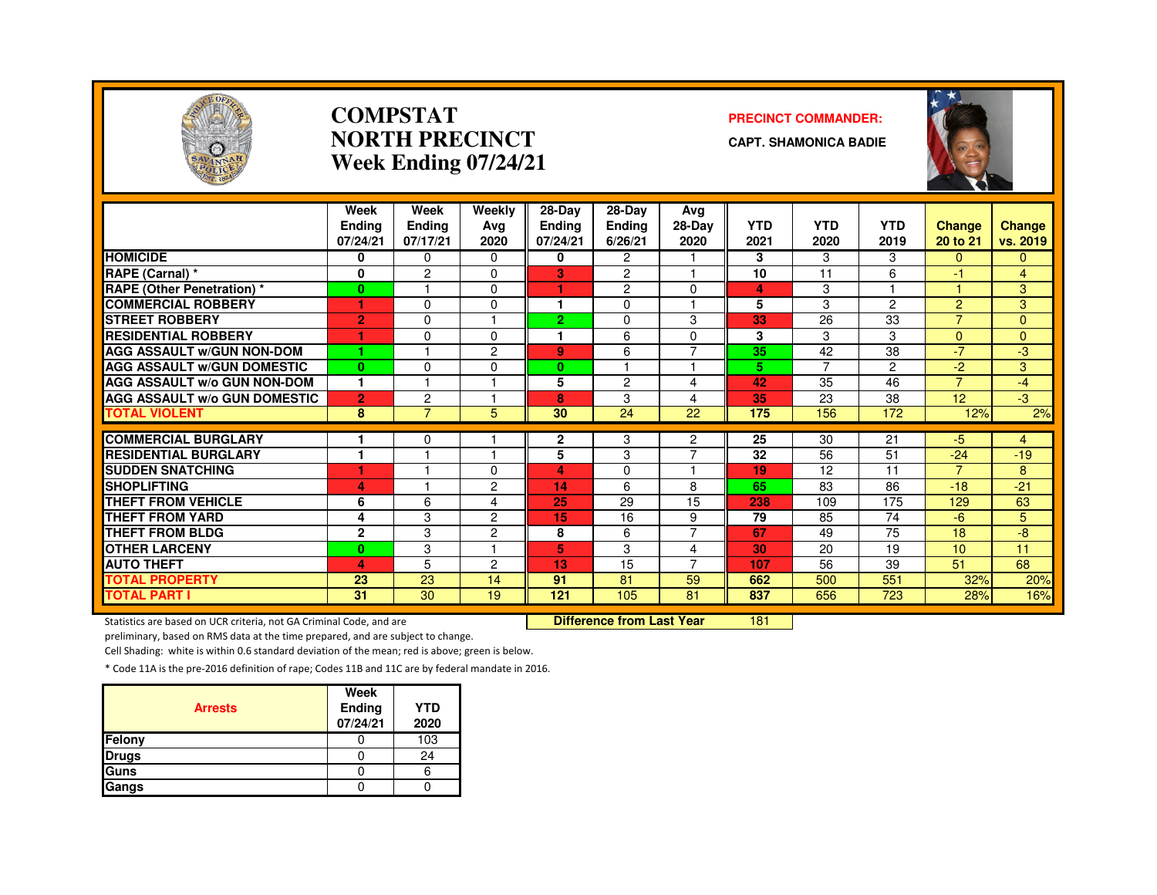

#### **COMPSTATNORTH PRECINCTWeek Ending 07/24/21**

#### **PRECINCT COMMANDER:**

**CAPT. SHAMONICA BADIE**



|                                     | Week<br>Endina<br>07/24/21 | Week<br>Ending<br>07/17/21 | Weekly<br>Avg<br>2020 | 28-Day<br><b>Ending</b><br>07/24/21 | 28-Day<br>Ending<br>6/26/21 | Avg<br>28-Day<br>2020 | <b>YTD</b><br>2021 | <b>YTD</b><br>2020 | <b>YTD</b><br>2019 | <b>Change</b><br>20 to 21 | <b>Change</b><br>vs. 2019 |
|-------------------------------------|----------------------------|----------------------------|-----------------------|-------------------------------------|-----------------------------|-----------------------|--------------------|--------------------|--------------------|---------------------------|---------------------------|
| <b>HOMICIDE</b>                     | 0                          | $\Omega$                   | 0                     | 0                                   | $\overline{2}$              |                       | 3                  | 3                  | 3                  | $\Omega$                  | 0                         |
| RAPE (Carnal) *                     | $\bf{0}$                   | $\overline{2}$             | $\Omega$              | 3                                   | $\overline{c}$              |                       | 10                 | 11                 | 6                  | 47                        | $\overline{4}$            |
| <b>RAPE (Other Penetration) *</b>   | $\mathbf{0}$               |                            | $\Omega$              | ٠                                   | $\overline{c}$              | $\Omega$              | 4                  | 3                  |                    | и                         | 3                         |
| <b>COMMERCIAL ROBBERY</b>           | ٠                          | $\Omega$                   | 0                     | 1                                   | $\Omega$                    |                       | 5                  | 3                  | $\mathcal{P}$      | $\overline{2}$            | 3                         |
| <b>STREET ROBBERY</b>               | $\overline{2}$             | $\Omega$                   |                       | $\overline{2}$                      | $\Omega$                    | 3                     | 33                 | 26                 | 33                 | $\overline{7}$            | $\mathbf{0}$              |
| <b>RESIDENTIAL ROBBERY</b>          |                            | $\Omega$                   | $\Omega$              |                                     | 6                           | $\Omega$              | 3                  | 3                  | 3                  | $\Omega$                  | $\Omega$                  |
| <b>AGG ASSAULT W/GUN NON-DOM</b>    | 1                          |                            | 2                     | 9                                   | 6                           | $\overline{7}$        | 35                 | 42                 | 38                 | $-7$                      | $-3$                      |
| <b>AGG ASSAULT W/GUN DOMESTIC</b>   | $\mathbf{0}$               | $\Omega$                   | 0                     | $\mathbf{0}$                        |                             |                       | 5.                 | $\overline{7}$     | $\overline{2}$     | $-2$                      | 3                         |
| <b>AGG ASSAULT W/o GUN NON-DOM</b>  | 1                          |                            |                       | 5                                   | $\overline{c}$              | 4                     | 42                 | 35                 | 46                 | $\overline{7}$            | $-4$                      |
| <b>AGG ASSAULT W/o GUN DOMESTIC</b> | $\overline{2}$             | 2                          |                       | 8                                   | 3                           | 4                     | 35                 | 23                 | 38                 | 12                        | -3                        |
| <b>TOTAL VIOLENT</b>                | 8                          | $\overline{7}$             | 5                     | 30                                  | 24                          | 22                    | 175                | 156                | 172                | 12%                       | $2\%$                     |
|                                     |                            |                            |                       |                                     |                             |                       |                    |                    |                    |                           |                           |
| <b>COMMERCIAL BURGLARY</b>          |                            | 0                          |                       | 2                                   | 3                           | 2<br>$\overline{7}$   | $\overline{25}$    | 30                 | 21                 | $-5$                      | 4                         |
| <b>RESIDENTIAL BURGLARY</b>         | 1                          |                            |                       | 5                                   | 3                           |                       | 32                 | 56                 | 51                 | $-24$                     | $-19$                     |
| <b>SUDDEN SNATCHING</b>             |                            |                            | 0                     | 4                                   | $\Omega$                    |                       | 19                 | 12                 | 11                 | 7                         | 8                         |
| <b>SHOPLIFTING</b>                  | 4                          |                            | 2                     | 14                                  | 6                           | 8                     | 65                 | 83                 | 86                 | $-18$                     | $-21$                     |
| <b>THEFT FROM VEHICLE</b>           | 6                          | 6                          | 4                     | 25                                  | 29                          | 15                    | 238                | 109                | 175                | 129                       | 63                        |
| <b>THEFT FROM YARD</b>              | 4                          | 3                          | 2                     | 15                                  | 16                          | 9                     | 79                 | 85                 | 74                 | $-6$                      | 5                         |
| <b>THEFT FROM BLDG</b>              | $\overline{2}$             | 3                          | $\overline{2}$        | 8                                   | 6                           | $\overline{7}$        | 67                 | 49                 | 75                 | 18                        | -8                        |
| <b>OTHER LARCENY</b>                | $\bf{0}$                   | 3                          |                       | 5                                   | 3                           | 4                     | 30                 | 20                 | 19                 | 10 <sup>1</sup>           | 11                        |
| <b>AUTO THEFT</b>                   | 4                          | 5                          | $\overline{c}$        | 13                                  | 15                          | $\overline{7}$        | 107                | 56                 | 39                 | 51                        | 68                        |
| <b>TOTAL PROPERTY</b>               | 23                         | 23                         | 14                    | 91                                  | 81                          | 59                    | 662                | 500                | 551                | 32%                       | 20%                       |
| TOTAL PART I                        | 31                         | $\overline{30}$            | 19                    | 121                                 | 105                         | 81                    | 837                | 656                | 723                | 28%                       | 16%                       |

Statistics are based on UCR criteria, not GA Criminal Code, and are **Difference from Last Year** 

<sup>181</sup>

preliminary, based on RMS data at the time prepared, and are subject to change.

Cell Shading: white is within 0.6 standard deviation of the mean; red is above; green is below.

| <b>Arrests</b> | Week<br>Ending<br>07/24/21 | <b>YTD</b><br>2020 |
|----------------|----------------------------|--------------------|
| Felony         |                            | 103                |
| <b>Drugs</b>   |                            | 24                 |
| Guns           |                            |                    |
| Gangs          |                            |                    |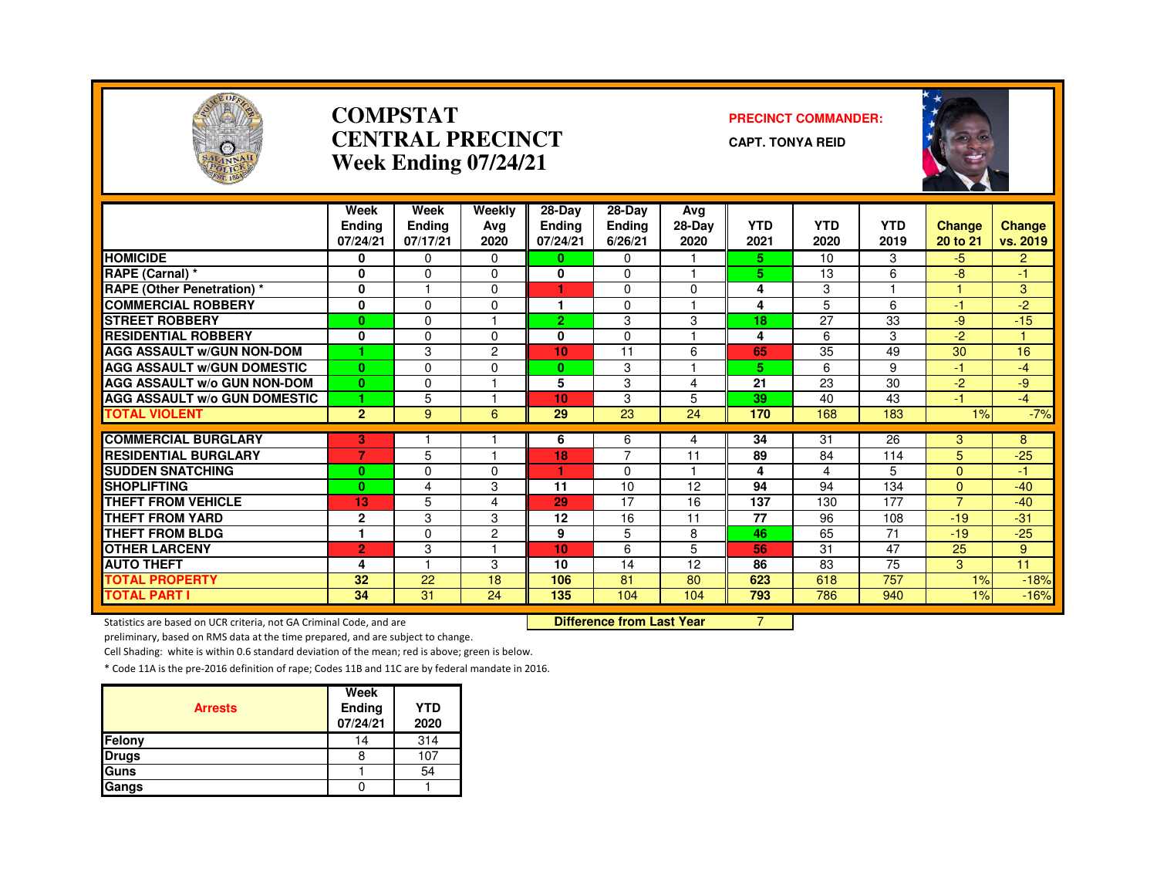

#### **COMPSTATCENTRAL PRECINCTWeek Ending 07/24/21**

#### **PRECINCT COMMANDER:**

**CAPT. TONYA REID**



|                                               | Week<br><b>Endina</b><br>07/24/21 | Week<br><b>Ending</b><br>07/17/21 | Weekly<br>Avg<br>2020 | 28-Day<br><b>Ending</b><br>07/24/21 | $28-Dav$<br><b>Ending</b><br>6/26/21 | Avg<br>$28-Dav$<br>2020 | <b>YTD</b><br>2021 | <b>YTD</b><br>2020 | <b>YTD</b><br>2019 | <b>Change</b><br>20 to 21 | <b>Change</b><br>vs. 2019 |
|-----------------------------------------------|-----------------------------------|-----------------------------------|-----------------------|-------------------------------------|--------------------------------------|-------------------------|--------------------|--------------------|--------------------|---------------------------|---------------------------|
| <b>HOMICIDE</b>                               | 0                                 | $\Omega$                          | $\Omega$              | $\mathbf{0}$                        | $\Omega$                             |                         | 5.                 | 10                 | 3                  | $-5$                      | $\overline{2}$            |
| <b>RAPE (Carnal) *</b>                        | 0                                 | $\Omega$                          | $\Omega$              | 0                                   | 0                                    |                         | 5.                 | 13                 | 6                  | -8                        | 47                        |
| <b>RAPE (Other Penetration)</b> *             | 0                                 |                                   | $\Omega$              |                                     | 0                                    | $\Omega$                | 4                  | 3                  |                    |                           | 3                         |
| <b>COMMERCIAL ROBBERY</b>                     | 0                                 | $\Omega$                          | $\Omega$              | 1                                   | 0                                    |                         | 4                  | 5                  | 6                  | $-1$                      | $-2$                      |
| <b>STREET ROBBERY</b>                         | $\mathbf{0}$                      | $\Omega$                          |                       | $\overline{2}$                      | 3                                    | 3                       | 18                 | 27                 | 33                 | $-9$                      | $-15$                     |
| <b>RESIDENTIAL ROBBERY</b>                    | $\bf{0}$                          | $\Omega$                          | $\Omega$              | 0                                   | 0                                    |                         | 4                  | 6                  | 3                  | $-2$                      |                           |
| <b>AGG ASSAULT W/GUN NON-DOM</b>              |                                   | 3                                 | $\overline{2}$        | 10                                  | 11                                   | 6                       | 65                 | 35                 | 49                 | 30                        | 16                        |
| <b>AGG ASSAULT W/GUN DOMESTIC</b>             | $\bf{0}$                          | $\Omega$                          | $\Omega$              | $\bf{0}$                            | 3                                    |                         | 5                  | 6                  | 9                  | $-1$                      | $-4$                      |
| <b>AGG ASSAULT W/o GUN NON-DOM</b>            | $\bf{0}$                          | $\Omega$                          |                       | 5                                   | 3                                    | 4                       | $\overline{21}$    | 23                 | 30                 | $-2$                      | -9                        |
| <b>AGG ASSAULT w/o GUN DOMESTIC</b>           |                                   | 5                                 |                       | 10                                  | 3                                    | 5                       | 39                 | 40                 | 43                 | $-1$                      | $-4$                      |
| <b>TOTAL VIOLENT</b>                          | $\overline{2}$                    | 9                                 | 6                     | 29                                  | 23                                   | 24                      | 170                | 168                | 183                | 1%                        | $-7%$                     |
| <b>COMMERCIAL BURGLARY</b>                    |                                   |                                   |                       |                                     |                                      |                         |                    | 31                 | 26                 |                           |                           |
| <b>RESIDENTIAL BURGLARY</b>                   | 3<br>$\overline{7}$               | 5                                 |                       | 6<br>18                             | 6<br>7                               | 4<br>11                 | 34<br>89           | 84                 | 114                | 3<br>5                    | 8<br>$-25$                |
|                                               |                                   |                                   |                       |                                     |                                      |                         |                    |                    | 5                  | $\Omega$                  |                           |
| <b>SUDDEN SNATCHING</b><br><b>SHOPLIFTING</b> | $\bf{0}$<br>$\bf{0}$              | $\Omega$<br>4                     | $\Omega$              | 11                                  | 0<br>10                              | 12                      | 4<br>94            | 4<br>94            | 134                | $\mathbf{0}$              | $-1$<br>$-40$             |
| <b>THEFT FROM VEHICLE</b>                     | 13                                | 5                                 | 3                     | 29                                  | 17                                   | 16                      | 137                |                    | 177                | $\overline{7}$            |                           |
| <b>THEFT FROM YARD</b>                        |                                   | 3                                 | 4<br>3                | 12                                  | 16                                   | 11                      | 77                 | 130<br>96          | 108                | $-19$                     | $-40$<br>$-31$            |
| <b>THEFT FROM BLDG</b>                        | $\mathbf 2$                       |                                   |                       |                                     |                                      |                         |                    |                    |                    |                           |                           |
|                                               | 1                                 | $\Omega$                          | $\overline{2}$        | 9                                   | 5                                    | 8                       | 46                 | 65                 | 71                 | $-19$                     | $-25$                     |
| <b>OTHER LARCENY</b>                          | $\overline{2}$                    | 3                                 |                       | 10                                  | 6                                    | 5                       | 56                 | 31                 | 47                 | 25                        | 9                         |
| <b>AUTO THEFT</b>                             | 4                                 |                                   | 3                     | 10                                  | 14                                   | 12                      | 86                 | 83                 | 75                 | 3                         | 11                        |
| <b>TOTAL PROPERTY</b>                         | 32                                | 22                                | 18                    | 106                                 | 81                                   | 80                      | 623                | 618                | 757                | 1%                        | $-18%$                    |
| <b>TOTAL PART I</b>                           | 34                                | 31                                | 24                    | 135                                 | 104                                  | 104                     | 793                | 786                | 940                | 1%                        | $-16%$                    |

Statistics are based on UCR criteria, not GA Criminal Code, and are

Difference from Last Year 7

preliminary, based on RMS data at the time prepared, and are subject to change.

Cell Shading: white is within 0.6 standard deviation of the mean; red is above; green is below.

| <b>Arrests</b> | Week<br>Ending<br>07/24/21 | <b>YTD</b><br>2020 |
|----------------|----------------------------|--------------------|
| Felony         | 14                         | 314                |
| <b>Drugs</b>   |                            | 107                |
| Guns           |                            | 54                 |
| Gangs          |                            |                    |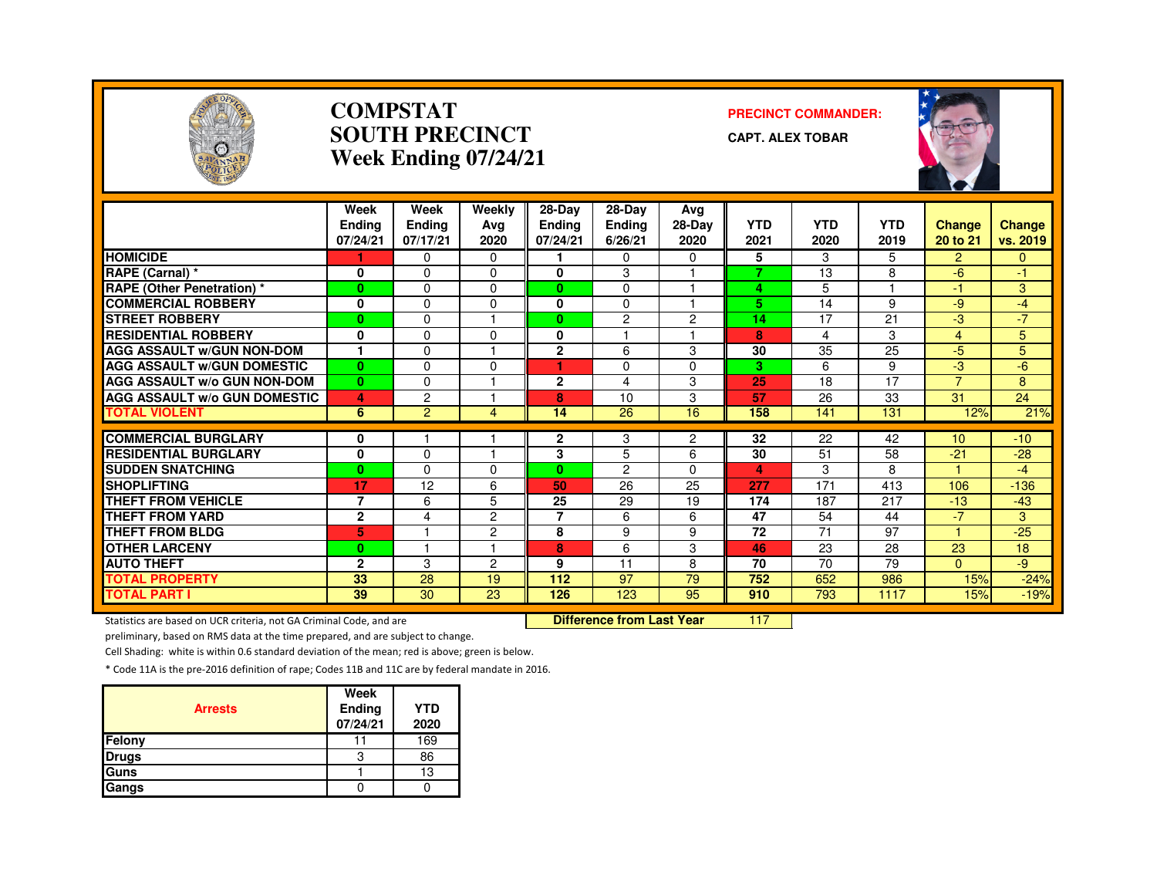

#### **COMPSTATSOUTH PRECINCTWeek Ending 07/24/21**

#### **PRECINCT COMMANDER:**

**CAPT. ALEX TOBAR**



|                                     | Week<br><b>Endina</b><br>07/24/21 | Week<br><b>Ending</b><br>07/17/21 | Weekly<br>Ava<br>2020 | $28-Dav$<br><b>Ending</b><br>07/24/21 | $28-Dav$<br><b>Ending</b><br>6/26/21 | Avg<br>28-Day<br>2020 | <b>YTD</b><br>2021 | <b>YTD</b><br>2020 | <b>YTD</b><br>2019 | <b>Change</b><br>20 to 21 | <b>Change</b><br>vs. 2019 |
|-------------------------------------|-----------------------------------|-----------------------------------|-----------------------|---------------------------------------|--------------------------------------|-----------------------|--------------------|--------------------|--------------------|---------------------------|---------------------------|
| <b>HOMICIDE</b>                     |                                   | 0                                 | $\Omega$              |                                       | $\Omega$                             | $\Omega$              | 5                  | 3                  | 5                  | $\overline{2}$            | $\mathbf{0}$              |
| RAPE (Carnal) *                     | 0                                 | $\Omega$                          | $\Omega$              | $\bf{0}$                              | 3                                    |                       | 7                  | 13                 | 8                  | $-6$                      | $-1$                      |
| <b>RAPE (Other Penetration) *</b>   | $\bf{0}$                          | $\Omega$                          | 0                     | $\mathbf{0}$                          | $\Omega$                             |                       | 4                  | 5                  |                    | 47                        | 3                         |
| <b>COMMERCIAL ROBBERY</b>           | 0                                 | $\Omega$                          | $\Omega$              | 0                                     | 0                                    |                       | 5                  | 14                 | 9                  | -9                        | $-4$                      |
| <b>STREET ROBBERY</b>               | $\mathbf{0}$                      | $\Omega$                          |                       | 0                                     | 2                                    | $\overline{c}$        | 14                 | 17                 | 21                 | -3                        | $-7$                      |
| <b>RESIDENTIAL ROBBERY</b>          | $\bf{0}$                          | $\Omega$                          | $\Omega$              | 0                                     |                                      |                       | 8                  | 4                  | 3                  | 4                         | 5                         |
| <b>AGG ASSAULT W/GUN NON-DOM</b>    |                                   | $\Omega$                          |                       | $\overline{2}$                        | 6                                    | 3                     | 30                 | 35                 | $\overline{25}$    | $-5$                      | 5                         |
| <b>AGG ASSAULT W/GUN DOMESTIC</b>   | $\bf{0}$                          | $\Omega$                          | $\Omega$              | ٠                                     | $\Omega$                             | $\Omega$              | з                  | 6                  | 9                  | -3                        | $-6$                      |
| <b>AGG ASSAULT W/o GUN NON-DOM</b>  | $\bf{0}$                          | $\Omega$                          |                       | $\mathbf{2}$                          | 4                                    | 3                     | 25                 | 18                 | 17                 | $\overline{7}$            | 8                         |
| <b>AGG ASSAULT W/o GUN DOMESTIC</b> | 4                                 | 2                                 |                       | 8                                     | 10                                   | 3                     | 57                 | 26                 | 33                 | 31                        | 24                        |
| <b>TOTAL VIOLENT</b>                | 6                                 | $\overline{2}$                    | 4                     | 14                                    | 26                                   | 16                    | 158                | 141                | 131                | 12%                       | 21%                       |
| <b>COMMERCIAL BURGLARY</b>          | 0                                 |                                   |                       | $\mathbf{2}$                          | 3                                    | 2                     | 32                 | 22                 | 42                 | 10                        | $-10$                     |
| <b>RESIDENTIAL BURGLARY</b>         | $\bf{0}$                          | $\Omega$                          | -1                    | 3                                     | 5                                    | 6                     | 30                 | 51                 | 58                 | $-21$                     | $-28$                     |
| <b>ISUDDEN SNATCHING</b>            | $\bf{0}$                          | $\Omega$                          | 0                     | $\mathbf{0}$                          | $\overline{2}$                       | $\Omega$              | 4                  | 3                  | 8                  | H.                        | -4                        |
| <b>SHOPLIFTING</b>                  | 17                                | 12                                | 6                     | 50                                    | 26                                   | 25                    | 277                | 171                | 413                | 106                       | $-136$                    |
| <b>THEFT FROM VEHICLE</b>           | $\overline{7}$                    | 6                                 | 5                     | 25                                    | 29                                   | 19                    | 174                | 187                | 217                | $-13$                     | $-43$                     |
| <b>THEFT FROM YARD</b>              | $\mathbf{2}$                      | 4                                 | $\overline{2}$        | 7                                     | 6                                    | 6                     | 47                 | 54                 | 44                 | $-7$                      | 3                         |
| <b>THEFT FROM BLDG</b>              | 5                                 |                                   | $\overline{2}$        | 8                                     | 9                                    | 9                     | 72                 | 71                 | 97                 | $\blacktriangleleft$      | $-25$                     |
| <b>OTHER LARCENY</b>                | $\bf{0}$                          | 1                                 | н                     | 8                                     | 6                                    | 3                     | 46                 | 23                 | 28                 | 23                        | 18                        |
| <b>AUTO THEFT</b>                   | $\overline{2}$                    | 3                                 | $\overline{c}$        | 9                                     | 11                                   | 8                     | 70                 | 70                 | 79                 | $\Omega$                  | -9                        |
| <b>TOTAL PROPERTY</b>               | 33                                | 28                                | 19                    | 112                                   | 97                                   | 79                    | 752                | 652                | 986                | 15%                       | $-24%$                    |
| <b>TOTAL PART I</b>                 | 39                                | 30                                | 23                    | 126                                   | 123                                  | 95                    | 910                | 793                | 1117               | 15%                       | $-19%$                    |

Statistics are based on UCR criteria, not GA Criminal Code, and are **Difference from Last Year** 

<sup>117</sup>

preliminary, based on RMS data at the time prepared, and are subject to change.

Cell Shading: white is within 0.6 standard deviation of the mean; red is above; green is below.

| <b>Arrests</b> | Week<br>Ending<br>07/24/21 | <b>YTD</b><br>2020 |
|----------------|----------------------------|--------------------|
| Felony         |                            | 169                |
| <b>Drugs</b>   | 3                          | 86                 |
| Guns           |                            | 13                 |
| Gangs          |                            |                    |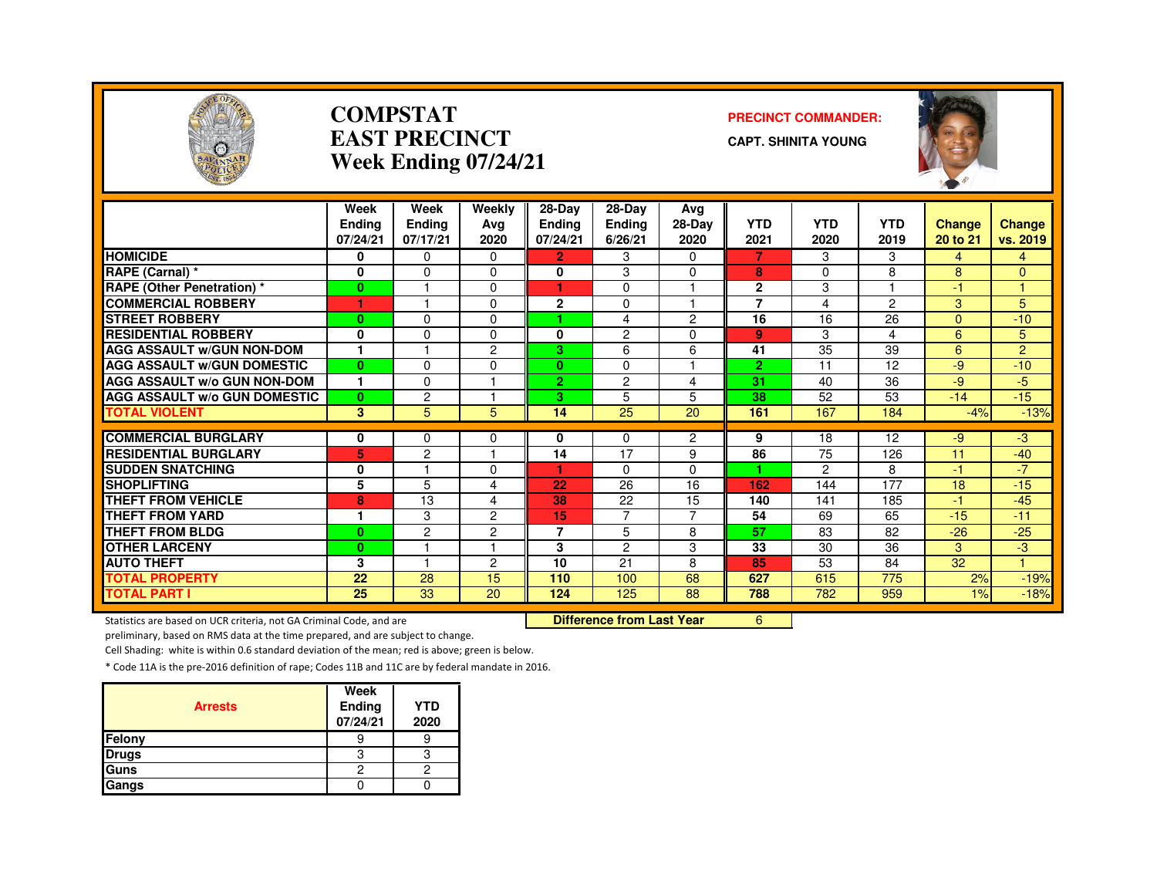

#### **COMPSTATEAST PRECINCTWeek Ending 07/24/21**

#### **PRECINCT COMMANDER:**

**CAPT. SHINITA YOUNG**



|                                     | Week          | Week           | Weekly         | $28-Dav$       | 28-Dav         | Avg                     |                |            |               |               |                |
|-------------------------------------|---------------|----------------|----------------|----------------|----------------|-------------------------|----------------|------------|---------------|---------------|----------------|
|                                     | <b>Endina</b> | <b>Ending</b>  | Avg            | Ending         | <b>Ending</b>  | 28-Day                  | <b>YTD</b>     | <b>YTD</b> | <b>YTD</b>    | <b>Change</b> | <b>Change</b>  |
|                                     | 07/24/21      | 07/17/21       | 2020           | 07/24/21       | 6/26/21        | 2020                    | 2021           | 2020       | 2019          | 20 to 21      | vs. 2019       |
| <b>HOMICIDE</b>                     | 0             | 0              | 0              | $\overline{2}$ | 3              | $\Omega$                | 7              | 3          | 3             | 4             | 4              |
| RAPE (Carnal) *                     | 0             | 0              | $\Omega$       | 0              | 3              | 0                       | 8              | $\Omega$   | 8             | 8             | 0              |
| <b>RAPE (Other Penetration) *</b>   | $\mathbf{0}$  | н              | $\Omega$       | ٠              | $\Omega$       | н                       | $\mathbf{2}$   | 3          | и             | $-1$          | м              |
| <b>COMMERCIAL ROBBERY</b>           | 1             |                | $\Omega$       | $\mathbf{2}$   | 0              | -1                      | $\overline{7}$ | 4          | $\mathcal{P}$ | 3             | 5              |
| <b>STREET ROBBERY</b>               | $\mathbf{0}$  | 0              | $\Omega$       |                | 4              | 2                       | 16             | 16         | 26            | $\Omega$      | $-10$          |
| <b>RESIDENTIAL ROBBERY</b>          | 0             | 0              | $\Omega$       | 0              | 2              | $\Omega$                | 9              | 3          | 4             | 6             | 5              |
| <b>AGG ASSAULT w/GUN NON-DOM</b>    | 1             |                | 2              | 3              | 6              | 6                       | 41             | 35         | 39            | 6             | $\overline{2}$ |
| <b>AGG ASSAULT W/GUN DOMESTIC</b>   | $\mathbf{0}$  | 0              | $\Omega$       | $\mathbf{0}$   | $\Omega$       | $\overline{\mathbf{1}}$ | $\overline{2}$ | 11         | 12            | $-9$          | $-10$          |
| <b>AGG ASSAULT W/o GUN NON-DOM</b>  | 1             | 0              |                | $\overline{2}$ | $\overline{c}$ | 4                       | 31             | 40         | 36            | -9            | $-5$           |
| <b>AGG ASSAULT W/o GUN DOMESTIC</b> | $\mathbf{0}$  | $\overline{c}$ |                | 3              | 5              | 5                       | 38             | 52         | 53            | $-14$         | $-15$          |
| <b>TOTAL VIOLENT</b>                | 3             | 5              | 5.             | 14             | 25             | 20                      | 161            | 167        | 184           | $-4%$         | $-13%$         |
|                                     |               |                |                |                |                |                         |                |            |               |               |                |
| <b>COMMERCIAL BURGLARY</b>          | 0             | 0              | 0              | 0              | $\Omega$       | $\overline{2}$          | 9<br>86        | 18         | 12            | $-9$          | -3             |
| <b>RESIDENTIAL BURGLARY</b>         | 5             | 2<br>н         |                | 14             | 17             | 9                       |                | 75         | 126           | 11            | $-40$          |
| <b>SUDDEN SNATCHING</b>             | 0             |                | $\Omega$       |                | 0              | $\Omega$                |                | 2          | 8             | $-1$          | $-7$           |
| <b>SHOPLIFTING</b>                  | 5             | 5              | 4              | 22             | 26             | 16                      | 162            | 144        | 177           | 18            | $-15$          |
| <b>THEFT FROM VEHICLE</b>           | 8             | 13             | 4              | 38             | 22             | 15                      | 140            | 141        | 185           | $-1$          | $-45$          |
| <b>THEFT FROM YARD</b>              | 1             | 3              | 2              | 15             | $\overline{7}$ | $\overline{7}$          | 54             | 69         | 65            | $-15$         | $-11$          |
| <b>THEFT FROM BLDG</b>              | $\mathbf{0}$  | 2              | $\overline{c}$ | $\overline{7}$ | 5              | 8                       | 57             | 83         | 82            | $-26$         | $-25$          |
| <b>OTHER LARCENY</b>                | $\mathbf{0}$  | 1              |                | 3              | $\overline{c}$ | 3                       | 33             | 30         | 36            | 3             | -3             |
| <b>AUTO THEFT</b>                   | 3             | 1              | 2              | 10             | 21             | 8                       | 85             | 53         | 84            | 32            | 4.             |
| <b>TOTAL PROPERTY</b>               | 22            | 28             | 15             | 110            | 100            | 68                      | 627            | 615        | 775           | 2%            | $-19%$         |
| <b>TOTAL PART I</b>                 | 25            | 33             | 20             | 124            | 125            | 88                      | 788            | 782        | 959           | $1\%$         | $-18%$         |

Statistics are based on UCR criteria, not GA Criminal Code, and are

Difference from Last Year 6

preliminary, based on RMS data at the time prepared, and are subject to change.

Cell Shading: white is within 0.6 standard deviation of the mean; red is above; green is below.

| <b>Arrests</b> | Week<br>Ending<br>07/24/21 | <b>YTD</b><br>2020 |
|----------------|----------------------------|--------------------|
| Felony         |                            |                    |
| <b>Drugs</b>   |                            |                    |
| Guns           | 2                          |                    |
| Gangs          |                            |                    |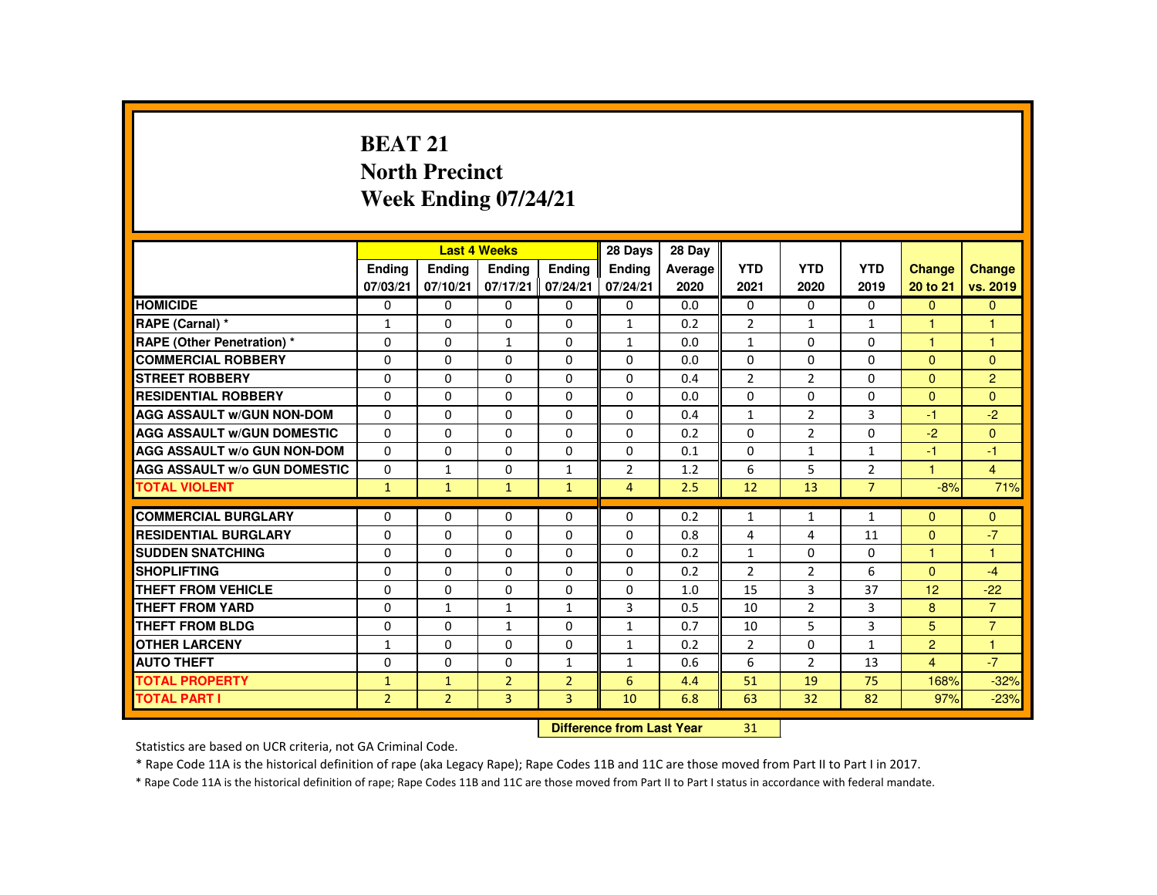## **BEAT 21 North PrecinctWeek Ending 07/24/21**

|                                     |                           |                | <b>Last 4 Weeks</b> |                | 28 Days        | 28 Day  |                |                |                |                      |                      |
|-------------------------------------|---------------------------|----------------|---------------------|----------------|----------------|---------|----------------|----------------|----------------|----------------------|----------------------|
|                                     | <b>Endina</b>             | Ending         | <b>Endina</b>       | <b>Endina</b>  | <b>Endina</b>  | Average | <b>YTD</b>     | <b>YTD</b>     | <b>YTD</b>     | <b>Change</b>        | <b>Change</b>        |
|                                     | 07/03/21                  | 07/10/21       | 07/17/21            | 07/24/21       | 07/24/21       | 2020    | 2021           | 2020           | 2019           | 20 to 21             | vs. 2019             |
| <b>HOMICIDE</b>                     | 0                         | $\Omega$       | $\Omega$            | $\Omega$       | $\Omega$       | 0.0     | $\Omega$       | $\Omega$       | $\Omega$       | $\Omega$             | $\Omega$             |
| RAPE (Carnal) *                     | $\mathbf{1}$              | $\Omega$       | $\Omega$            | $\Omega$       | 1              | 0.2     | $\overline{2}$ | $\mathbf{1}$   | $\mathbf{1}$   |                      | н                    |
| RAPE (Other Penetration) *          | 0                         | $\mathbf{0}$   | 1                   | 0              | $\mathbf{1}$   | 0.0     | $\mathbf{1}$   | 0              | 0              | $\overline{1}$       | $\overline{1}$       |
| <b>COMMERCIAL ROBBERY</b>           | $\Omega$                  | $\Omega$       | $\Omega$            | $\Omega$       | $\Omega$       | 0.0     | $\Omega$       | $\Omega$       | $\Omega$       | $\mathbf{0}$         | $\Omega$             |
| <b>STREET ROBBERY</b>               | $\Omega$                  | $\Omega$       | $\Omega$            | $\Omega$       | $\Omega$       | 0.4     | $\overline{2}$ | $\overline{2}$ | $\Omega$       | $\Omega$             | $\overline{2}$       |
| <b>RESIDENTIAL ROBBERY</b>          | $\Omega$                  | $\mathbf{0}$   | 0                   | 0              | $\mathbf{0}$   | 0.0     | $\Omega$       | 0              | 0              | $\Omega$             | $\Omega$             |
| <b>AGG ASSAULT W/GUN NON-DOM</b>    | $\Omega$                  | $\Omega$       | $\Omega$            | $\Omega$       | $\Omega$       | 0.4     | $\mathbf{1}$   | $\overline{2}$ | $\overline{3}$ | -1                   | $-2$                 |
| <b>AGG ASSAULT W/GUN DOMESTIC</b>   | $\Omega$                  | $\Omega$       | $\Omega$            | $\Omega$       | $\Omega$       | 0.2     | $\Omega$       | $\overline{2}$ | $\Omega$       | $-2$                 | $\Omega$             |
| <b>AGG ASSAULT W/o GUN NON-DOM</b>  | $\Omega$                  | $\Omega$       | $\Omega$            | $\Omega$       | $\Omega$       | 0.1     | $\Omega$       | $\mathbf{1}$   | $\mathbf{1}$   | $-1$                 | $-1$                 |
| <b>AGG ASSAULT W/o GUN DOMESTIC</b> | 0                         | $\mathbf{1}$   | 0                   | $\mathbf{1}$   | 2              | 1.2     | 6              | 5              | $\overline{2}$ | $\blacktriangleleft$ | $\overline{4}$       |
| <b>TOTAL VIOLENT</b>                | $\mathbf{1}$              | $\mathbf{1}$   | $\mathbf{1}$        | $\mathbf{1}$   | $\overline{4}$ | 2.5     | 12             | 13             | $\overline{7}$ | $-8%$                | 71%                  |
| <b>COMMERCIAL BURGLARY</b>          | $\Omega$                  | $\Omega$       | $\Omega$            | $\Omega$       | $\Omega$       | 0.2     | $\mathbf{1}$   | $\mathbf{1}$   | $\mathbf{1}$   | $\Omega$             | $\Omega$             |
| <b>RESIDENTIAL BURGLARY</b>         | $\Omega$                  | $\Omega$       | $\Omega$            | $\Omega$       | $\Omega$       | 0.8     | 4              | 4              | 11             | $\Omega$             | $-7$                 |
| <b>SUDDEN SNATCHING</b>             | $\Omega$                  | $\Omega$       | $\Omega$            | $\Omega$       | $\Omega$       | 0.2     | $\mathbf{1}$   | $\Omega$       | $\Omega$       | $\blacktriangleleft$ | $\blacktriangleleft$ |
| <b>SHOPLIFTING</b>                  | $\Omega$                  | $\Omega$       | $\Omega$            | $\Omega$       | $\Omega$       | 0.2     | 2              | 2              | 6              | $\mathbf{0}$         | $-4$                 |
| <b>THEFT FROM VEHICLE</b>           | $\Omega$                  | $\Omega$       | $\Omega$            | $\Omega$       | $\Omega$       | 1.0     | 15             | $\overline{3}$ | 37             | 12                   | $-22$                |
| <b>THEFT FROM YARD</b>              | $\Omega$                  | $\mathbf{1}$   | $\mathbf{1}$        | $\mathbf{1}$   | 3              | 0.5     | 10             | 2              | 3              | 8                    | $\overline{7}$       |
| <b>THEFT FROM BLDG</b>              | 0                         | $\Omega$       | $\mathbf{1}$        | $\Omega$       | $\mathbf{1}$   | 0.7     | 10             | 5              | $\overline{3}$ | 5                    | $\overline{7}$       |
| <b>OTHER LARCENY</b>                | $\mathbf{1}$              | $\Omega$       | $\Omega$            | $\Omega$       | $\mathbf{1}$   | 0.2     | 2              | $\Omega$       | $\mathbf{1}$   | $\overline{2}$       | $\mathbf{1}$         |
| <b>AUTO THEFT</b>                   | $\Omega$                  | $\Omega$       | $\Omega$            | $\mathbf{1}$   | $\mathbf{1}$   | 0.6     | 6              | 2              | 13             | $\overline{4}$       | $-7$                 |
| <b>TOTAL PROPERTY</b>               | $\mathbf{1}$              | $\mathbf{1}$   | $\overline{2}$      | $\overline{2}$ | 6              | 4.4     | 51             | 19             | 75             | 168%                 | $-32%$               |
| <b>TOTAL PART I</b>                 | $\overline{2}$            | $\overline{2}$ | 3                   | $\overline{3}$ | 10             | 6.8     | 63             | 32             | 82             | 97%                  | $-23%$               |
|                                     | Difference from Loot Voor |                |                     |                |                |         |                |                |                |                      |                      |

 **Difference from Last Year**<sup>31</sup>

Statistics are based on UCR criteria, not GA Criminal Code.

\* Rape Code 11A is the historical definition of rape (aka Legacy Rape); Rape Codes 11B and 11C are those moved from Part II to Part I in 2017.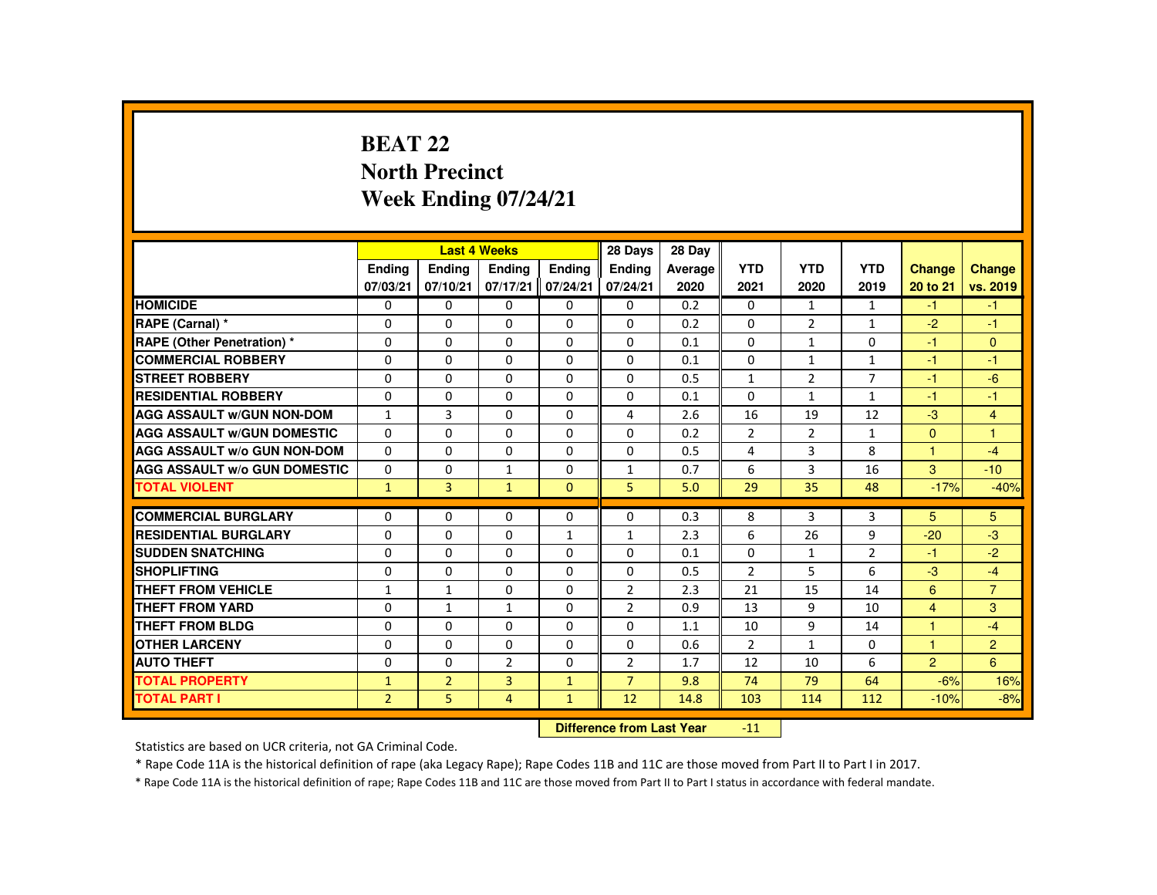# **BEAT 22 North PrecinctWeek Ending 07/24/21**

|                                     |                |                | <b>Last 4 Weeks</b> |               | 28 Days                   | 28 Day  |                |                |                |                |                |
|-------------------------------------|----------------|----------------|---------------------|---------------|---------------------------|---------|----------------|----------------|----------------|----------------|----------------|
|                                     | Ending         | Ending         | Ending              | <b>Endina</b> | <b>Endina</b>             | Average | <b>YTD</b>     | <b>YTD</b>     | <b>YTD</b>     | <b>Change</b>  | Change         |
|                                     | 07/03/21       | 07/10/21       | 07/17/21            | 07/24/21      | 07/24/21                  | 2020    | 2021           | 2020           | 2019           | 20 to 21       | vs. 2019       |
| <b>HOMICIDE</b>                     | $\Omega$       | $\Omega$       | $\Omega$            | $\Omega$      | 0                         | 0.2     | 0              | $\mathbf{1}$   | $\mathbf{1}$   | $-1$           | $-1$           |
| RAPE (Carnal) *                     | $\Omega$       | $\Omega$       | $\Omega$            | $\Omega$      | 0                         | 0.2     | 0              | $\overline{2}$ | $\mathbf{1}$   | $-2$           | $-1$           |
| <b>RAPE (Other Penetration) *</b>   | $\mathbf{0}$   | $\Omega$       | $\mathbf{0}$        | $\Omega$      | 0                         | 0.1     | $\Omega$       | 1              | $\Omega$       | $-1$           | $\mathbf{0}$   |
| <b>COMMERCIAL ROBBERY</b>           | $\mathbf{0}$   | $\Omega$       | $\Omega$            | $\Omega$      | $\Omega$                  | 0.1     | $\Omega$       | $\mathbf{1}$   | $\mathbf{1}$   | $-1$           | $-1$           |
| <b>STREET ROBBERY</b>               | $\Omega$       | $\Omega$       | $\Omega$            | $\Omega$      | $\Omega$                  | 0.5     | $\mathbf{1}$   | $\overline{2}$ | $\overline{7}$ | $-1$           | $-6$           |
| <b>RESIDENTIAL ROBBERY</b>          | $\mathbf{0}$   | $\mathbf{0}$   | $\mathbf{0}$        | 0             | 0                         | 0.1     | $\Omega$       | 1              | $\mathbf{1}$   | -1             | $-1$           |
| <b>AGG ASSAULT W/GUN NON-DOM</b>    | $\mathbf{1}$   | 3              | $\Omega$            | $\Omega$      | 4                         | 2.6     | 16             | 19             | 12             | $-3$           | $\overline{4}$ |
| <b>AGG ASSAULT W/GUN DOMESTIC</b>   | $\Omega$       | $\Omega$       | $\Omega$            | $\Omega$      | $\Omega$                  | 0.2     | $\overline{2}$ | $\overline{2}$ | $\mathbf{1}$   | $\mathbf{0}$   | $\overline{1}$ |
| <b>AGG ASSAULT W/o GUN NON-DOM</b>  | $\Omega$       | $\Omega$       | $\Omega$            | $\Omega$      | $\Omega$                  | 0.5     | 4              | 3              | 8              | $\mathbf{1}$   | $-4$           |
| <b>AGG ASSAULT W/o GUN DOMESTIC</b> | 0              | $\Omega$       | $\mathbf{1}$        | 0             | 1                         | 0.7     | 6              | 3              | 16             | 3              | $-10$          |
| <b>TOTAL VIOLENT</b>                | $\mathbf{1}$   | $\overline{3}$ | $\mathbf{1}$        | $\Omega$      | 5                         | 5.0     | 29             | 35             | 48             | $-17%$         | $-40%$         |
| <b>COMMERCIAL BURGLARY</b>          | $\Omega$       | $\Omega$       | $\Omega$            | $\Omega$      | $\Omega$                  | 0.3     | 8              | 3              | 3              | 5              | 5              |
| <b>RESIDENTIAL BURGLARY</b>         | $\Omega$       | $\Omega$       | $\Omega$            | $\mathbf{1}$  | 1                         | 2.3     | 6              | 26             | 9              | $-20$          | $-3$           |
| <b>SUDDEN SNATCHING</b>             | $\Omega$       | $\Omega$       | $\Omega$            | $\Omega$      | $\Omega$                  | 0.1     | $\Omega$       | $\mathbf{1}$   | $\overline{2}$ | -1             | $-2$           |
| <b>SHOPLIFTING</b>                  | $\Omega$       | $\Omega$       | $\Omega$            | $\Omega$      | 0                         | 0.5     | $\overline{2}$ | 5              | 6              | $-3$           | $-4$           |
| <b>THEFT FROM VEHICLE</b>           | $\mathbf{1}$   | $\mathbf{1}$   | $\Omega$            | $\Omega$      | $\overline{2}$            | 2.3     | 21             | 15             | 14             | 6              | $\overline{7}$ |
| <b>THEFT FROM YARD</b>              | $\Omega$       | $\mathbf{1}$   | $\mathbf{1}$        | $\Omega$      | 2                         | 0.9     | 13             | 9              | 10             | $\overline{4}$ | 3              |
| THEFT FROM BLDG                     | $\mathbf{0}$   | $\Omega$       | $\Omega$            | $\Omega$      | $\Omega$                  | 1.1     | 10             | 9              | 14             | 1              | $-4$           |
| <b>OTHER LARCENY</b>                | $\Omega$       | $\Omega$       | $\Omega$            | $\Omega$      | $\Omega$                  | 0.6     | $\overline{2}$ | $\mathbf{1}$   | $\Omega$       | 1              | $\overline{2}$ |
| <b>AUTO THEFT</b>                   | $\mathbf{0}$   | $\Omega$       | $\overline{2}$      | $\Omega$      | 2                         | 1.7     | 12             | 10             | 6              | $\overline{2}$ | 6              |
| <b>TOTAL PROPERTY</b>               | $\mathbf{1}$   | $\overline{2}$ | $\overline{3}$      | $\mathbf{1}$  | $\overline{7}$            | 9.8     | 74             | 79             | 64             | $-6%$          | 16%            |
| <b>TOTAL PART I</b>                 | $\overline{2}$ | 5              | $\overline{4}$      | $\mathbf{1}$  | 12                        | 14.8    | 103            | 114            | 112            | $-10%$         | $-8%$          |
|                                     |                |                |                     |               | Difference from Loot Voor |         | 11             |                |                |                |                |

 **Difference from Last Year**-11

Statistics are based on UCR criteria, not GA Criminal Code.

\* Rape Code 11A is the historical definition of rape (aka Legacy Rape); Rape Codes 11B and 11C are those moved from Part II to Part I in 2017.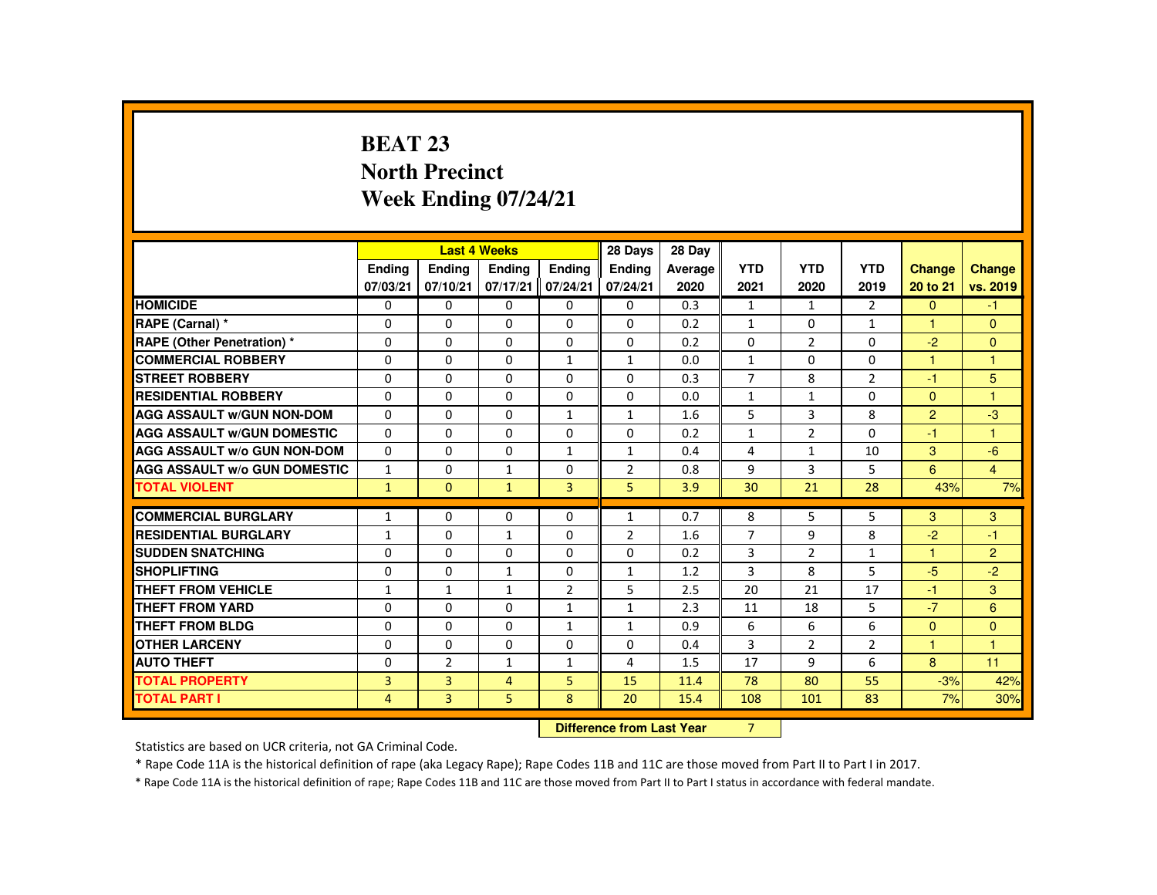# **BEAT 23 North PrecinctWeek Ending 07/24/21**

|                                     |               |                | <b>Last 4 Weeks</b> |                | 28 Days                   | 28 Day  |                |                |                |                |                |
|-------------------------------------|---------------|----------------|---------------------|----------------|---------------------------|---------|----------------|----------------|----------------|----------------|----------------|
|                                     | <b>Ending</b> | <b>Ending</b>  | <b>Endina</b>       | <b>Endina</b>  | <b>Endina</b>             | Average | <b>YTD</b>     | <b>YTD</b>     | <b>YTD</b>     | <b>Change</b>  | Change         |
|                                     | 07/03/21      | 07/10/21       | 07/17/21            | 07/24/21       | 07/24/21                  | 2020    | 2021           | 2020           | 2019           | 20 to 21       | vs. 2019       |
| <b>HOMICIDE</b>                     | 0             | $\Omega$       | $\Omega$            | $\Omega$       | 0                         | 0.3     | $\mathbf{1}$   | $\mathbf{1}$   | $\overline{2}$ | $\mathbf{0}$   | $-1$           |
| RAPE (Carnal) *                     | $\Omega$      | $\Omega$       | $\Omega$            | $\Omega$       | $\Omega$                  | 0.2     | $\mathbf{1}$   | $\Omega$       | $\mathbf{1}$   | 1              | $\Omega$       |
| <b>RAPE (Other Penetration) *</b>   | $\mathbf 0$   | $\Omega$       | $\Omega$            | 0              | 0                         | 0.2     | 0              | $\overline{2}$ | 0              | $-2$           | $\mathbf{0}$   |
| <b>COMMERCIAL ROBBERY</b>           | $\Omega$      | $\Omega$       | $\Omega$            | $\mathbf{1}$   | $\mathbf{1}$              | 0.0     | $\mathbf{1}$   | $\Omega$       | $\Omega$       | $\mathbf{1}$   | $\mathbf{1}$   |
| <b>STREET ROBBERY</b>               | $\Omega$      | $\Omega$       | $\Omega$            | $\Omega$       | $\Omega$                  | 0.3     | $\overline{7}$ | 8              | $\overline{2}$ | $-1$           | 5              |
| <b>RESIDENTIAL ROBBERY</b>          | $\Omega$      | $\Omega$       | $\Omega$            | 0              | 0                         | 0.0     | $\mathbf{1}$   | 1              | $\Omega$       | $\mathbf{0}$   | $\overline{1}$ |
| <b>AGG ASSAULT W/GUN NON-DOM</b>    | $\mathbf{0}$  | $\Omega$       | $\Omega$            | $\mathbf{1}$   | $\mathbf{1}$              | 1.6     | 5              | 3              | 8              | $\overline{2}$ | $-3$           |
| <b>AGG ASSAULT W/GUN DOMESTIC</b>   | $\Omega$      | $\Omega$       | $\Omega$            | $\Omega$       | $\Omega$                  | 0.2     | $\mathbf{1}$   | $\overline{2}$ | $\Omega$       | $-1$           | $\overline{1}$ |
| <b>AGG ASSAULT w/o GUN NON-DOM</b>  | $\Omega$      | $\Omega$       | $\Omega$            | $\mathbf{1}$   | $\mathbf{1}$              | 0.4     | 4              | $\mathbf{1}$   | 10             | 3              | $-6$           |
| <b>AGG ASSAULT W/o GUN DOMESTIC</b> | $\mathbf{1}$  | $\Omega$       | $\mathbf{1}$        | 0              | $\overline{2}$            | 0.8     | 9              | 3              | 5              | 6              | $\overline{4}$ |
| <b>TOTAL VIOLENT</b>                | $\mathbf{1}$  | $\mathbf{0}$   | ◆                   | $\overline{3}$ | 5                         | 3.9     | 30             | 21             | 28             | 43%            | 7%             |
| <b>COMMERCIAL BURGLARY</b>          | $\mathbf{1}$  | $\Omega$       | $\Omega$            | $\Omega$       | $\mathbf{1}$              | 0.7     | 8              | 5              | 5              | 3              | 3              |
| <b>RESIDENTIAL BURGLARY</b>         | $\mathbf{1}$  | $\Omega$       | $\mathbf{1}$        | $\Omega$       | 2                         | 1.6     | $\overline{7}$ | 9              | 8              | $-2$           | $-1$           |
| <b>SUDDEN SNATCHING</b>             | $\mathbf{0}$  | $\Omega$       | $\Omega$            | $\Omega$       | $\Omega$                  | 0.2     | 3              | $\overline{2}$ | $\mathbf{1}$   | 1              | $\overline{2}$ |
| <b>SHOPLIFTING</b>                  | $\Omega$      | $\Omega$       | $\mathbf{1}$        | $\Omega$       | $\mathbf{1}$              | 1.2     | 3              | 8              | 5              | $-5$           | $-2$           |
| <b>THEFT FROM VEHICLE</b>           | 1             | $\mathbf{1}$   | $\mathbf{1}$        | $\overline{2}$ | 5                         | 2.5     | 20             | 21             | 17             | $-1$           | 3 <sup>°</sup> |
| <b>THEFT FROM YARD</b>              | $\mathbf{0}$  | $\Omega$       | $\Omega$            | $\mathbf{1}$   | $\mathbf{1}$              | 2.3     | 11             | 18             | 5              | $-7$           | 6              |
| THEFT FROM BLDG                     | $\mathbf{0}$  | $\Omega$       | $\Omega$            | 1              | $\mathbf{1}$              | 0.9     | 6              | 6              | 6              | $\mathbf{0}$   | $\overline{0}$ |
| <b>OTHER LARCENY</b>                | $\Omega$      | $\Omega$       | $\Omega$            | $\Omega$       | $\Omega$                  | 0.4     | 3              | $\overline{2}$ | $\overline{2}$ | 1              | $\overline{1}$ |
| <b>AUTO THEFT</b>                   | $\mathbf{0}$  | $\overline{2}$ | $\mathbf{1}$        | $\mathbf{1}$   | 4                         | 1.5     | 17             | 9              | 6              | 8              | 11             |
| <b>TOTAL PROPERTY</b>               | 3             | $\overline{3}$ | $\overline{4}$      | 5              | 15                        | 11.4    | 78             | 80             | 55             | $-3%$          | 42%            |
| <b>TOTAL PART I</b>                 | 4             | 3              | 5                   | 8              | 20                        | 15.4    | 108            | 101            | 83             | 7%             | 30%            |
|                                     |               |                |                     |                | Difference from Leat Vacu |         | $\overline{ }$ |                |                |                |                |

 **Difference from Last Year**r 7

Statistics are based on UCR criteria, not GA Criminal Code.

\* Rape Code 11A is the historical definition of rape (aka Legacy Rape); Rape Codes 11B and 11C are those moved from Part II to Part I in 2017.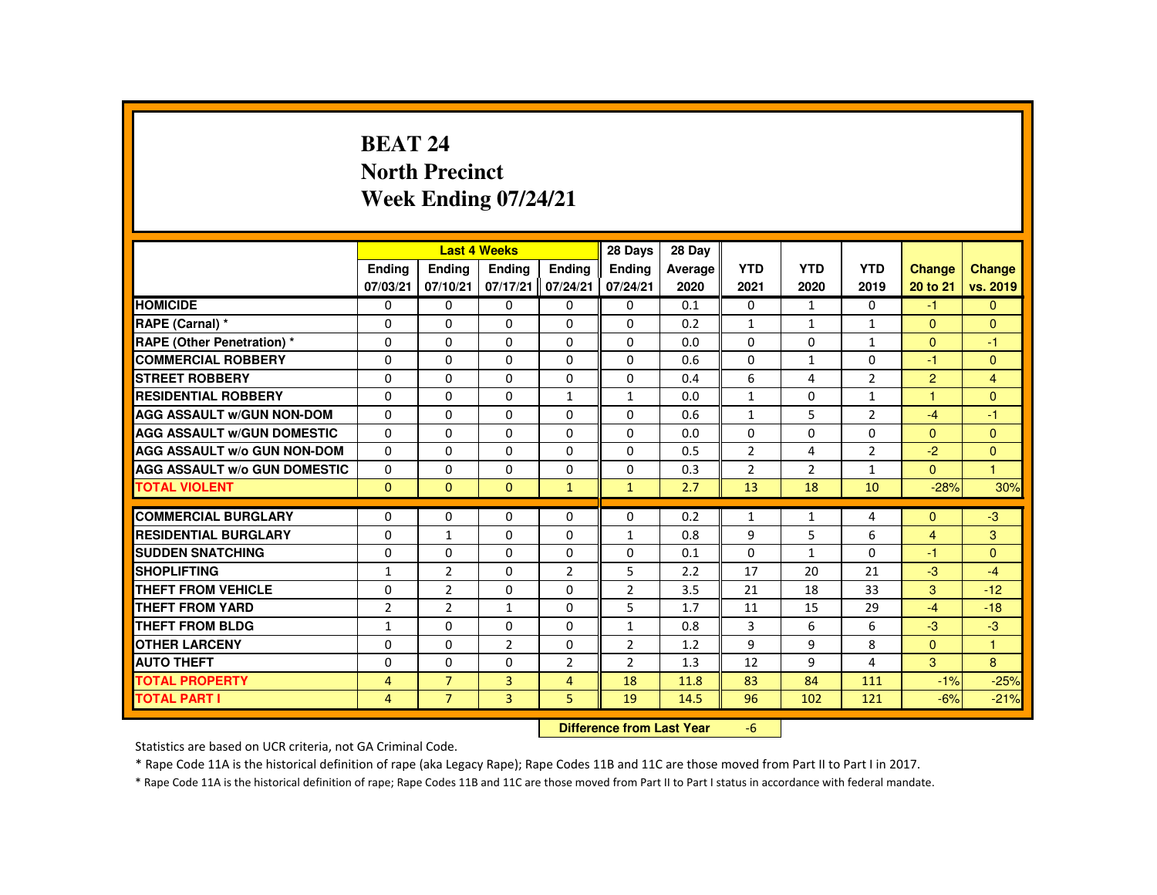# **BEAT 24 North PrecinctWeek Ending 07/24/21**

|                                     |                |                | <b>Last 4 Weeks</b> |                | 28 Days                   | 28 Day  |                |              |                |                |                |
|-------------------------------------|----------------|----------------|---------------------|----------------|---------------------------|---------|----------------|--------------|----------------|----------------|----------------|
|                                     | <b>Endina</b>  | Ending         | Ending              | <b>Endina</b>  | <b>Endina</b>             | Average | <b>YTD</b>     | <b>YTD</b>   | <b>YTD</b>     | Change         | <b>Change</b>  |
|                                     | 07/03/21       | 07/10/21       | 07/17/21            | 07/24/21       | 07/24/21                  | 2020    | 2021           | 2020         | 2019           | 20 to 21       | vs. 2019       |
| <b>HOMICIDE</b>                     | 0              | $\mathbf{0}$   | 0                   | $\Omega$       | 0                         | 0.1     | $\mathbf{0}$   | $\mathbf{1}$ | $\mathbf{0}$   | $-1$           | $\mathbf{0}$   |
| RAPE (Carnal) *                     | $\Omega$       | $\Omega$       | $\Omega$            | 0              | 0                         | 0.2     | $\mathbf{1}$   | $\mathbf{1}$ | $\mathbf{1}$   | $\mathbf{0}$   | $\mathbf{0}$   |
| <b>RAPE (Other Penetration) *</b>   | $\Omega$       | $\Omega$       | $\Omega$            | $\Omega$       | $\Omega$                  | 0.0     | $\Omega$       | $\Omega$     | $\mathbf{1}$   | $\Omega$       | $-1$           |
| <b>COMMERCIAL ROBBERY</b>           | $\Omega$       | $\Omega$       | $\Omega$            | $\Omega$       | $\Omega$                  | 0.6     | $\Omega$       | $\mathbf{1}$ | $\Omega$       | $-1$           | $\mathbf{0}$   |
| <b>STREET ROBBERY</b>               | $\Omega$       | $\Omega$       | $\Omega$            | $\Omega$       | $\Omega$                  | 0.4     | 6              | 4            | $\overline{2}$ | $\overline{2}$ | $\overline{4}$ |
| <b>RESIDENTIAL ROBBERY</b>          | $\mathbf{0}$   | $\mathbf{0}$   | 0                   | 1              | 1                         | 0.0     | $\mathbf{1}$   | 0            | $\mathbf{1}$   | 1              | $\Omega$       |
| <b>AGG ASSAULT W/GUN NON-DOM</b>    | $\Omega$       | $\Omega$       | $\Omega$            | $\Omega$       | $\Omega$                  | 0.6     | $\mathbf{1}$   | 5            | $\overline{2}$ | $-4$           | $-1$           |
| <b>AGG ASSAULT W/GUN DOMESTIC</b>   | $\Omega$       | $\Omega$       | $\Omega$            | $\Omega$       | $\Omega$                  | 0.0     | $\Omega$       | $\Omega$     | $\Omega$       | $\Omega$       | $\mathbf{0}$   |
| <b>AGG ASSAULT W/o GUN NON-DOM</b>  | $\Omega$       | $\Omega$       | $\Omega$            | $\Omega$       | $\Omega$                  | 0.5     | $\overline{2}$ | 4            | $\overline{2}$ | $-2$           | $\mathbf{0}$   |
| <b>AGG ASSAULT W/o GUN DOMESTIC</b> | 0              | $\mathbf{0}$   | 0                   | 0              | 0                         | 0.3     | $\overline{2}$ | 2            | $\mathbf{1}$   | $\Omega$       | $\mathbf{1}$   |
| <b>TOTAL VIOLENT</b>                | $\Omega$       | $\mathbf{0}$   | $\mathbf{0}$        | $\mathbf{1}$   | $\mathbf{1}$              | 2.7     | 13             | 18           | 10             | $-28%$         | 30%            |
| <b>COMMERCIAL BURGLARY</b>          | $\Omega$       | $\Omega$       | $\Omega$            | $\Omega$       | $\Omega$                  | 0.2     | $\mathbf{1}$   | $\mathbf{1}$ | 4              | $\Omega$       | $-3$           |
| <b>RESIDENTIAL BURGLARY</b>         | $\Omega$       | $\mathbf{1}$   | $\Omega$            | $\Omega$       | 1                         | 0.8     | 9              | 5            | 6              | $\overline{4}$ | 3              |
| <b>SUDDEN SNATCHING</b>             | $\Omega$       | $\Omega$       | $\Omega$            | 0              | 0                         | 0.1     | 0              | $\mathbf{1}$ | $\Omega$       | $-1$           | $\mathbf{0}$   |
| <b>SHOPLIFTING</b>                  | $\mathbf{1}$   | $\overline{2}$ | $\Omega$            | $\overline{2}$ | 5                         | 2.2     | 17             | 20           | 21             | $-3$           | $-4$           |
| <b>THEFT FROM VEHICLE</b>           | $\Omega$       | $\overline{2}$ | $\Omega$            | $\Omega$       | $\overline{2}$            | 3.5     | 21             | 18           | 33             | 3              | $-12$          |
| <b>THEFT FROM YARD</b>              | $\overline{2}$ | $\overline{2}$ | $\mathbf{1}$        | $\Omega$       | 5                         | 1.7     | 11             | 15           | 29             | $-4$           | $-18$          |
| <b>THEFT FROM BLDG</b>              | $\mathbf{1}$   | $\Omega$       | 0                   | 0              | $\mathbf{1}$              | 0.8     | 3              | 6            | 6              | $-3$           | $-3$           |
| <b>OTHER LARCENY</b>                | $\Omega$       | $\Omega$       | 2                   | $\Omega$       | $\overline{2}$            | 1.2     | 9              | 9            | 8              | $\Omega$       | $\mathbf{1}$   |
| <b>AUTO THEFT</b>                   | $\Omega$       | $\Omega$       | $\Omega$            | $\overline{2}$ | $\overline{2}$            | 1.3     | 12             | 9            | 4              | 3              | 8              |
| <b>TOTAL PROPERTY</b>               | $\overline{4}$ | $\overline{7}$ | 3                   | $\overline{4}$ | 18                        | 11.8    | 83             | 84           | 111            | $-1%$          | $-25%$         |
| <b>TOTAL PART I</b>                 | 4              | $\overline{7}$ | 3                   | 5              | 19                        | 14.5    | 96             | 102          | 121            | $-6%$          | $-21%$         |
|                                     |                |                |                     |                | Difference from Loot Voor |         | $\epsilon$     |              |                |                |                |

 **Difference from Last Year**r -6

Statistics are based on UCR criteria, not GA Criminal Code.

\* Rape Code 11A is the historical definition of rape (aka Legacy Rape); Rape Codes 11B and 11C are those moved from Part II to Part I in 2017.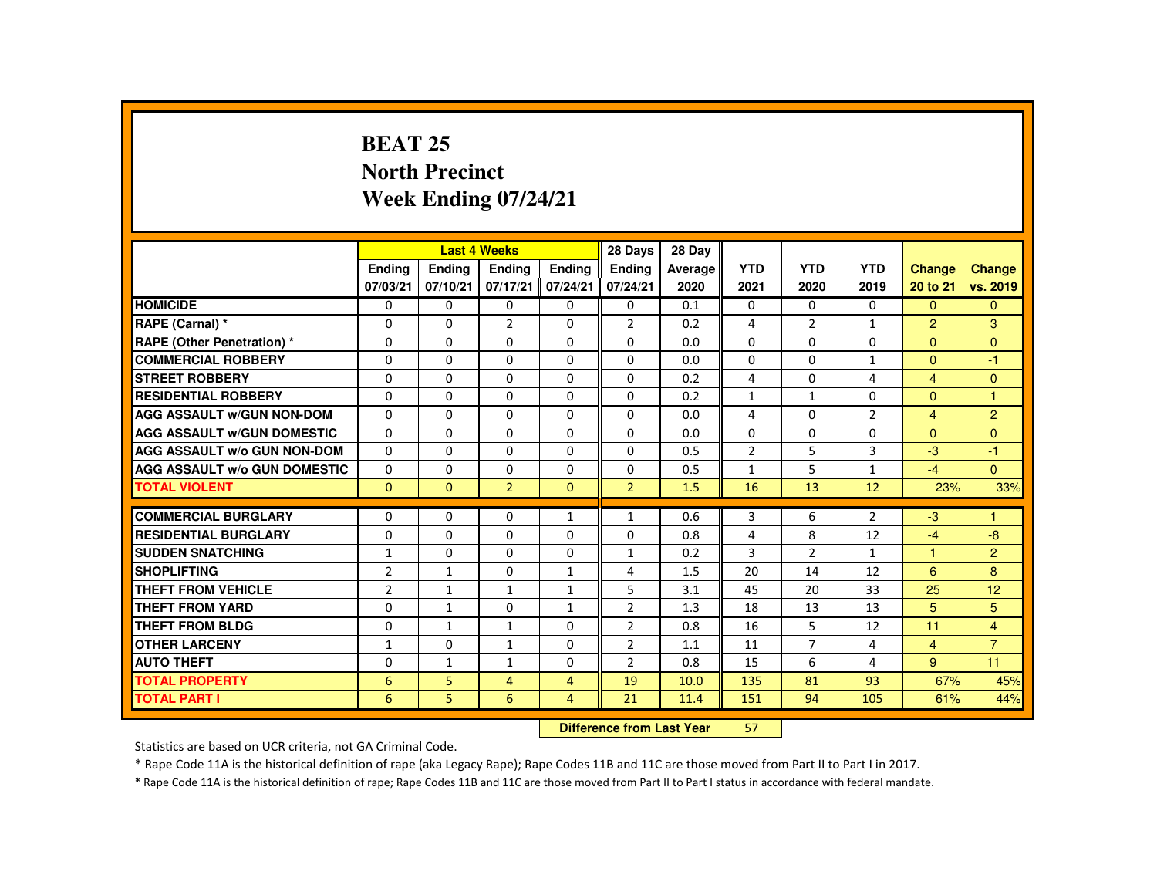## **BEAT 25 North PrecinctWeek Ending 07/24/21**

|                                     |                | <b>Last 4 Weeks</b> |                |                | 28 Days                   | 28 Day  |                |                |                |                      |                |
|-------------------------------------|----------------|---------------------|----------------|----------------|---------------------------|---------|----------------|----------------|----------------|----------------------|----------------|
|                                     | Ending         | Ending              | Ending         | Ending         | <b>Endina</b>             | Average | <b>YTD</b>     | <b>YTD</b>     | <b>YTD</b>     | <b>Change</b>        | <b>Change</b>  |
|                                     | 07/03/21       | 07/10/21            | 07/17/21       | 07/24/21       | 07/24/21                  | 2020    | 2021           | 2020           | 2019           | 20 to 21             | vs. 2019       |
| <b>HOMICIDE</b>                     | 0              | $\mathbf{0}$        | $\Omega$       | $\Omega$       | $\mathbf 0$               | 0.1     | $\Omega$       | $\Omega$       | $\Omega$       | $\Omega$             | $\Omega$       |
| RAPE (Carnal) *                     | 0              | $\Omega$            | $\overline{2}$ | $\Omega$       | $\overline{2}$            | 0.2     | 4              | $\overline{2}$ | $\mathbf{1}$   | $\overline{2}$       | 3              |
| RAPE (Other Penetration) *          | 0              | $\Omega$            | $\Omega$       | $\Omega$       | $\Omega$                  | 0.0     | $\Omega$       | $\Omega$       | $\Omega$       | $\mathbf{0}$         | $\Omega$       |
| <b>COMMERCIAL ROBBERY</b>           | $\Omega$       | $\Omega$            | $\Omega$       | $\Omega$       | $\Omega$                  | 0.0     | $\Omega$       | $\Omega$       | $\mathbf{1}$   | $\Omega$             | $-1$           |
| <b>STREET ROBBERY</b>               | $\Omega$       | $\Omega$            | $\Omega$       | $\Omega$       | $\Omega$                  | 0.2     | 4              | $\Omega$       | 4              | $\overline{4}$       | $\Omega$       |
| <b>RESIDENTIAL ROBBERY</b>          | 0              | $\Omega$            | 0              | $\mathbf{0}$   | $\mathbf{0}$              | 0.2     | $\mathbf{1}$   | 1              | $\Omega$       | $\mathbf{0}$         | 1              |
| <b>AGG ASSAULT W/GUN NON-DOM</b>    | $\Omega$       | $\Omega$            | $\Omega$       | $\Omega$       | $\mathbf{0}$              | 0.0     | 4              | $\Omega$       | $\overline{2}$ | $\overline{4}$       | $\overline{2}$ |
| <b>AGG ASSAULT W/GUN DOMESTIC</b>   | $\Omega$       | $\Omega$            | $\Omega$       | $\Omega$       | $\Omega$                  | 0.0     | $\Omega$       | $\Omega$       | $\Omega$       | $\Omega$             | $\Omega$       |
| <b>AGG ASSAULT W/o GUN NON-DOM</b>  | $\Omega$       | $\Omega$            | $\Omega$       | $\Omega$       | $\Omega$                  | 0.5     | $\overline{2}$ | 5              | $\overline{3}$ | $-3$                 | $-1$           |
| <b>AGG ASSAULT W/o GUN DOMESTIC</b> | $\Omega$       | $\Omega$            | $\Omega$       | $\Omega$       | $\Omega$                  | 0.5     | $\mathbf{1}$   | 5              | $\mathbf{1}$   | $-4$                 | $\mathbf{0}$   |
| <b>TOTAL VIOLENT</b>                | $\Omega$       | $\Omega$            | 2 <sup>1</sup> | $\Omega$       | 2 <sup>1</sup>            | 1.5     | 16             | 13             | 12             | 23%                  | 33%            |
| <b>COMMERCIAL BURGLARY</b>          | 0              | $\Omega$            | $\Omega$       | $\mathbf{1}$   | $\mathbf{1}$              | 0.6     | 3              | 6              | $\overline{2}$ | $-3$                 | 1              |
| <b>RESIDENTIAL BURGLARY</b>         | 0              | $\Omega$            | $\Omega$       | $\Omega$       | $\Omega$                  | 0.8     | 4              | 8              | 12             | $-4$                 | $-8$           |
| <b>SUDDEN SNATCHING</b>             | $\mathbf{1}$   | $\Omega$            | $\Omega$       | $\Omega$       | $\mathbf{1}$              | 0.2     | 3              | $\overline{2}$ | $\mathbf{1}$   | $\blacktriangleleft$ | $\overline{2}$ |
| <b>SHOPLIFTING</b>                  | $\overline{2}$ | $\mathbf{1}$        | $\Omega$       | $\mathbf{1}$   | 4                         | 1.5     | 20             | 14             | 12             | 6                    | 8              |
| <b>THEFT FROM VEHICLE</b>           | $\overline{2}$ | $\mathbf{1}$        | $\mathbf{1}$   | $\mathbf{1}$   | 5                         | 3.1     | 45             | 20             | 33             | 25                   | 12             |
| <b>THEFT FROM YARD</b>              | $\Omega$       | $\mathbf{1}$        | $\Omega$       | $\mathbf{1}$   | $\overline{2}$            | 1.3     | 18             | 13             | 13             | 5                    | 5              |
| <b>THEFT FROM BLDG</b>              | 0              | $\mathbf{1}$        | $\mathbf{1}$   | $\Omega$       | $\overline{2}$            | 0.8     | 16             | 5              | 12             | 11                   | $\overline{4}$ |
| <b>OTHER LARCENY</b>                | 1              | $\Omega$            | 1              | $\Omega$       | $\overline{2}$            | 1.1     | 11             | $\overline{7}$ | 4              | $\overline{4}$       | $\overline{7}$ |
| <b>AUTO THEFT</b>                   | $\Omega$       | $\mathbf{1}$        | $\mathbf{1}$   | $\Omega$       | $\overline{2}$            | 0.8     | 15             | 6              | 4              | 9                    | 11             |
| <b>TOTAL PROPERTY</b>               | 6              | 5                   | $\overline{4}$ | $\overline{4}$ | 19                        | 10.0    | 135            | 81             | 93             | 67%                  | 45%            |
| <b>TOTAL PART I</b>                 | 6              | 5.                  | 6              | 4              | 21                        | 11.4    | 151            | 94             | 105            | 61%                  | 44%            |
|                                     |                |                     |                |                | Difference from Leat Vacu |         | <b>CD</b>      |                |                |                      |                |

 **Difference from Last Year**<sup>57</sup>

Statistics are based on UCR criteria, not GA Criminal Code.

\* Rape Code 11A is the historical definition of rape (aka Legacy Rape); Rape Codes 11B and 11C are those moved from Part II to Part I in 2017.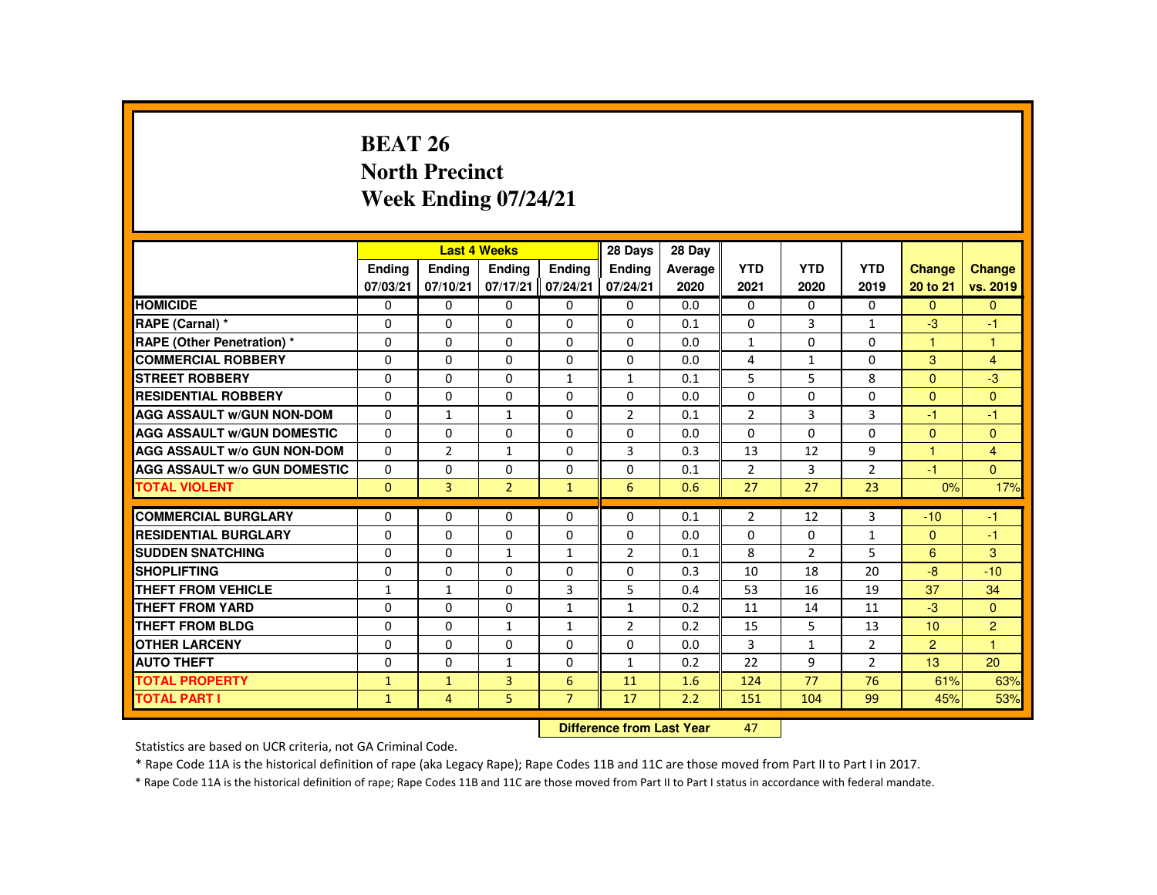## **BEAT 26 North PrecinctWeek Ending 07/24/21**

|                                     |               |                | <b>Last 4 Weeks</b> |                | 28 Days                   | 28 Day  |                |              |                |                |                |
|-------------------------------------|---------------|----------------|---------------------|----------------|---------------------------|---------|----------------|--------------|----------------|----------------|----------------|
|                                     | <b>Endina</b> | <b>Endina</b>  | <b>Endina</b>       | <b>Endina</b>  | <b>Endina</b>             | Average | <b>YTD</b>     | <b>YTD</b>   | <b>YTD</b>     | Change         | <b>Change</b>  |
|                                     | 07/03/21      | 07/10/21       | 07/17/21            | 07/24/21       | 07/24/21                  | 2020    | 2021           | 2020         | 2019           | 20 to 21       | vs. 2019       |
| <b>HOMICIDE</b>                     | 0             | $\mathbf{0}$   | 0                   | 0              | 0                         | 0.0     | 0              | 0            | $\mathbf{0}$   | $\mathbf{0}$   | $\mathbf{0}$   |
| RAPE (Carnal) *                     | $\Omega$      | $\Omega$       | $\Omega$            | $\Omega$       | $\Omega$                  | 0.1     | $\Omega$       | 3            | $\mathbf{1}$   | $-3$           | $-1$           |
| <b>RAPE (Other Penetration) *</b>   | 0             | $\Omega$       | 0                   | 0              | 0                         | 0.0     | $\mathbf{1}$   | 0            | 0              | $\mathbf{1}$   | $\mathbf{1}$   |
| <b>COMMERCIAL ROBBERY</b>           | $\Omega$      | $\Omega$       | $\Omega$            | $\Omega$       | $\Omega$                  | 0.0     | 4              | $\mathbf{1}$ | $\Omega$       | 3              | $\overline{4}$ |
| <b>STREET ROBBERY</b>               | $\Omega$      | $\Omega$       | $\Omega$            | $\mathbf{1}$   | $\mathbf{1}$              | 0.1     | 5              | 5            | 8              | $\Omega$       | $-3$           |
| <b>RESIDENTIAL ROBBERY</b>          | $\Omega$      | $\mathbf{0}$   | $\Omega$            | 0              | 0                         | 0.0     | 0              | 0            | $\Omega$       | $\mathbf{0}$   | $\mathbf{0}$   |
| <b>AGG ASSAULT W/GUN NON-DOM</b>    | $\Omega$      | $\mathbf{1}$   | $\mathbf{1}$        | $\Omega$       | $\overline{2}$            | 0.1     | $\overline{2}$ | 3            | 3              | $-1$           | $-1$           |
| <b>AGG ASSAULT W/GUN DOMESTIC</b>   | $\Omega$      | $\Omega$       | $\Omega$            | $\Omega$       | $\Omega$                  | 0.0     | $\Omega$       | $\Omega$     | $\Omega$       | $\mathbf{0}$   | $\pmb{0}$      |
| <b>AGG ASSAULT W/o GUN NON-DOM</b>  | $\Omega$      | $\overline{2}$ | $\mathbf{1}$        | $\Omega$       | $\mathbf{3}$              | 0.3     | 13             | 12           | 9              | 1              | $\overline{4}$ |
| <b>AGG ASSAULT W/o GUN DOMESTIC</b> | 0             | $\mathbf{0}$   | 0                   | 0              | 0                         | 0.1     | $\overline{2}$ | 3            | $\overline{2}$ | $-1$           | $\overline{0}$ |
| <b>TOTAL VIOLENT</b>                | $\Omega$      | 3              | $\overline{2}$      | $\mathbf{1}$   | 6                         | 0.6     | 27             | 27           | 23             | 0%             | 17%            |
| <b>COMMERCIAL BURGLARY</b>          | $\Omega$      | $\Omega$       | $\Omega$            | $\Omega$       | $\Omega$                  | 0.1     | $\overline{2}$ | 12           | 3              | $-10$          | $-1$           |
| <b>RESIDENTIAL BURGLARY</b>         | $\Omega$      | $\Omega$       | $\Omega$            | $\Omega$       | $\Omega$                  | 0.0     | $\Omega$       | $\Omega$     | $\mathbf{1}$   | $\Omega$       | $-1$           |
| <b>SUDDEN SNATCHING</b>             | $\Omega$      | $\Omega$       | $\mathbf{1}$        | 1              | $\overline{2}$            | 0.1     | 8              | 2            | 5              | 6              | 3              |
| <b>SHOPLIFTING</b>                  | $\Omega$      | $\Omega$       | $\Omega$            | $\Omega$       | $\Omega$                  | 0.3     | 10             | 18           | 20             | $-8$           | $-10$          |
| <b>THEFT FROM VEHICLE</b>           | $\mathbf{1}$  | $\mathbf{1}$   | $\Omega$            | $\overline{3}$ | 5                         | 0.4     | 53             | 16           | 19             | 37             | 34             |
| <b>THEFT FROM YARD</b>              | $\Omega$      | $\Omega$       | $\Omega$            | $\mathbf{1}$   | $\mathbf{1}$              | 0.2     | 11             | 14           | 11             | $-3$           | $\Omega$       |
| THEFT FROM BLDG                     | $\Omega$      | $\Omega$       | $\mathbf{1}$        | 1              | $\overline{2}$            | 0.2     | 15             | 5            | 13             | 10             | $\overline{2}$ |
| <b>OTHER LARCENY</b>                | $\Omega$      | $\Omega$       | $\Omega$            | $\Omega$       | $\Omega$                  | 0.0     | 3              | $\mathbf{1}$ | $\overline{2}$ | $\overline{2}$ | $\mathbf{1}$   |
| <b>AUTO THEFT</b>                   | $\Omega$      | $\Omega$       | $\mathbf{1}$        | 0              | $\mathbf{1}$              | 0.2     | 22             | 9            | $\overline{2}$ | 13             | 20             |
| <b>TOTAL PROPERTY</b>               | $\mathbf{1}$  | $\mathbf{1}$   | $\overline{3}$      | 6              | 11                        | 1.6     | 124            | 77           | 76             | 61%            | 63%            |
| <b>TOTAL PART I</b>                 | $\mathbf{1}$  | 4              | 5                   | $\overline{7}$ | 17                        | 2.2     | 151            | 104          | 99             | 45%            | 53%            |
|                                     |               |                |                     |                | Difference from Leat Voor |         | $\sqrt{2}$     |              |                |                |                |

 **Difference from Last Year**<sup>47</sup>

Statistics are based on UCR criteria, not GA Criminal Code.

\* Rape Code 11A is the historical definition of rape (aka Legacy Rape); Rape Codes 11B and 11C are those moved from Part II to Part I in 2017.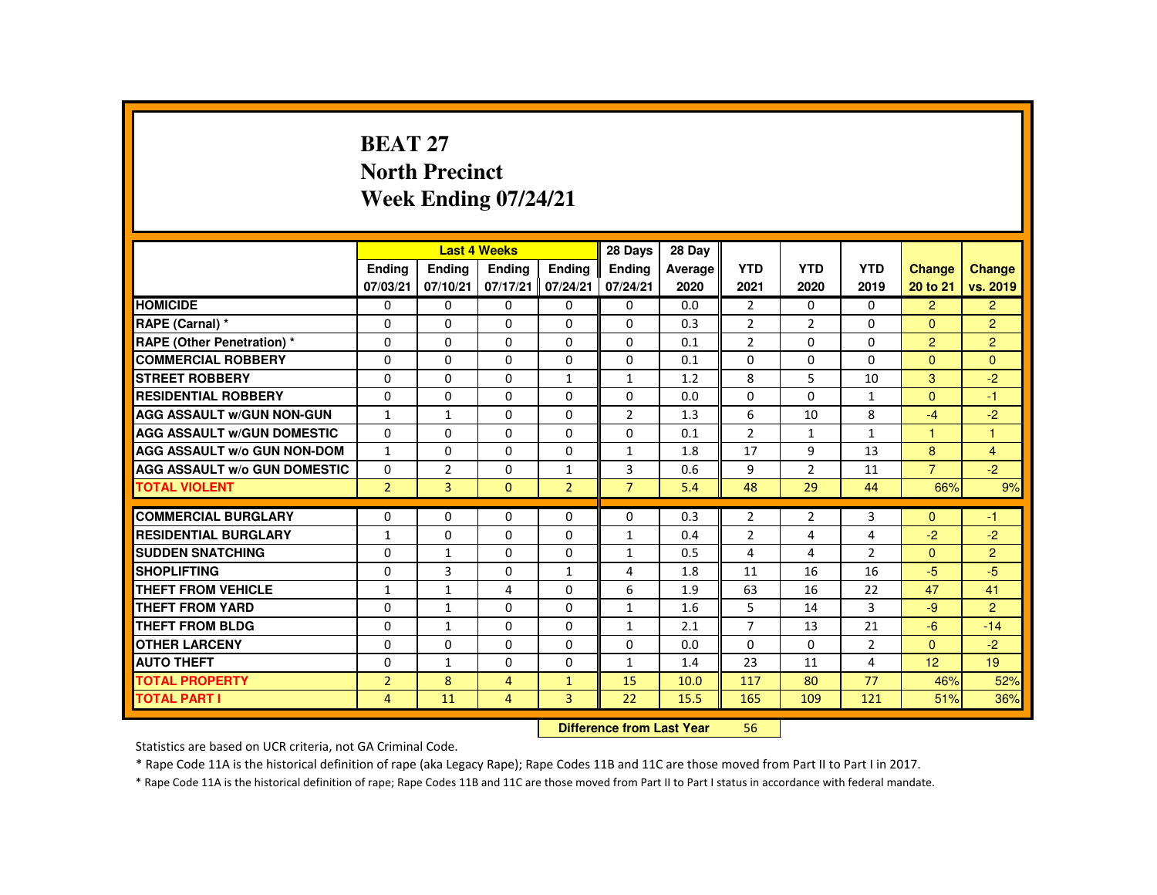### **BEAT 27 North PrecinctWeek Ending 07/24/21**

|                                     |                           |                | <b>Last 4 Weeks</b> |                | 28 Days        | 28 Day  |                |                |                |                |                |
|-------------------------------------|---------------------------|----------------|---------------------|----------------|----------------|---------|----------------|----------------|----------------|----------------|----------------|
|                                     | <b>Endina</b>             | Ending         | Ending              | <b>Endina</b>  | <b>Endina</b>  | Average | <b>YTD</b>     | <b>YTD</b>     | <b>YTD</b>     | <b>Change</b>  | Change         |
|                                     | 07/03/21                  | 07/10/21       | 07/17/21            | 07/24/21       | 07/24/21       | 2020    | 2021           | 2020           | 2019           | 20 to 21       | vs. 2019       |
| <b>HOMICIDE</b>                     | $\mathbf{0}$              | 0              | $\Omega$            | $\Omega$       | 0              | 0.0     | $\overline{2}$ | $\Omega$       | $\Omega$       | $\overline{2}$ | $\overline{2}$ |
| RAPE (Carnal) *                     | 0                         | $\Omega$       | $\Omega$            | $\Omega$       | $\Omega$       | 0.3     | $\overline{2}$ | $\overline{2}$ | $\Omega$       | $\mathbf{0}$   | $\overline{2}$ |
| RAPE (Other Penetration) *          | 0                         | $\Omega$       | $\Omega$            | $\Omega$       | $\Omega$       | 0.1     | $\overline{2}$ | $\Omega$       | $\Omega$       | $\overline{2}$ | $\overline{2}$ |
| <b>COMMERCIAL ROBBERY</b>           | $\Omega$                  | $\Omega$       | $\Omega$            | $\Omega$       | $\Omega$       | 0.1     | $\Omega$       | $\Omega$       | $\Omega$       | $\Omega$       | $\Omega$       |
| <b>STREET ROBBERY</b>               | $\Omega$                  | $\Omega$       | $\Omega$            | $\mathbf{1}$   | $\mathbf{1}$   | 1.2     | 8              | 5              | 10             | $\mathcal{B}$  | $-2$           |
| <b>RESIDENTIAL ROBBERY</b>          | 0                         | 0              | 0                   | 0              | 0              | 0.0     | 0              | 0              | $\mathbf{1}$   | $\Omega$       | $-1$           |
| <b>AGG ASSAULT W/GUN NON-GUN</b>    | $\mathbf{1}$              | $\mathbf{1}$   | $\Omega$            | $\Omega$       | $\overline{2}$ | 1.3     | 6              | 10             | 8              | $-4$           | $-2$           |
| <b>AGG ASSAULT W/GUN DOMESTIC</b>   | $\Omega$                  | $\Omega$       | $\Omega$            | $\Omega$       | $\Omega$       | 0.1     | $\overline{2}$ | $\mathbf{1}$   | $\mathbf{1}$   | $\overline{1}$ | $\mathbf{1}$   |
| <b>AGG ASSAULT W/o GUN NON-DOM</b>  | $\mathbf{1}$              | $\Omega$       | $\Omega$            | $\Omega$       | $\mathbf{1}$   | 1.8     | 17             | 9              | 13             | 8              | $\overline{4}$ |
| <b>AGG ASSAULT W/o GUN DOMESTIC</b> | $\Omega$                  | $\overline{2}$ | $\Omega$            | $\mathbf{1}$   | 3              | 0.6     | 9              | $\overline{2}$ | 11             | $\overline{7}$ | $-2$           |
| <b>TOTAL VIOLENT</b>                | $\overline{2}$            | $\overline{3}$ | $\Omega$            | $\overline{2}$ | $\overline{7}$ | 5.4     | 48             | 29             | 44             | 66%            | 9%             |
| <b>COMMERCIAL BURGLARY</b>          | 0                         | $\Omega$       | $\Omega$            | $\Omega$       | $\Omega$       | 0.3     | $\overline{2}$ | $\overline{2}$ | 3              | $\Omega$       | $-1$           |
| <b>RESIDENTIAL BURGLARY</b>         | $\mathbf{1}$              | 0              | 0                   | 0              | $\mathbf{1}$   | 0.4     | $\overline{2}$ | 4              | 4              | $-2$           | $-2$           |
| <b>SUDDEN SNATCHING</b>             | $\Omega$                  | $\mathbf{1}$   | $\Omega$            | $\Omega$       | $\mathbf{1}$   | 0.5     | 4              | 4              | $\overline{2}$ | $\mathbf{0}$   | $\overline{2}$ |
| <b>SHOPLIFTING</b>                  | $\Omega$                  | 3              | $\Omega$            | $\mathbf{1}$   | 4              | 1.8     | 11             | 16             | 16             | $-5$           | $-5$           |
| <b>THEFT FROM VEHICLE</b>           | $\mathbf{1}$              | $\mathbf{1}$   | 4                   | $\Omega$       | 6              | 1.9     | 63             | 16             | 22             | 47             | 41             |
| <b>THEFT FROM YARD</b>              | $\Omega$                  | $\mathbf{1}$   | $\Omega$            | $\Omega$       | $\mathbf{1}$   | 1.6     | 5              | 14             | 3              | $-9$           | $\mathcal{P}$  |
| <b>THEFT FROM BLDG</b>              | 0                         | $\mathbf{1}$   | 0                   | $\Omega$       | $\mathbf{1}$   | 2.1     | $\overline{7}$ | 13             | 21             | $-6$           | $-14$          |
| <b>OTHER LARCENY</b>                | $\Omega$                  | $\Omega$       | $\Omega$            | $\Omega$       | $\Omega$       | 0.0     | $\Omega$       | $\Omega$       | $\overline{2}$ | $\Omega$       | $-2$           |
| <b>AUTO THEFT</b>                   | $\Omega$                  | $\mathbf{1}$   | $\Omega$            | $\Omega$       | $\mathbf{1}$   | 1.4     | 23             | 11             | 4              | 12             | 19             |
| <b>TOTAL PROPERTY</b>               | $\overline{2}$            | 8              | $\overline{4}$      | $\mathbf{1}$   | 15             | 10.0    | 117            | 80             | 77             | 46%            | 52%            |
| <b>TOTAL PART I</b>                 | $\overline{4}$            | 11             | $\overline{4}$      | $\overline{3}$ | 22             | 15.5    | 165            | 109            | 121            | 51%            | 36%            |
|                                     | Difference from Leat Voor |                |                     |                |                |         | FC.            |                |                |                |                |

 **Difference from Last Year**<sup>56</sup>

Statistics are based on UCR criteria, not GA Criminal Code.

\* Rape Code 11A is the historical definition of rape (aka Legacy Rape); Rape Codes 11B and 11C are those moved from Part II to Part I in 2017.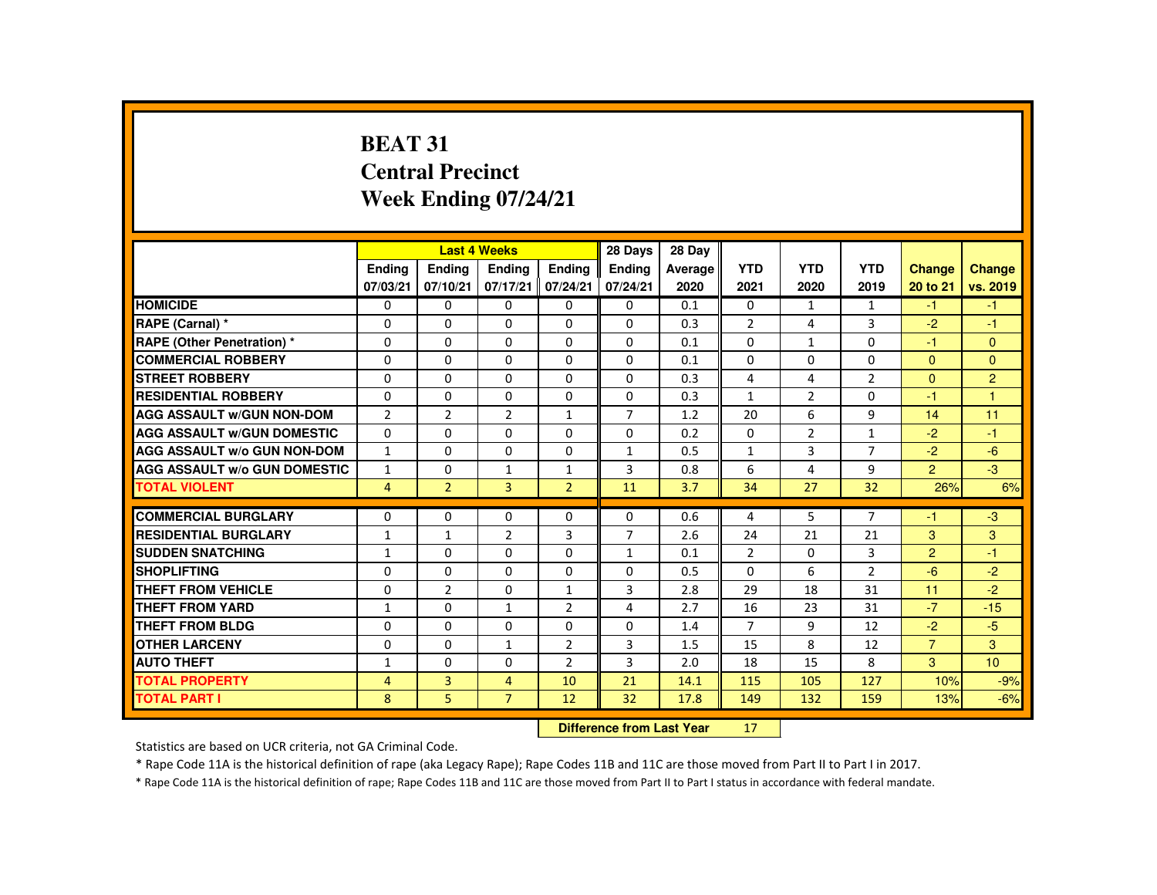# **BEAT 31 Central PrecinctWeek Ending 07/24/21**

|                                     |                            |                | <b>Last 4 Weeks</b> |                | 28 Days        | 28 Day  |                |                |                |                |                 |
|-------------------------------------|----------------------------|----------------|---------------------|----------------|----------------|---------|----------------|----------------|----------------|----------------|-----------------|
|                                     | <b>Ending</b>              | <b>Ending</b>  | <b>Ending</b>       | <b>Ending</b>  | <b>Ending</b>  | Average | <b>YTD</b>     | <b>YTD</b>     | <b>YTD</b>     | <b>Change</b>  | <b>Change</b>   |
|                                     | 07/03/21                   | 07/10/21       | 07/17/21            | 07/24/21       | 07/24/21       | 2020    | 2021           | 2020           | 2019           | 20 to 21       | vs. 2019        |
| <b>HOMICIDE</b>                     | $\Omega$                   | $\Omega$       | $\Omega$            | $\Omega$       | $\Omega$       | 0.1     | 0              | $\mathbf{1}$   | 1              | $-1$           | $-1$            |
| RAPE (Carnal) *                     | $\mathbf{0}$               | $\Omega$       | $\Omega$            | $\Omega$       | $\Omega$       | 0.3     | $\overline{2}$ | 4              | 3              | $-2$           | -1              |
| <b>RAPE (Other Penetration) *</b>   | $\Omega$                   | $\Omega$       | $\Omega$            | $\Omega$       | $\Omega$       | 0.1     | $\Omega$       | 1              | $\Omega$       | -1             | $\Omega$        |
| <b>COMMERCIAL ROBBERY</b>           | $\Omega$                   | $\Omega$       | $\Omega$            | $\Omega$       | $\Omega$       | 0.1     | $\Omega$       | $\Omega$       | 0              | $\mathbf{0}$   | $\Omega$        |
| <b>STREET ROBBERY</b>               | $\Omega$                   | $\Omega$       | $\Omega$            | $\Omega$       | $\Omega$       | 0.3     | 4              | 4              | $\overline{2}$ | $\Omega$       | $\overline{2}$  |
| <b>RESIDENTIAL ROBBERY</b>          | $\Omega$                   | $\Omega$       | $\mathbf{0}$        | 0              | 0              | 0.3     | $\mathbf{1}$   | $\overline{2}$ | 0              | $-1$           | 1               |
| <b>AGG ASSAULT w/GUN NON-DOM</b>    | $\overline{2}$             | $\overline{2}$ | $\overline{2}$      | $\mathbf{1}$   | $\overline{7}$ | 1.2     | 20             | 6              | 9              | 14             | 11              |
| <b>AGG ASSAULT W/GUN DOMESTIC</b>   | $\Omega$                   | $\Omega$       | $\Omega$            | $\Omega$       | $\Omega$       | 0.2     | $\Omega$       | $\overline{2}$ | $\mathbf{1}$   | $-2$           | $-1$            |
| <b>AGG ASSAULT W/o GUN NON-DOM</b>  | $\mathbf{1}$               | $\Omega$       | $\Omega$            | $\Omega$       | $\mathbf{1}$   | 0.5     | $\mathbf{1}$   | $\overline{3}$ | $\overline{7}$ | $-2$           | $-6$            |
| <b>AGG ASSAULT W/o GUN DOMESTIC</b> | $\mathbf{1}$               | $\Omega$       | $\mathbf{1}$        | $\mathbf{1}$   | 3              | 0.8     | 6              | 4              | 9              | $\overline{2}$ | $-3$            |
| <b>TOTAL VIOLENT</b>                | $\overline{4}$             | $\overline{2}$ | $\overline{3}$      | $\overline{2}$ | 11             | 3.7     | 34             | 27             | 32             | 26%            | 6%              |
|                                     |                            |                |                     |                |                |         |                |                |                |                |                 |
| <b>COMMERCIAL BURGLARY</b>          | $\Omega$                   | $\mathbf{0}$   | $\Omega$            | $\Omega$       | 0              | 0.6     | 4              | 5              | $\overline{7}$ | -1             | $-3$            |
| <b>RESIDENTIAL BURGLARY</b>         | $\mathbf{1}$               | $\mathbf{1}$   | 2                   | 3              | $\overline{7}$ | 2.6     | 24             | 21             | 21             | 3              | 3               |
| <b>SUDDEN SNATCHING</b>             | $\mathbf{1}$               | $\Omega$       | $\mathbf{0}$        | 0              | $\mathbf{1}$   | 0.1     | $\overline{2}$ | $\Omega$       | 3              | $\overline{2}$ | $-1$            |
| <b>SHOPLIFTING</b>                  | $\Omega$                   | $\Omega$       | $\Omega$            | $\Omega$       | $\Omega$       | 0.5     | $\Omega$       | 6              | $\overline{2}$ | $-6$           | $-2$            |
| <b>THEFT FROM VEHICLE</b>           | $\Omega$                   | $\overline{2}$ | $\Omega$            | $\mathbf{1}$   | 3              | 2.8     | 29             | 18             | 31             | 11             | $-2$            |
| <b>THEFT FROM YARD</b>              | $\mathbf{1}$               | $\Omega$       | $\mathbf{1}$        | $\overline{2}$ | 4              | 2.7     | 16             | 23             | 31             | $-7$           | $-15$           |
| <b>THEFT FROM BLDG</b>              | $\mathbf{0}$               | $\Omega$       | $\Omega$            | $\Omega$       | $\Omega$       | 1.4     | $\overline{7}$ | 9              | 12             | $-2$           | $-5$            |
| <b>OTHER LARCENY</b>                | $\Omega$                   | $\Omega$       | 1                   | $\overline{2}$ | 3              | 1.5     | 15             | 8              | 12             | $\overline{7}$ | 3               |
| <b>AUTO THEFT</b>                   | $\mathbf{1}$               | $\Omega$       | $\Omega$            | $\overline{2}$ | 3              | 2.0     | 18             | 15             | 8              | 3              | 10 <sup>°</sup> |
| <b>TOTAL PROPERTY</b>               | $\overline{4}$             | $\overline{3}$ | $\overline{4}$      | 10             | 21             | 14.1    | 115            | 105            | 127            | 10%            | $-9%$           |
| <b>TOTAL PART I</b>                 | 8                          | 5.             | $\overline{7}$      | 12             | 32             | 17.8    | 149            | 132            | 159            | 13%            | $-6%$           |
|                                     | Difference from Least Vaca |                |                     |                |                |         | $4 - 7$        |                |                |                |                 |

 **Difference from Last Year**<sup>17</sup>

Statistics are based on UCR criteria, not GA Criminal Code.

\* Rape Code 11A is the historical definition of rape (aka Legacy Rape); Rape Codes 11B and 11C are those moved from Part II to Part I in 2017.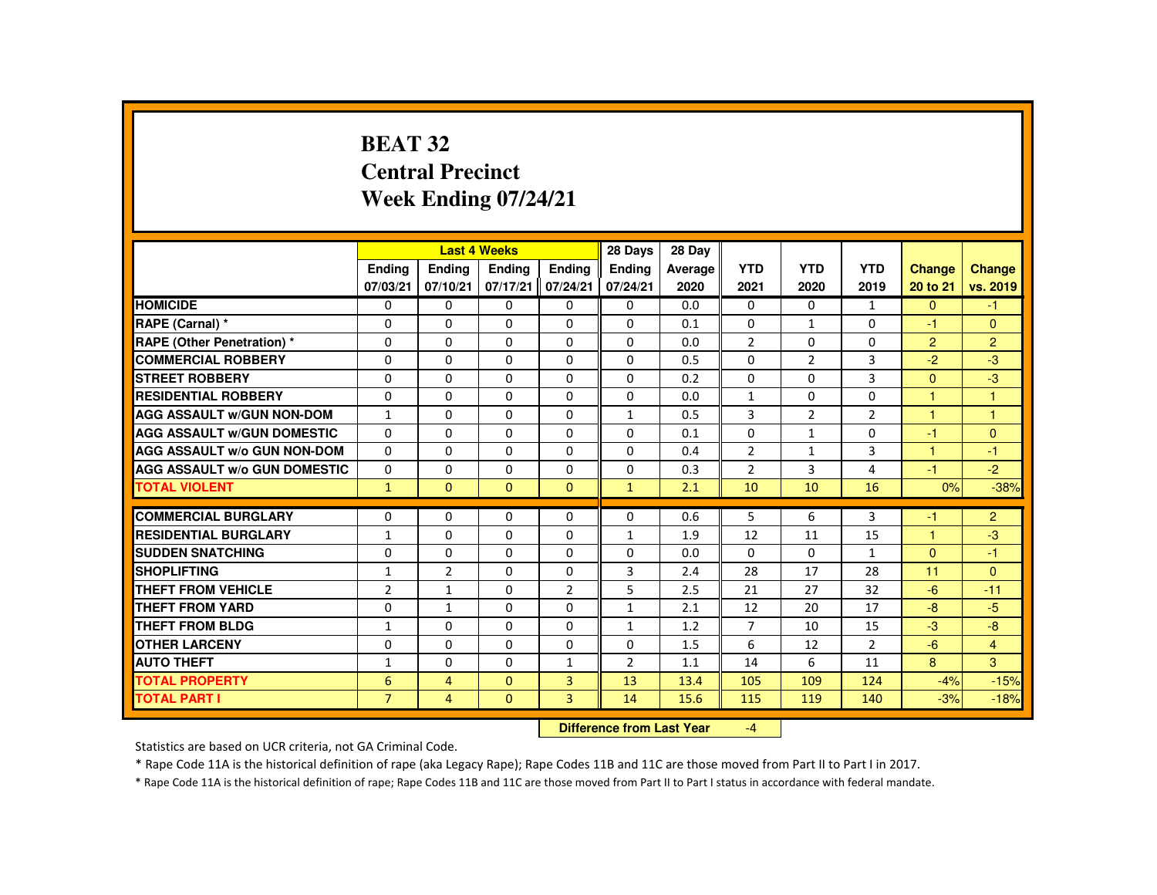# **BEAT 32 Central PrecinctWeek Ending 07/24/21**

|                                     |                |                | <b>Last 4 Weeks</b> |                   | 28 Days       | 28 Day  |                |                |                |                |                      |
|-------------------------------------|----------------|----------------|---------------------|-------------------|---------------|---------|----------------|----------------|----------------|----------------|----------------------|
|                                     | Ending         | Ending         | <b>Ending</b>       | Ending            | <b>Ending</b> | Average | <b>YTD</b>     | <b>YTD</b>     | <b>YTD</b>     | <b>Change</b>  | Change               |
|                                     | 07/03/21       | 07/10/21       | 07/17/21            | 07/24/21          | 07/24/21      | 2020    | 2021           | 2020           | 2019           | 20 to 21       | vs. 2019             |
| <b>HOMICIDE</b>                     | $\Omega$       | $\Omega$       | $\Omega$            | $\Omega$          | 0             | 0.0     | $\Omega$       | $\Omega$       | $\mathbf{1}$   | $\Omega$       | $-1$                 |
| RAPE (Carnal) *                     | $\Omega$       | $\Omega$       | $\Omega$            | $\Omega$          | 0             | 0.1     | $\Omega$       | $\mathbf{1}$   | 0              | $-1$           | $\Omega$             |
| <b>RAPE (Other Penetration) *</b>   | $\Omega$       | $\Omega$       | $\Omega$            | $\Omega$          | $\Omega$      | 0.0     | $\overline{2}$ | $\Omega$       | $\Omega$       | $\overline{2}$ | $\overline{2}$       |
| <b>COMMERCIAL ROBBERY</b>           | $\Omega$       | $\Omega$       | $\Omega$            | $\Omega$          | $\Omega$      | 0.5     | $\Omega$       | $\overline{2}$ | 3              | $-2$           | $-3$                 |
| <b>STREET ROBBERY</b>               | $\Omega$       | $\Omega$       | $\Omega$            | $\Omega$          | $\Omega$      | 0.2     | $\Omega$       | $\Omega$       | $\overline{3}$ | $\Omega$       | $-3$                 |
| <b>RESIDENTIAL ROBBERY</b>          | $\Omega$       | $\Omega$       | $\Omega$            | $\Omega$          | $\Omega$      | 0.0     | $\mathbf{1}$   | 0              | $\Omega$       | $\overline{1}$ | $\overline{1}$       |
| <b>AGG ASSAULT W/GUN NON-DOM</b>    | $\mathbf{1}$   | $\Omega$       | $\Omega$            | $\Omega$          | $\mathbf{1}$  | 0.5     | 3              | $\overline{2}$ | $\overline{2}$ | $\overline{1}$ | $\blacktriangleleft$ |
| <b>AGG ASSAULT W/GUN DOMESTIC</b>   | $\Omega$       | $\Omega$       | $\Omega$            | $\Omega$          | $\Omega$      | 0.1     | $\Omega$       | $\mathbf{1}$   | $\Omega$       | $-1$           | $\Omega$             |
| <b>AGG ASSAULT W/o GUN NON-DOM</b>  | $\mathbf{0}$   | $\Omega$       | $\Omega$            | $\Omega$          | $\Omega$      | 0.4     | $\overline{2}$ | $\mathbf{1}$   | 3              | $\mathbf{1}$   | $-1$                 |
| <b>AGG ASSAULT W/o GUN DOMESTIC</b> | $\Omega$       | $\Omega$       | $\Omega$            | $\Omega$          | $\Omega$      | 0.3     | $\overline{2}$ | 3              | 4              | $-1$           | $-2$                 |
| <b>TOTAL VIOLENT</b>                | $\mathbf{1}$   | $\mathbf{0}$   | $\mathbf{0}$        | $\mathbf{0}$      | $\mathbf{1}$  | 2.1     | 10             | 10             | 16             | 0%             | $-38%$               |
|                                     |                |                |                     |                   |               |         |                |                |                |                |                      |
| <b>COMMERCIAL BURGLARY</b>          | $\Omega$       | $\Omega$       | $\Omega$            | $\Omega$          | $\Omega$      | 0.6     | 5              | 6              | 3              | $-1$           | $\overline{2}$       |
| <b>RESIDENTIAL BURGLARY</b>         | $\mathbf{1}$   | $\Omega$       | $\Omega$            | $\Omega$          | $\mathbf{1}$  | 1.9     | 12             | 11             | 15             | 1              | $-3$                 |
| <b>SUDDEN SNATCHING</b>             | 0              | $\Omega$       | $\Omega$            | 0                 | 0             | 0.0     | $\Omega$       | 0              | 1              | $\mathbf{0}$   | -1                   |
| <b>SHOPLIFTING</b>                  | 1              | $\overline{2}$ | $\Omega$            | $\Omega$          | 3             | 2.4     | 28             | 17             | 28             | 11             | $\Omega$             |
| <b>THEFT FROM VEHICLE</b>           | $\overline{2}$ | $\mathbf{1}$   | $\Omega$            | $\overline{2}$    | 5             | 2.5     | 21             | 27             | 32             | $-6$           | $-11$                |
| <b>THEFT FROM YARD</b>              | $\Omega$       | $\mathbf{1}$   | $\Omega$            | $\Omega$          | $\mathbf{1}$  | 2.1     | 12             | 20             | 17             | $-8$           | $-5$                 |
| THEFT FROM BLDG                     | $\mathbf{1}$   | $\Omega$       | $\Omega$            | $\Omega$          | $\mathbf{1}$  | 1.2     | $\overline{7}$ | 10             | 15             | $-3$           | $-8$                 |
| <b>OTHER LARCENY</b>                | $\mathbf 0$    | $\Omega$       | $\Omega$            | 0                 | 0             | 1.5     | 6              | 12             | $\overline{2}$ | $-6$           | $\overline{4}$       |
| <b>AUTO THEFT</b>                   | $\mathbf{1}$   | $\Omega$       | $\Omega$            | $\mathbf{1}$      | 2             | 1.1     | 14             | 6              | 11             | 8              | $\overline{3}$       |
| <b>TOTAL PROPERTY</b>               | 6              | $\overline{4}$ | $\Omega$            | 3                 | 13            | 13.4    | 105            | 109            | 124            | $-4%$          | $-15%$               |
| <b>TOTAL PART I</b>                 | $\overline{7}$ | 4              | $\mathbf{0}$        | $\overline{3}$    | 14            | 15.6    | 115            | 119            | 140            | $-3%$          | $-18%$               |
|                                     |                |                |                     | <b>STATISTICS</b> |               |         |                |                |                |                |                      |

 **Difference from Last Year**-4

Statistics are based on UCR criteria, not GA Criminal Code.

\* Rape Code 11A is the historical definition of rape (aka Legacy Rape); Rape Codes 11B and 11C are those moved from Part II to Part I in 2017.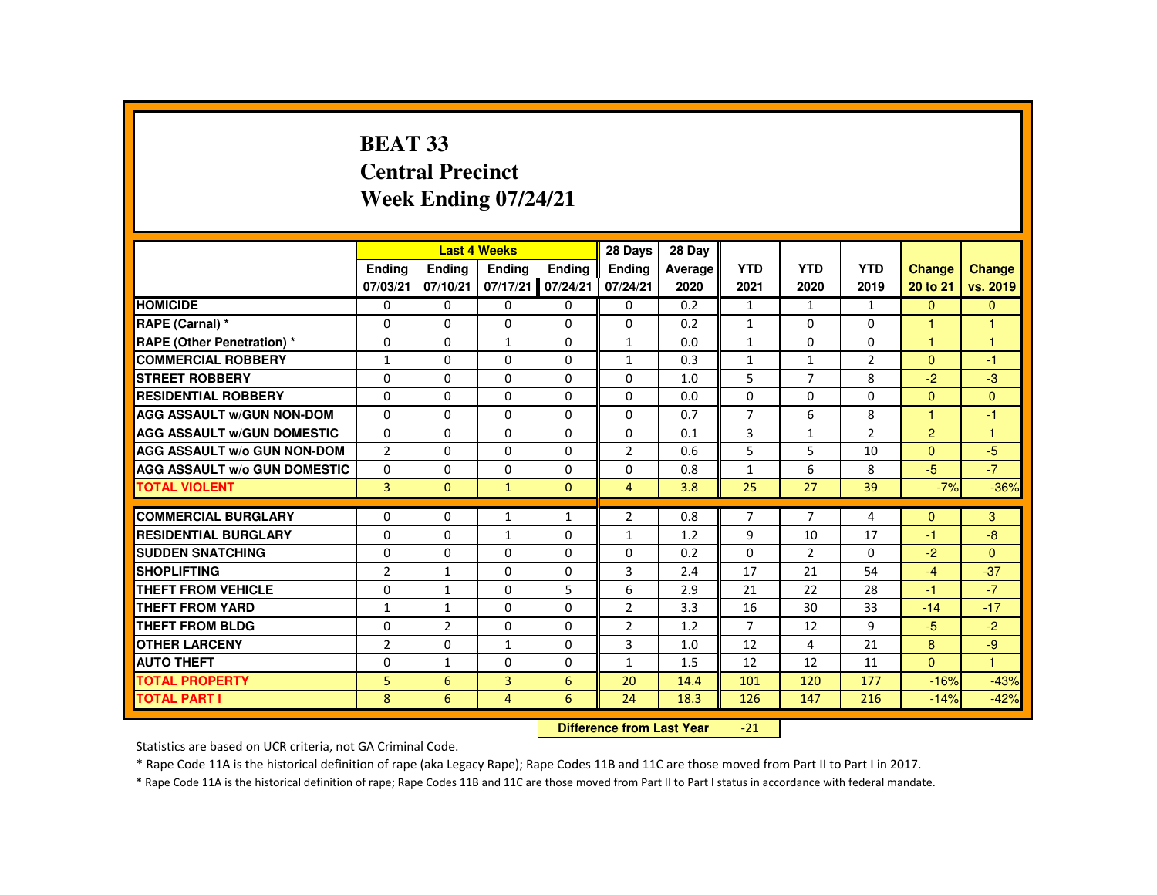# **BEAT 33 Central PrecinctWeek Ending 07/24/21**

|                                     |                |                | <b>Last 4 Weeks</b>              |                   | 28 Days        | 28 Day  |                |                |                |                |                |
|-------------------------------------|----------------|----------------|----------------------------------|-------------------|----------------|---------|----------------|----------------|----------------|----------------|----------------|
|                                     | <b>Ending</b>  | <b>Ending</b>  | <b>Ending</b>                    | <b>Ending</b>     | <b>Endina</b>  | Average | <b>YTD</b>     | <b>YTD</b>     | <b>YTD</b>     | <b>Change</b>  | <b>Change</b>  |
|                                     | 07/03/21       | 07/10/21       |                                  | 07/17/21 07/24/21 | 07/24/21       | 2020    | 2021           | 2020           | 2019           | 20 to 21       | vs. 2019       |
| <b>HOMICIDE</b>                     | 0              | 0              | 0                                | 0                 | 0              | 0.2     | $\mathbf{1}$   | $\mathbf{1}$   | $\mathbf{1}$   | $\mathbf{0}$   | $\mathbf{0}$   |
| RAPE (Carnal) *                     | $\Omega$       | $\Omega$       | $\Omega$                         | $\Omega$          | $\Omega$       | 0.2     | $\mathbf{1}$   | $\Omega$       | $\Omega$       | $\overline{1}$ | $\overline{1}$ |
| <b>RAPE (Other Penetration) *</b>   | $\Omega$       | $\Omega$       | $\mathbf{1}$                     | $\Omega$          | $\mathbf{1}$   | 0.0     | $\mathbf{1}$   | $\Omega$       | $\Omega$       | $\mathbf{1}$   | $\mathbf{1}$   |
| <b>COMMERCIAL ROBBERY</b>           | $\mathbf{1}$   | 0              | 0                                | 0                 | $\mathbf{1}$   | 0.3     | $\mathbf{1}$   | $\mathbf{1}$   | $\overline{2}$ | $\mathbf{0}$   | $-1$           |
| <b>STREET ROBBERY</b>               | $\Omega$       | $\Omega$       | $\Omega$                         | $\Omega$          | $\Omega$       | 1.0     | 5              | $\overline{7}$ | 8              | $-2$           | $-3$           |
| <b>RESIDENTIAL ROBBERY</b>          | $\Omega$       | $\Omega$       | $\Omega$                         | $\Omega$          | $\Omega$       | 0.0     | $\mathbf 0$    | 0              | 0              | $\overline{0}$ | $\mathbf{0}$   |
| <b>AGG ASSAULT W/GUN NON-DOM</b>    | $\Omega$       | $\Omega$       | $\Omega$                         | $\Omega$          | $\Omega$       | 0.7     | $\overline{7}$ | 6              | 8              | $\mathbf{1}$   | $-1$           |
| <b>AGG ASSAULT W/GUN DOMESTIC</b>   | $\Omega$       | $\Omega$       | $\Omega$                         | $\Omega$          | $\Omega$       | 0.1     | 3              | $\mathbf{1}$   | $\overline{2}$ | $\overline{2}$ | $\overline{1}$ |
| <b>AGG ASSAULT W/o GUN NON-DOM</b>  | $\overline{2}$ | $\Omega$       | $\Omega$                         | $\Omega$          | $\overline{2}$ | 0.6     | 5              | 5              | 10             | $\Omega$       | $-5$           |
| <b>AGG ASSAULT W/o GUN DOMESTIC</b> | $\Omega$       | $\Omega$       | $\Omega$                         | $\Omega$          | 0              | 0.8     | $\mathbf{1}$   | 6              | 8              | $-5$           | $-7$           |
| <b>TOTAL VIOLENT</b>                | $\overline{3}$ | $\mathbf{0}$   | $\mathbf{1}$                     | $\Omega$          | $\overline{4}$ | 3.8     | 25             | 27             | 39             | $-7%$          | $-36%$         |
|                                     |                |                |                                  |                   |                |         |                |                |                |                |                |
| <b>COMMERCIAL BURGLARY</b>          | $\Omega$       | $\Omega$       | $\mathbf{1}$                     | $\mathbf{1}$      | $\overline{2}$ | 0.8     | $\overline{7}$ | $\overline{7}$ | 4              | $\Omega$       | 3              |
| <b>RESIDENTIAL BURGLARY</b>         | 0              | 0              | $\mathbf{1}$                     | $\Omega$          | $\mathbf{1}$   | 1.2     | 9              | 10             | 17             | $-1$           | $-8$           |
| <b>SUDDEN SNATCHING</b>             | $\Omega$       | $\Omega$       | $\Omega$                         | $\Omega$          | $\Omega$       | 0.2     | $\Omega$       | $\overline{2}$ | $\Omega$       | $-2$           | $\Omega$       |
| <b>SHOPLIFTING</b>                  | $\overline{2}$ | $\mathbf{1}$   | $\Omega$                         | $\Omega$          | 3              | 2.4     | 17             | 21             | 54             | $-4$           | $-37$          |
| <b>THEFT FROM VEHICLE</b>           | $\Omega$       | $\mathbf{1}$   | $\Omega$                         | 5                 | 6              | 2.9     | 21             | 22             | 28             | $-1$           | $-7$           |
| <b>THEFT FROM YARD</b>              | $\mathbf{1}$   | $\mathbf{1}$   | $\Omega$                         | $\Omega$          | $\overline{2}$ | 3.3     | 16             | 30             | 33             | $-14$          | $-17$          |
| <b>THEFT FROM BLDG</b>              | $\Omega$       | $\overline{2}$ | $\Omega$                         | 0                 | $\overline{2}$ | 1.2     | $\overline{7}$ | 12             | 9              | $-5$           | $-2$           |
| <b>OTHER LARCENY</b>                | 2              | $\Omega$       | 1                                | $\Omega$          | 3              | 1.0     | 12             | 4              | 21             | 8              | $-9$           |
| <b>AUTO THEFT</b>                   | $\Omega$       | $\mathbf{1}$   | $\Omega$                         | $\Omega$          | $\mathbf{1}$   | 1.5     | 12             | 12             | 11             | $\Omega$       | $\mathbf{1}$   |
| <b>TOTAL PROPERTY</b>               | 5              | 6              | 3                                | 6                 | 20             | 14.4    | 101            | 120            | 177            | $-16%$         | $-43%$         |
| <b>TOTAL PART I</b>                 | 8              | 6              | $\overline{4}$                   | 6                 | 24             | 18.3    | 126            | 147            | 216            | $-14%$         | $-42%$         |
|                                     |                |                | <b>Difference from Last Year</b> |                   | $-21$          |         |                |                |                |                |                |

Statistics are based on UCR criteria, not GA Criminal Code.

\* Rape Code 11A is the historical definition of rape (aka Legacy Rape); Rape Codes 11B and 11C are those moved from Part II to Part I in 2017.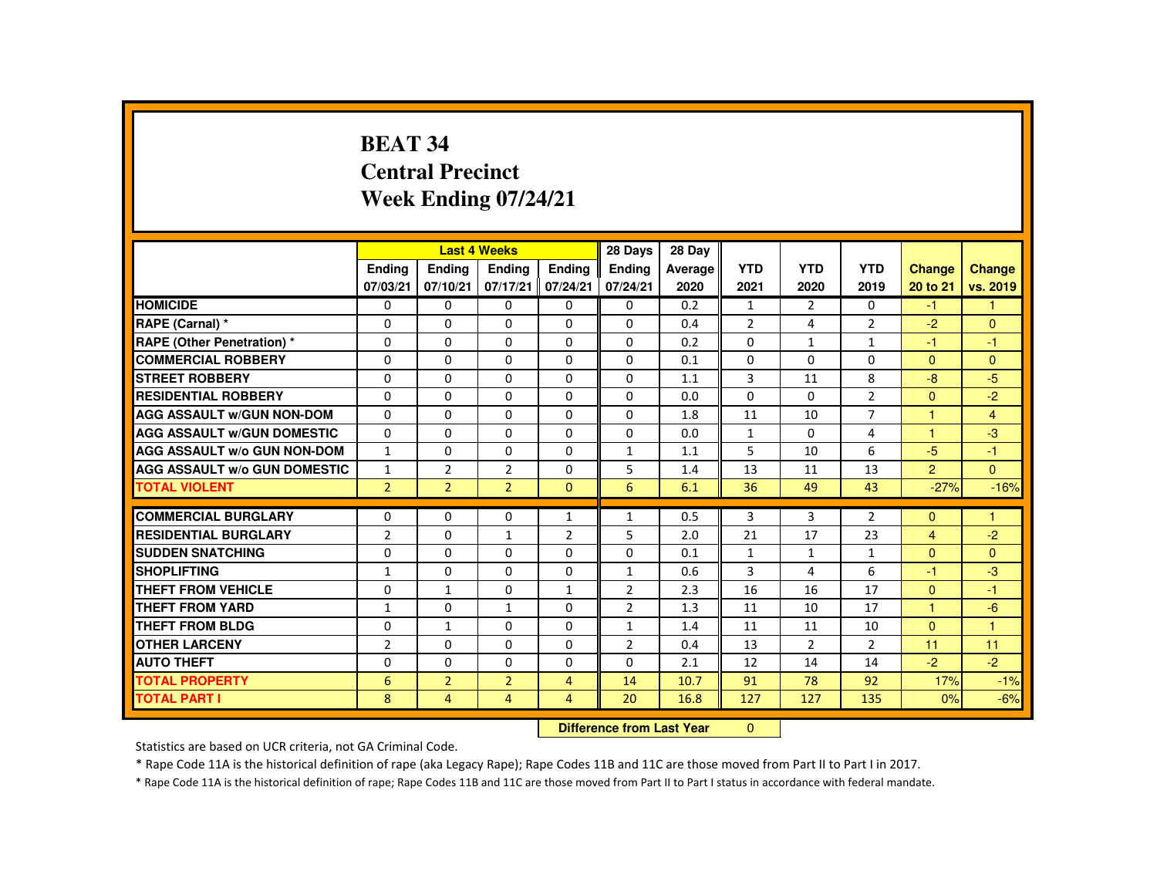# **BEAT 34 Central PrecinctWeek Ending 07/24/21**

|                                     |                |                | <b>Last 4 Weeks</b> |                | 28 Days                   | 28 Day  |                |                |                |                |                |
|-------------------------------------|----------------|----------------|---------------------|----------------|---------------------------|---------|----------------|----------------|----------------|----------------|----------------|
|                                     | <b>Endina</b>  | Ending         | Ending              | <b>Endina</b>  | <b>Endina</b>             | Average | <b>YTD</b>     | <b>YTD</b>     | <b>YTD</b>     | <b>Change</b>  | Change         |
|                                     | 07/03/21       | 07/10/21       | 07/17/21            | 07/24/21       | 07/24/21                  | 2020    | 2021           | 2020           | 2019           | 20 to 21       | vs. 2019       |
| <b>HOMICIDE</b>                     | $\mathbf{0}$   | $\Omega$       | $\Omega$            | $\Omega$       | 0                         | 0.2     | $\mathbf{1}$   | 2              | $\Omega$       | $-1$           | 1              |
| RAPE (Carnal) *                     | 0              | $\Omega$       | $\Omega$            | 0              | $\Omega$                  | 0.4     | $\overline{2}$ | 4              | $\overline{2}$ | $-2$           | $\Omega$       |
| RAPE (Other Penetration) *          | 0              | $\Omega$       | $\Omega$            | $\Omega$       | $\Omega$                  | 0.2     | $\Omega$       | $\mathbf{1}$   | $\mathbf{1}$   | $-1$           | $-1$           |
| <b>COMMERCIAL ROBBERY</b>           | $\Omega$       | $\Omega$       | $\Omega$            | $\Omega$       | $\Omega$                  | 0.1     | $\Omega$       | $\Omega$       | $\Omega$       | $\Omega$       | $\Omega$       |
| <b>STREET ROBBERY</b>               | $\Omega$       | $\Omega$       | $\Omega$            | $\Omega$       | $\Omega$                  | 1.1     | 3              | 11             | 8              | $-8$           | $-5$           |
| <b>RESIDENTIAL ROBBERY</b>          | 0              | 0              | 0                   | 0              | 0                         | 0.0     | $\Omega$       | 0              | $\overline{2}$ | $\Omega$       | $-2$           |
| <b>AGG ASSAULT w/GUN NON-DOM</b>    | $\Omega$       | $\Omega$       | $\Omega$            | $\Omega$       | $\Omega$                  | 1.8     | 11             | 10             | $\overline{7}$ |                | $\overline{4}$ |
| <b>AGG ASSAULT W/GUN DOMESTIC</b>   | $\Omega$       | $\Omega$       | $\Omega$            | $\Omega$       | $\Omega$                  | 0.0     | $\mathbf{1}$   | $\Omega$       | 4              | $\overline{1}$ | $-3$           |
| <b>AGG ASSAULT W/o GUN NON-DOM</b>  | $\mathbf{1}$   | $\Omega$       | $\Omega$            | $\Omega$       | $\mathbf{1}$              | 1.1     | 5              | 10             | 6              | $-5$           | $-1$           |
| <b>AGG ASSAULT W/o GUN DOMESTIC</b> | $\mathbf{1}$   | $\overline{2}$ | $\overline{2}$      | $\Omega$       | 5                         | 1.4     | 13             | 11             | 13             | $\overline{2}$ | $\Omega$       |
| <b>TOTAL VIOLENT</b>                | $\overline{2}$ | $\overline{2}$ | $\overline{2}$      | $\Omega$       | 6                         | 6.1     | 36             | 49             | 43             | $-27%$         | $-16%$         |
| <b>COMMERCIAL BURGLARY</b>          | 0              | $\Omega$       | $\Omega$            | $\mathbf{1}$   | $\mathbf{1}$              | 0.5     | 3              | $\overline{3}$ | $\overline{2}$ | $\Omega$       | 1              |
| <b>RESIDENTIAL BURGLARY</b>         | 2              | $\Omega$       | $\mathbf{1}$        | 2              | 5                         | 2.0     | 21             | 17             | 23             | $\overline{4}$ | $-2$           |
| <b>SUDDEN SNATCHING</b>             | $\Omega$       | $\Omega$       | $\Omega$            | $\Omega$       | $\Omega$                  | 0.1     | $\mathbf{1}$   | $\mathbf{1}$   | $\mathbf{1}$   | $\mathbf{0}$   | $\Omega$       |
| <b>SHOPLIFTING</b>                  | $\mathbf{1}$   | $\Omega$       | $\Omega$            | $\Omega$       | $\mathbf{1}$              | 0.6     | 3              | 4              | 6              | $-1$           | $-3$           |
| <b>THEFT FROM VEHICLE</b>           | $\Omega$       | $\mathbf{1}$   | $\Omega$            | $\mathbf{1}$   | $\overline{2}$            | 2.3     | 16             | 16             | 17             | $\Omega$       | $-1$           |
| <b>THEFT FROM YARD</b>              | $\mathbf{1}$   | $\Omega$       | $\mathbf{1}$        | $\Omega$       | $\overline{2}$            | 1.3     | 11             | 10             | 17             | $\mathbf{1}$   | $-6$           |
| <b>THEFT FROM BLDG</b>              | 0              | $\mathbf{1}$   | 0                   | $\Omega$       | $\mathbf{1}$              | 1.4     | 11             | 11             | 10             | $\Omega$       | $\overline{1}$ |
| <b>OTHER LARCENY</b>                | $\overline{2}$ | $\Omega$       | $\Omega$            | $\Omega$       | $\overline{2}$            | 0.4     | 13             | $\overline{2}$ | $\overline{2}$ | 11             | 11             |
| <b>AUTO THEFT</b>                   | $\Omega$       | $\Omega$       | $\Omega$            | $\Omega$       | $\Omega$                  | 2.1     | 12             | 14             | 14             | $-2$           | $-2$           |
| <b>TOTAL PROPERTY</b>               | 6              | $\overline{2}$ | $\overline{2}$      | $\overline{4}$ | 14                        | 10.7    | 91             | 78             | 92             | 17%            | $-1%$          |
| <b>TOTAL PART I</b>                 | 8              | $\overline{4}$ | 4                   | 4              | 20                        | 16.8    | 127            | 127            | 135            | 0%             | $-6%$          |
|                                     |                |                |                     |                | Difference from Leat Voor |         | $\sim$         |                |                |                |                |

 **Difference from Last Year**r 0

Statistics are based on UCR criteria, not GA Criminal Code.

\* Rape Code 11A is the historical definition of rape (aka Legacy Rape); Rape Codes 11B and 11C are those moved from Part II to Part I in 2017.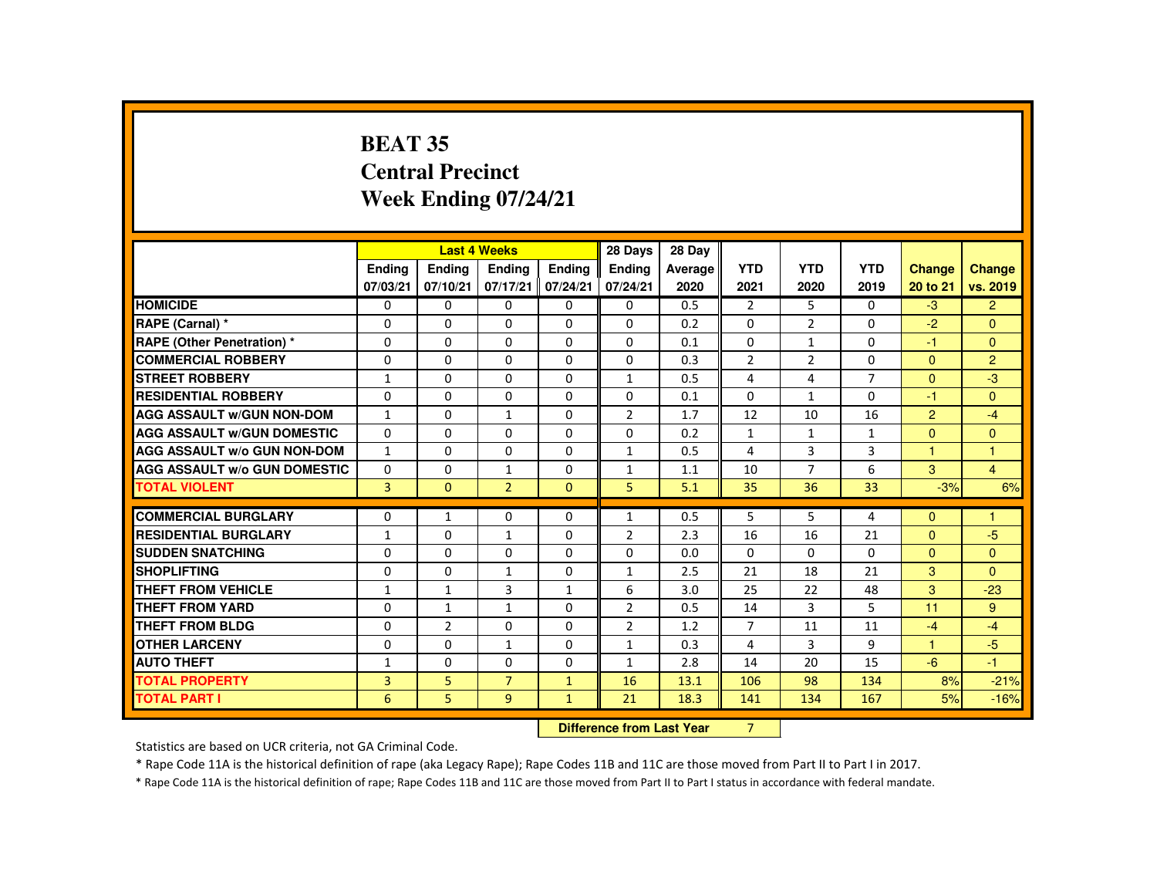# **BEAT 35 Central PrecinctWeek Ending 07/24/21**

|                                     |                | <b>Last 4 Weeks</b> |                |                   | 28 Days                                                                                                                                                                                                                        | 28 Day  |                |                |                |                |                |
|-------------------------------------|----------------|---------------------|----------------|-------------------|--------------------------------------------------------------------------------------------------------------------------------------------------------------------------------------------------------------------------------|---------|----------------|----------------|----------------|----------------|----------------|
|                                     | <b>Endina</b>  | <b>Ending</b>       | <b>Ending</b>  | Ending            | Ending                                                                                                                                                                                                                         | Average | <b>YTD</b>     | <b>YTD</b>     | <b>YTD</b>     | <b>Change</b>  | <b>Change</b>  |
|                                     | 07/03/21       | 07/10/21            | 07/17/21       | 07/24/21          | 07/24/21                                                                                                                                                                                                                       | 2020    | 2021           | 2020           | 2019           | 20 to 21       | vs. 2019       |
| <b>HOMICIDE</b>                     | $\Omega$       | 0                   | $\Omega$       | 0                 | 0                                                                                                                                                                                                                              | 0.5     | $\overline{2}$ | 5              | $\mathbf{0}$   | $-3$           | $\overline{2}$ |
| RAPE (Carnal) *                     | 0              | 0                   | $\Omega$       | $\Omega$          | $\Omega$                                                                                                                                                                                                                       | 0.2     | $\Omega$       | $\overline{2}$ | 0              | $-2$           | $\Omega$       |
| <b>RAPE (Other Penetration) *</b>   | $\Omega$       | $\Omega$            | $\Omega$       | $\Omega$          | $\Omega$                                                                                                                                                                                                                       | 0.1     | $\Omega$       | $\mathbf{1}$   | $\Omega$       | -1             | $\Omega$       |
| <b>COMMERCIAL ROBBERY</b>           | $\Omega$       | $\Omega$            | $\Omega$       | $\Omega$          | $\Omega$                                                                                                                                                                                                                       | 0.3     | $\overline{2}$ | 2              | $\Omega$       | $\Omega$       | 2              |
| <b>STREET ROBBERY</b>               | $\mathbf{1}$   | $\Omega$            | $\Omega$       | $\Omega$          | $\mathbf{1}$                                                                                                                                                                                                                   | 0.5     | 4              | 4              | $\overline{7}$ | $\Omega$       | $-3$           |
| <b>RESIDENTIAL ROBBERY</b>          | $\Omega$       | 0                   | 0              | 0                 | 0                                                                                                                                                                                                                              | 0.1     | $\Omega$       | $\mathbf{1}$   | 0              | -1             | $\Omega$       |
| <b>AGG ASSAULT w/GUN NON-DOM</b>    | $\mathbf{1}$   | 0                   | $\mathbf{1}$   | 0                 | $\overline{2}$                                                                                                                                                                                                                 | 1.7     | 12             | 10             | 16             | $\overline{2}$ | $-4$           |
| <b>AGG ASSAULT W/GUN DOMESTIC</b>   | $\Omega$       | $\Omega$            | $\Omega$       | $\Omega$          | $\Omega$                                                                                                                                                                                                                       | 0.2     | $\mathbf{1}$   | $\mathbf{1}$   | $\mathbf{1}$   | $\Omega$       | $\mathbf{0}$   |
| <b>AGG ASSAULT W/o GUN NON-DOM</b>  | $\mathbf{1}$   | $\Omega$            | $\Omega$       | $\Omega$          | $\mathbf{1}$                                                                                                                                                                                                                   | 0.5     | 4              | 3              | 3              | $\mathbf{1}$   | $\mathbf{1}$   |
| <b>AGG ASSAULT W/o GUN DOMESTIC</b> | $\Omega$       | $\Omega$            | $\mathbf{1}$   | $\Omega$          | $\mathbf{1}$                                                                                                                                                                                                                   | 1.1     | 10             | $\overline{7}$ | 6              | 3              | $\overline{4}$ |
| <b>TOTAL VIOLENT</b>                | 3              | $\mathbf{0}$        | $\overline{2}$ | $\Omega$          | 5                                                                                                                                                                                                                              | 5.1     | 35             | 36             | 33             | $-3%$          | 6%             |
|                                     |                |                     |                |                   |                                                                                                                                                                                                                                |         |                |                |                |                |                |
| <b>COMMERCIAL BURGLARY</b>          | $\Omega$       | $\mathbf{1}$        | $\Omega$       | $\Omega$          | $\mathbf{1}$                                                                                                                                                                                                                   | 0.5     | 5              | 5              | 4              | $\Omega$       | 1              |
| <b>RESIDENTIAL BURGLARY</b>         | $\mathbf{1}$   | $\Omega$            | $\mathbf{1}$   | $\Omega$          | $\overline{2}$                                                                                                                                                                                                                 | 2.3     | 16             | 16             | 21             | $\Omega$       | $-5$           |
| <b>SUDDEN SNATCHING</b>             | $\Omega$       | 0                   | $\Omega$       | 0                 | 0                                                                                                                                                                                                                              | 0.0     | 0              | 0              | $\Omega$       | $\Omega$       | $\mathbf{0}$   |
| <b>SHOPLIFTING</b>                  | $\Omega$       | $\Omega$            | $\mathbf{1}$   | $\Omega$          | $\mathbf{1}$                                                                                                                                                                                                                   | 2.5     | 21             | 18             | 21             | 3              | $\Omega$       |
| <b>THEFT FROM VEHICLE</b>           | $\mathbf{1}$   | $\mathbf{1}$        | 3              | $\mathbf{1}$      | 6                                                                                                                                                                                                                              | 3.0     | 25             | 22             | 48             | 3              | $-23$          |
| <b>THEFT FROM YARD</b>              | $\Omega$       | $\mathbf{1}$        | $\mathbf{1}$   | $\Omega$          | $\overline{2}$                                                                                                                                                                                                                 | 0.5     | 14             | 3              | 5              | 11             | 9              |
| <b>THEFT FROM BLDG</b>              | $\Omega$       | $\overline{2}$      | $\Omega$       | $\Omega$          | $\overline{2}$                                                                                                                                                                                                                 | 1.2     | $\overline{7}$ | 11             | 11             | $-4$           | $-4$           |
| <b>OTHER LARCENY</b>                | $\Omega$       | $\Omega$            | $\mathbf{1}$   | $\Omega$          | $\mathbf{1}$                                                                                                                                                                                                                   | 0.3     | 4              | 3              | 9              | $\overline{1}$ | $-5$           |
| <b>AUTO THEFT</b>                   | $\mathbf{1}$   | $\Omega$            | $\Omega$       | $\Omega$          | $\mathbf{1}$                                                                                                                                                                                                                   | 2.8     | 14             | 20             | 15             | $-6$           | $-1$           |
| <b>TOTAL PROPERTY</b>               | $\overline{3}$ | 5                   | $\overline{7}$ | $\mathbf{1}$      | 16                                                                                                                                                                                                                             | 13.1    | 106            | 98             | 134            | 8%             | $-21%$         |
| <b>TOTAL PART I</b>                 | 6              | 5                   | 9 <sup>°</sup> | $\mathbf{1}$      | 21                                                                                                                                                                                                                             | 18.3    | 141            | 134            | 167            | 5%             | $-16%$         |
|                                     |                |                     |                | <b>COLLECTION</b> | and the company of the company of the company of the company of the company of the company of the company of the company of the company of the company of the company of the company of the company of the company of the comp |         | $\sim$         |                |                |                |                |

 **Difference from Last Year**r 7

Statistics are based on UCR criteria, not GA Criminal Code.

\* Rape Code 11A is the historical definition of rape (aka Legacy Rape); Rape Codes 11B and 11C are those moved from Part II to Part I in 2017.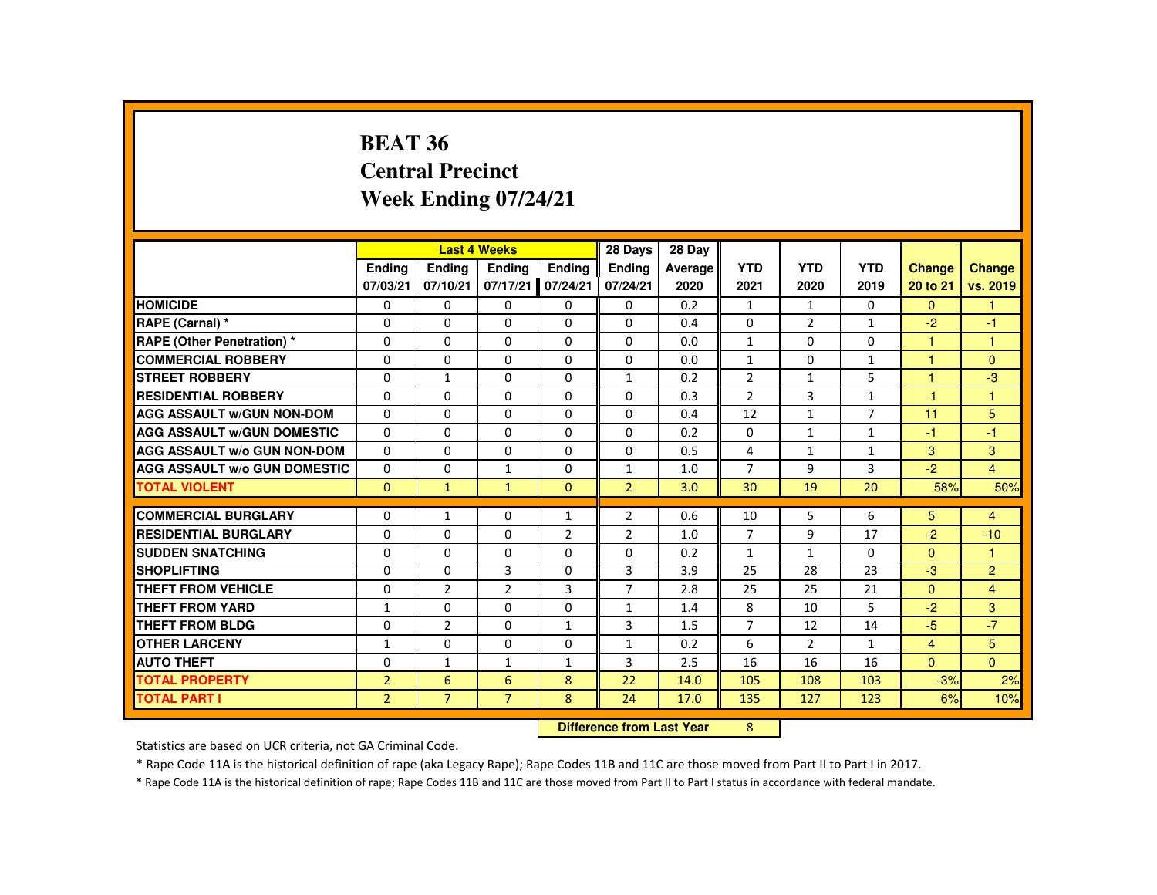#### **BEAT 36 Central PrecinctWeek Ending 07/24/21**

|                                     |                |                | <b>Last 4 Weeks</b>              |                | 28 Days        | 28 Day  |                |                |                |                |                |
|-------------------------------------|----------------|----------------|----------------------------------|----------------|----------------|---------|----------------|----------------|----------------|----------------|----------------|
|                                     | Ending         | <b>Endina</b>  | <b>Endina</b>                    | Ending         | <b>Endina</b>  | Average | <b>YTD</b>     | <b>YTD</b>     | <b>YTD</b>     | <b>Change</b>  | <b>Change</b>  |
|                                     | 07/03/21       | 07/10/21       | 07/17/21                         | 07/24/21       | 07/24/21       | 2020    | 2021           | 2020           | 2019           | 20 to 21       | vs. 2019       |
| <b>HOMICIDE</b>                     | 0              | $\Omega$       | $\Omega$                         | 0              | 0              | 0.2     | $\mathbf{1}$   | $\mathbf{1}$   | $\mathbf{0}$   | $\Omega$       | $\mathbf{1}$   |
| RAPE (Carnal) *                     | 0              | 0              | 0                                | 0              | 0              | 0.4     | 0              | 2              | 1              | $-2$           | $-1$           |
| <b>RAPE (Other Penetration) *</b>   | 0              | 0              | 0                                | 0              | $\Omega$       | 0.0     | $\mathbf{1}$   | 0              | $\Omega$       | 1              | $\mathbf{1}$   |
| <b>COMMERCIAL ROBBERY</b>           | $\Omega$       | $\Omega$       | $\Omega$                         | $\Omega$       | $\Omega$       | 0.0     | $\mathbf{1}$   | $\Omega$       | $\mathbf{1}$   | $\overline{1}$ | $\mathbf{0}$   |
| <b>STREET ROBBERY</b>               | $\Omega$       | $\mathbf{1}$   | $\Omega$                         | $\Omega$       | $\mathbf{1}$   | 0.2     | $\overline{2}$ | $\mathbf{1}$   | 5              | $\overline{1}$ | $-3$           |
| <b>RESIDENTIAL ROBBERY</b>          | $\Omega$       | $\Omega$       | $\Omega$                         | 0              | $\Omega$       | 0.3     | $\overline{2}$ | 3              | $\mathbf{1}$   | $-1$           | $\mathbf{1}$   |
| <b>AGG ASSAULT W/GUN NON-DOM</b>    | $\Omega$       | $\Omega$       | $\Omega$                         | $\Omega$       | $\Omega$       | 0.4     | 12             | $\mathbf{1}$   | $\overline{7}$ | 11             | 5              |
| <b>AGG ASSAULT W/GUN DOMESTIC</b>   | $\Omega$       | $\Omega$       | $\Omega$                         | $\Omega$       | $\Omega$       | 0.2     | $\Omega$       | $\mathbf{1}$   | $\mathbf{1}$   | $-1$           | $-1$           |
| <b>AGG ASSAULT W/o GUN NON-DOM</b>  | 0              | 0              | 0                                | 0              | 0              | 0.5     | 4              | $\mathbf{1}$   | $\mathbf{1}$   | 3              | 3              |
| <b>AGG ASSAULT W/o GUN DOMESTIC</b> | $\Omega$       | $\Omega$       | 1                                | $\Omega$       | $\mathbf{1}$   | 1.0     | $\overline{7}$ | 9              | 3              | $-2$           | $\overline{4}$ |
| <b>TOTAL VIOLENT</b>                | $\mathbf{0}$   | $\mathbf{1}$   | $\mathbf{1}$                     | $\mathbf{0}$   | $\overline{2}$ | 3.0     | 30             | 19             | 20             | 58%            | 50%            |
| <b>COMMERCIAL BURGLARY</b>          | 0              | $\mathbf{1}$   | 0                                | $\mathbf{1}$   | 2              | 0.6     | 10             | 5              | 6              | 5              | $\overline{4}$ |
| <b>RESIDENTIAL BURGLARY</b>         | 0              | $\Omega$       | $\Omega$                         | $\overline{2}$ | $\overline{2}$ | 1.0     | $\overline{7}$ | 9              | 17             | $-2$           | $-10$          |
| <b>SUDDEN SNATCHING</b>             | $\Omega$       | $\Omega$       | $\Omega$                         | $\Omega$       | $\Omega$       | 0.2     | $\mathbf{1}$   | $\mathbf{1}$   | $\Omega$       | $\Omega$       | $\mathbf{1}$   |
| <b>SHOPLIFTING</b>                  | 0              | 0              | 3                                | 0              | 3              | 3.9     | 25             | 28             | 23             | $-3$           | $\overline{2}$ |
| <b>THEFT FROM VEHICLE</b>           | $\Omega$       | $\overline{2}$ | $\overline{2}$                   | 3              | $\overline{7}$ | 2.8     | 25             | 25             | 21             | $\Omega$       | $\overline{4}$ |
| <b>THEFT FROM YARD</b>              | $\mathbf{1}$   | 0              | $\Omega$                         | 0              | $\mathbf{1}$   | 1.4     | 8              | 10             | 5              | $-2$           | 3              |
| <b>THEFT FROM BLDG</b>              | 0              | $\overline{2}$ | $\Omega$                         | $\mathbf{1}$   | 3              | 1.5     | $\overline{7}$ | 12             | 14             | $-5$           | $-7$           |
| <b>OTHER LARCENY</b>                | $\mathbf{1}$   | $\Omega$       | $\Omega$                         | $\Omega$       | $\mathbf{1}$   | 0.2     | 6              | $\overline{2}$ | $\mathbf{1}$   | $\overline{4}$ | 5              |
| <b>AUTO THEFT</b>                   | $\Omega$       | $\mathbf{1}$   | $\mathbf{1}$                     | $\mathbf{1}$   | 3              | 2.5     | 16             | 16             | 16             | $\Omega$       | $\Omega$       |
| <b>TOTAL PROPERTY</b>               | $\overline{2}$ | 6              | 6                                | 8              | 22             | 14.0    | 105            | 108            | 103            | $-3%$          | 2%             |
| <b>TOTAL PART I</b>                 | $\overline{2}$ | $\overline{7}$ | $\overline{7}$                   | 8              | 24             | 17.0    | 135            | 127            | 123            | 6%             | 10%            |
|                                     |                |                | <b>Difference from Last Year</b> |                | 8              |         |                |                |                |                |                |

 **Difference from Last Year**

Statistics are based on UCR criteria, not GA Criminal Code.

\* Rape Code 11A is the historical definition of rape (aka Legacy Rape); Rape Codes 11B and 11C are those moved from Part II to Part I in 2017.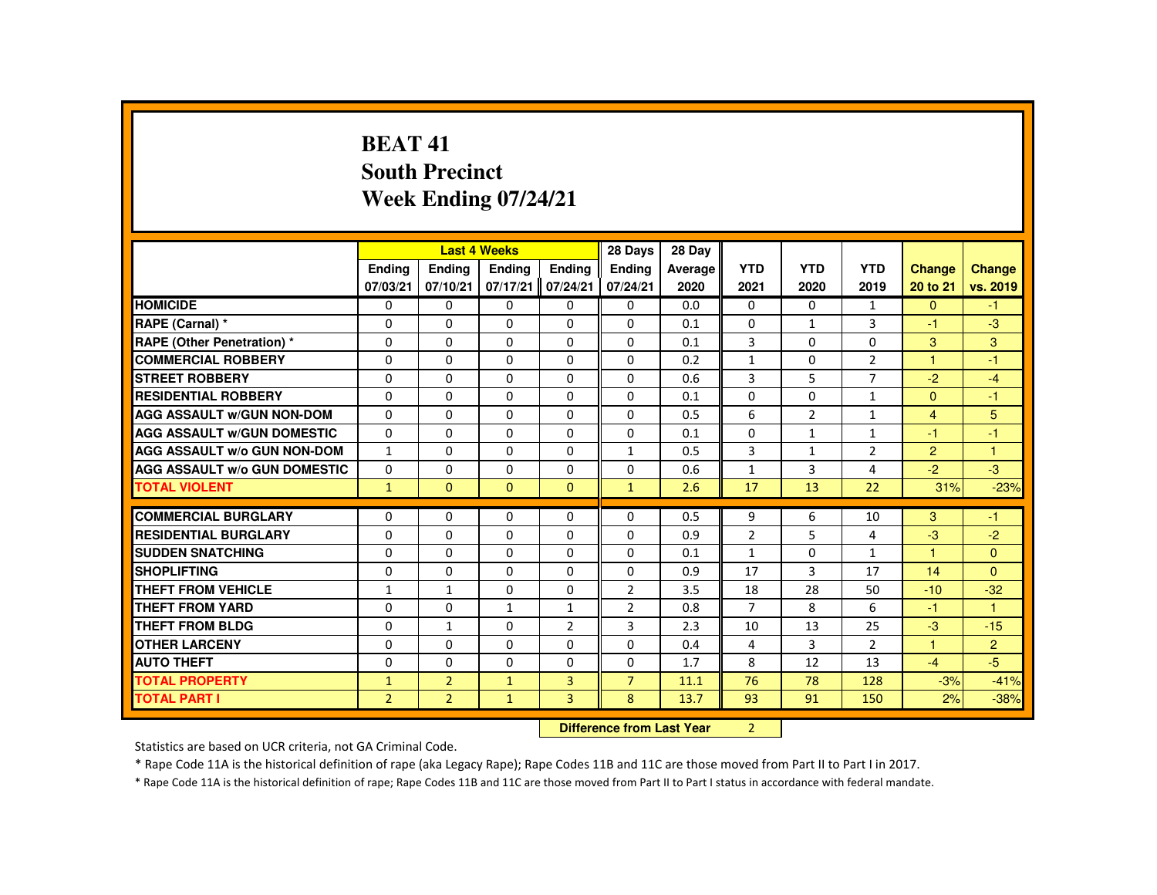## **BEAT 41 South PrecinctWeek Ending 07/24/21**

|                                     |                |                | <b>Last 4 Weeks</b> |                | 28 Days        | 28 Day                                  |                |                |                |                |                |
|-------------------------------------|----------------|----------------|---------------------|----------------|----------------|-----------------------------------------|----------------|----------------|----------------|----------------|----------------|
|                                     | <b>Ending</b>  | <b>Ending</b>  | <b>Ending</b>       | Ending         | Ending         | Average                                 | <b>YTD</b>     | <b>YTD</b>     | <b>YTD</b>     | <b>Change</b>  | <b>Change</b>  |
|                                     | 07/03/21       | 07/10/21       | 07/17/21            | 07/24/21       | 07/24/21       | 2020                                    | 2021           | 2020           | 2019           | 20 to 21       | vs. 2019       |
| <b>HOMICIDE</b>                     | $\Omega$       | $\Omega$       | $\mathbf{0}$        | $\mathbf{0}$   | 0              | 0.0                                     | 0              | $\Omega$       | $\mathbf{1}$   | $\Omega$       | $-1$           |
| RAPE (Carnal) *                     | 0              | $\Omega$       | $\Omega$            | $\Omega$       | $\Omega$       | 0.1                                     | $\Omega$       | $\mathbf{1}$   | 3              | -1             | $-3$           |
| RAPE (Other Penetration) *          | $\Omega$       | $\Omega$       | $\Omega$            | $\Omega$       | $\Omega$       | 0.1                                     | 3              | $\Omega$       | $\Omega$       | 3              | 3              |
| <b>COMMERCIAL ROBBERY</b>           | $\Omega$       | $\Omega$       | $\Omega$            | $\Omega$       | $\Omega$       | 0.2                                     | $\mathbf{1}$   | $\Omega$       | $\overline{2}$ | 1              | $-1$           |
| <b>STREET ROBBERY</b>               | $\Omega$       | $\Omega$       | $\Omega$            | $\Omega$       | $\Omega$       | 0.6                                     | 3              | 5              | $\overline{7}$ | $-2$           | $-4$           |
| <b>RESIDENTIAL ROBBERY</b>          | $\Omega$       | $\Omega$       | $\Omega$            | $\mathbf{0}$   | 0              | 0.1                                     | $\Omega$       | 0              | $\mathbf{1}$   | $\Omega$       | $-1$           |
| <b>AGG ASSAULT W/GUN NON-DOM</b>    | $\Omega$       | $\Omega$       | $\Omega$            | $\Omega$       | $\Omega$       | 0.5                                     | 6              | $\overline{2}$ | $\mathbf{1}$   | $\overline{4}$ | 5              |
| <b>AGG ASSAULT W/GUN DOMESTIC</b>   | $\mathbf{0}$   | $\Omega$       | $\Omega$            | $\Omega$       | 0              | 0.1                                     | $\Omega$       | 1              | $\mathbf{1}$   | -1             | $-1$           |
| <b>AGG ASSAULT W/o GUN NON-DOM</b>  | $\mathbf{1}$   | $\Omega$       | $\Omega$            | $\Omega$       | $\mathbf{1}$   | 0.5                                     | 3              | $\mathbf{1}$   | $\overline{2}$ | $\overline{2}$ | $\mathbf{1}$   |
| <b>AGG ASSAULT W/o GUN DOMESTIC</b> | $\Omega$       | $\Omega$       | $\Omega$            | $\Omega$       | $\Omega$       | 0.6                                     | $\mathbf{1}$   | $\overline{3}$ | 4              | $-2$           | $-3$           |
| <b>TOTAL VIOLENT</b>                | $\mathbf{1}$   | $\mathbf{0}$   | $\mathbf{0}$        | $\mathbf{0}$   | $\mathbf{1}$   | 2.6                                     | 17             | 13             | 22             | 31%            | $-23%$         |
|                                     |                |                |                     |                |                |                                         |                |                |                |                |                |
| <b>COMMERCIAL BURGLARY</b>          | $\Omega$       | $\Omega$       | $\Omega$            | $\Omega$       | $\Omega$       | 0.5                                     | 9              | 6              | 10             | 3              | $-1$           |
| <b>RESIDENTIAL BURGLARY</b>         | $\Omega$       | $\Omega$       | $\Omega$            | $\Omega$       | $\Omega$       | 0.9                                     | $\overline{2}$ | 5              | 4              | $-3$           | $-2$           |
| <b>SUDDEN SNATCHING</b>             | 0              | $\mathbf{0}$   | $\mathbf{0}$        | 0              | 0              | 0.1                                     | $\mathbf{1}$   | 0              | $\mathbf{1}$   | 1              | $\mathbf{0}$   |
| <b>SHOPLIFTING</b>                  | $\Omega$       | $\Omega$       | $\Omega$            | $\Omega$       | $\Omega$       | 0.9                                     | 17             | 3              | 17             | 14             | $\Omega$       |
| <b>THEFT FROM VEHICLE</b>           | $\mathbf{1}$   | $\mathbf{1}$   | $\Omega$            | $\Omega$       | $\overline{2}$ | 3.5                                     | 18             | 28             | 50             | $-10$          | $-32$          |
| <b>THEFT FROM YARD</b>              | $\Omega$       | $\Omega$       | $\mathbf{1}$        | $\mathbf{1}$   | $\overline{2}$ | 0.8                                     | $\overline{7}$ | 8              | 6              | $-1$           | $\mathbf{1}$   |
| <b>THEFT FROM BLDG</b>              | $\Omega$       | $\mathbf{1}$   | $\Omega$            | $\overline{2}$ | 3              | 2.3                                     | 10             | 13             | 25             | $-3$           | $-15$          |
| <b>OTHER LARCENY</b>                | $\mathbf{0}$   | $\Omega$       | $\Omega$            | $\Omega$       | $\Omega$       | 0.4                                     | 4              | 3              | $\overline{2}$ | 1              | $\overline{2}$ |
| <b>AUTO THEFT</b>                   | $\Omega$       | $\Omega$       | $\Omega$            | $\Omega$       | $\Omega$       | 1.7                                     | 8              | 12             | 13             | $-4$           | $-5$           |
| <b>TOTAL PROPERTY</b>               | $\mathbf{1}$   | $\overline{2}$ | $\mathbf{1}$        | $\overline{3}$ | $\overline{7}$ | 11.1                                    | 76             | 78             | 128            | $-3%$          | $-41%$         |
| <b>TOTAL PART I</b>                 | $\overline{2}$ | $\overline{2}$ | $\mathbf{1}$        | $\overline{3}$ | 8              | 13.7                                    | 93             | 91             | 150            | 2%             | $-38%$         |
|                                     |                |                |                     | <b>CARLES</b>  | .              | $\sim$ 100 $\sim$ 100 $\sim$ 100 $\sim$ | $\sim$         |                |                |                |                |

 **Difference from Last Year**<sup>2</sup>

Statistics are based on UCR criteria, not GA Criminal Code.

\* Rape Code 11A is the historical definition of rape (aka Legacy Rape); Rape Codes 11B and 11C are those moved from Part II to Part I in 2017.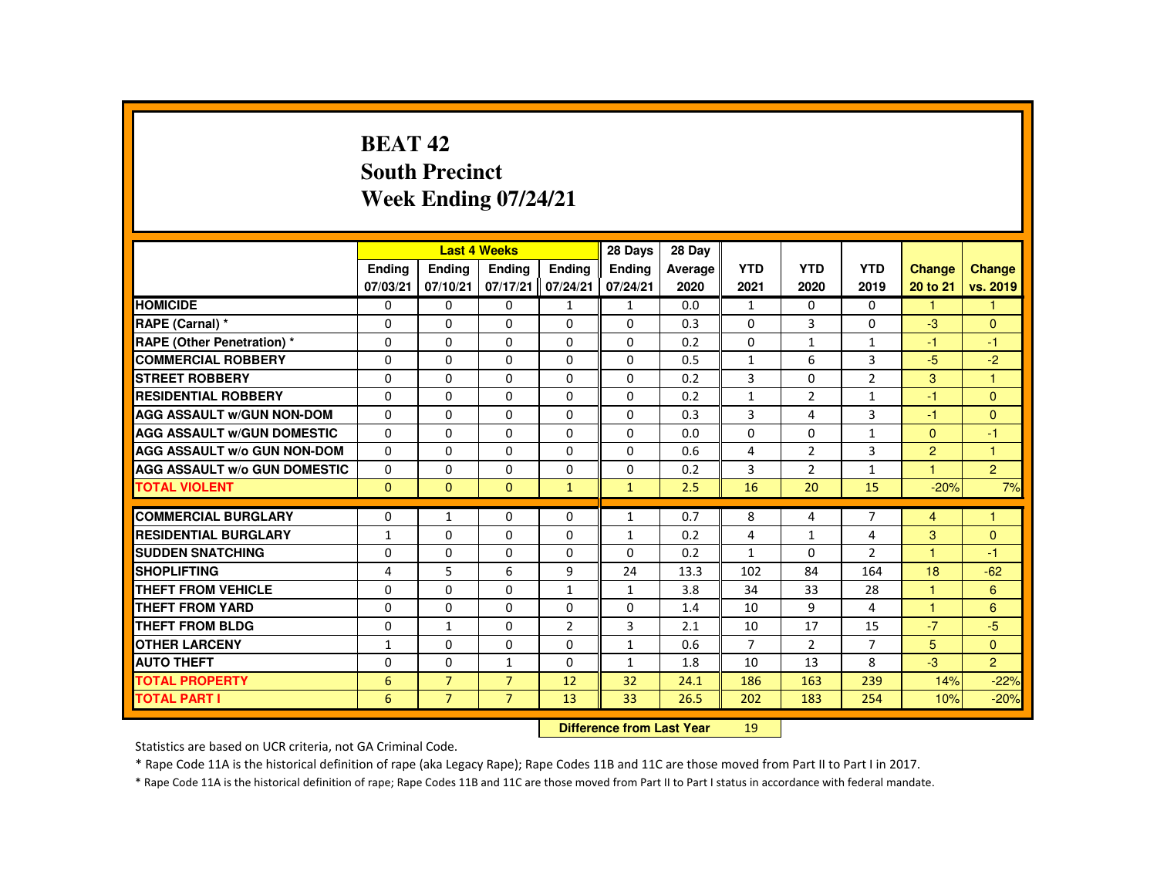# **BEAT 42 South PrecinctWeek Ending 07/24/21**

|                                     |                           |                | <b>Last 4 Weeks</b> |                | 28 Days       | 28 Day  |                 |                |                |                |                |
|-------------------------------------|---------------------------|----------------|---------------------|----------------|---------------|---------|-----------------|----------------|----------------|----------------|----------------|
|                                     | <b>Endina</b>             | Ending         | Ending              | <b>Endina</b>  | <b>Ending</b> | Average | <b>YTD</b>      | <b>YTD</b>     | <b>YTD</b>     | Change         | <b>Change</b>  |
|                                     | 07/03/21                  | 07/10/21       | 07/17/21            | 07/24/21       | 07/24/21      | 2020    | 2021            | 2020           | 2019           | 20 to 21       | vs. 2019       |
| <b>HOMICIDE</b>                     | 0                         | $\mathbf{0}$   | 0                   | $\mathbf{1}$   | $\mathbf{1}$  | 0.0     | $\mathbf{1}$    | $\Omega$       | $\mathbf{0}$   | 1              | 1              |
| RAPE (Carnal) *                     | $\Omega$                  | $\Omega$       | $\Omega$            | 0              | 0             | 0.3     | 0               | 3              | 0              | $-3$           | $\mathbf{0}$   |
| <b>RAPE (Other Penetration) *</b>   | $\Omega$                  | $\Omega$       | $\Omega$            | $\Omega$       | $\Omega$      | 0.2     | $\Omega$        | $\mathbf{1}$   | $\mathbf{1}$   | $-1$           | $-1$           |
| <b>COMMERCIAL ROBBERY</b>           | $\Omega$                  | $\Omega$       | $\Omega$            | $\Omega$       | $\Omega$      | 0.5     | $\mathbf{1}$    | 6              | 3              | $-5$           | $-2$           |
| <b>STREET ROBBERY</b>               | $\Omega$                  | $\Omega$       | $\Omega$            | $\Omega$       | $\Omega$      | 0.2     | 3               | $\Omega$       | $\overline{2}$ | 3              | $\mathbf{1}$   |
| <b>RESIDENTIAL ROBBERY</b>          | $\mathbf{0}$              | $\mathbf{0}$   | 0                   | $\Omega$       | $\Omega$      | 0.2     | $\mathbf{1}$    | $\overline{2}$ | $\mathbf{1}$   | $-1$           | $\Omega$       |
| <b>AGG ASSAULT W/GUN NON-DOM</b>    | $\Omega$                  | $\Omega$       | $\Omega$            | $\Omega$       | $\Omega$      | 0.3     | 3               | 4              | $\overline{3}$ | $-1$           | $\Omega$       |
| <b>AGG ASSAULT W/GUN DOMESTIC</b>   | $\Omega$                  | $\Omega$       | $\Omega$            | $\Omega$       | $\Omega$      | 0.0     | $\Omega$        | $\Omega$       | $\mathbf{1}$   | $\mathbf{0}$   | $-1$           |
| <b>AGG ASSAULT W/o GUN NON-DOM</b>  | $\Omega$                  | $\Omega$       | $\Omega$            | $\Omega$       | $\Omega$      | 0.6     | 4               | 2              | $\overline{3}$ | $\overline{2}$ | $\mathbf{1}$   |
| <b>AGG ASSAULT W/o GUN DOMESTIC</b> | 0                         | $\mathbf{0}$   | 0                   | 0              | 0             | 0.2     | 3               | 2              | $\mathbf{1}$   | $\mathbf{1}$   | $\overline{c}$ |
| <b>TOTAL VIOLENT</b>                | $\Omega$                  | $\mathbf{0}$   | $\mathbf{0}$        | $\mathbf{1}$   | $\mathbf{1}$  | 2.5     | 16              | 20             | 15             | $-20%$         | 7%             |
| <b>COMMERCIAL BURGLARY</b>          | $\Omega$                  | $\mathbf{1}$   | $\Omega$            | $\Omega$       | $\mathbf{1}$  | 0.7     | 8               | 4              | $\overline{7}$ | $\overline{4}$ | 1              |
| <b>RESIDENTIAL BURGLARY</b>         | $\mathbf{1}$              | $\Omega$       | $\Omega$            | $\Omega$       | 1             | 0.2     | 4               | $\mathbf{1}$   | 4              | 3              | $\mathbf{0}$   |
| <b>SUDDEN SNATCHING</b>             | $\Omega$                  | $\Omega$       | $\Omega$            | 0              | 0             | 0.2     | $\mathbf{1}$    | $\Omega$       | $\overline{2}$ | $\mathbf{1}$   | $-1$           |
| <b>SHOPLIFTING</b>                  | 4                         | 5              | 6                   | 9              | 24            | 13.3    | 102             | 84             | 164            | 18             | $-62$          |
| <b>THEFT FROM VEHICLE</b>           | $\Omega$                  | $\Omega$       | $\Omega$            | $\mathbf{1}$   | $\mathbf{1}$  | 3.8     | 34              | 33             | 28             | $\mathbf{1}$   | 6              |
| <b>THEFT FROM YARD</b>              | $\Omega$                  | $\Omega$       | $\Omega$            | $\Omega$       | $\Omega$      | 1.4     | 10              | 9              | 4              | 1              | 6              |
| <b>THEFT FROM BLDG</b>              | $\Omega$                  | $\mathbf{1}$   | 0                   | $\overline{2}$ | 3             | 2.1     | 10              | 17             | 15             | $-7$           | $-5$           |
| <b>OTHER LARCENY</b>                | $\mathbf{1}$              | $\Omega$       | $\Omega$            | $\Omega$       | $\mathbf{1}$  | 0.6     | $\overline{7}$  | 2              | $\overline{7}$ | 5              | $\Omega$       |
| <b>AUTO THEFT</b>                   | $\Omega$                  | $\Omega$       | $\mathbf{1}$        | $\Omega$       | $\mathbf{1}$  | 1.8     | 10              | 13             | 8              | $-3$           | $\overline{2}$ |
| <b>TOTAL PROPERTY</b>               | 6                         | $\overline{7}$ | $\overline{7}$      | 12             | 32            | 24.1    | 186             | 163            | 239            | 14%            | $-22%$         |
| <b>TOTAL PART I</b>                 | 6                         | $\overline{7}$ | $\overline{7}$      | 13             | 33            | 26.5    | 202             | 183            | 254            | 10%            | $-20%$         |
|                                     | Difference from Loot Voor |                |                     |                |               |         | 10 <sup>1</sup> |                |                |                |                |

 **Difference from Last Year**<sup>19</sup>

Statistics are based on UCR criteria, not GA Criminal Code.

\* Rape Code 11A is the historical definition of rape (aka Legacy Rape); Rape Codes 11B and 11C are those moved from Part II to Part I in 2017.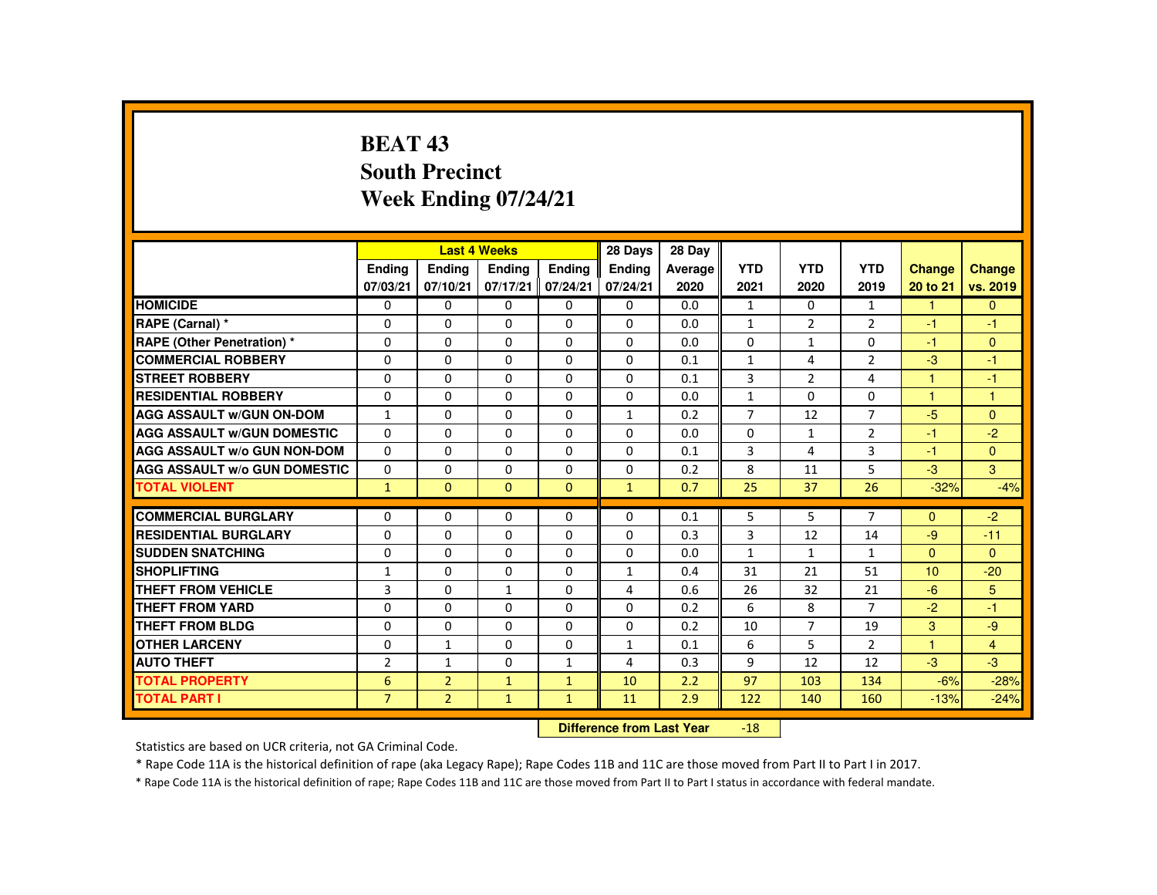## **BEAT 43 South PrecinctWeek Ending 07/24/21**

|                                     |                |                | <b>Last 4 Weeks</b> |              | 28 Days                   | 28 Day  |                    |                |                    |                      |                |
|-------------------------------------|----------------|----------------|---------------------|--------------|---------------------------|---------|--------------------|----------------|--------------------|----------------------|----------------|
|                                     | <b>Endina</b>  | Ending         | <b>Endina</b>       | Ending       | <b>Endina</b>             | Average | <b>YTD</b>         | <b>YTD</b>     | <b>YTD</b>         | <b>Change</b>        | <b>Change</b>  |
|                                     | 07/03/21       | 07/10/21       | 07/17/21            | 07/24/21     | 07/24/21                  | 2020    | 2021               | 2020           | 2019               | 20 to 21             | vs. 2019       |
| <b>HOMICIDE</b>                     | $\Omega$       | $\Omega$       | $\Omega$            | $\Omega$     | 0                         | 0.0     | $\mathbf{1}$       | $\Omega$       | $\mathbf{1}$       | $\mathbf{1}$         | $\overline{0}$ |
| RAPE (Carnal) *                     | $\Omega$       | $\Omega$       | $\Omega$            | $\Omega$     | $\Omega$                  | 0.0     | $\mathbf{1}$       | $\overline{2}$ | $\overline{2}$     | $-1$                 | $-1$           |
| <b>RAPE (Other Penetration) *</b>   | 0              | $\Omega$       | $\Omega$            | $\Omega$     | $\Omega$                  | 0.0     | $\Omega$           | $\mathbf{1}$   | $\Omega$           | $-1$                 | $\mathbf{0}$   |
| <b>COMMERCIAL ROBBERY</b>           | $\Omega$       | $\Omega$       | $\Omega$            | $\Omega$     | $\Omega$                  | 0.1     | $\mathbf{1}$       | 4              | $\overline{2}$     | $-3$                 | $-1$           |
| <b>STREET ROBBERY</b>               | $\Omega$       | $\Omega$       | $\Omega$            | $\Omega$     | $\Omega$                  | 0.1     | 3                  | $\overline{2}$ | 4                  | $\blacktriangleleft$ | $-1$           |
| <b>RESIDENTIAL ROBBERY</b>          | 0              | 0              | 0                   | 0            | 0                         | 0.0     | $\mathbf{1}$       | 0              | 0                  | 1                    | $\overline{1}$ |
| <b>AGG ASSAULT W/GUN ON-DOM</b>     | $\mathbf{1}$   | $\Omega$       | $\Omega$            | $\Omega$     | $\mathbf{1}$              | 0.2     | $\overline{7}$     | 12             | $\overline{7}$     | $-5$                 | $\Omega$       |
| <b>AGG ASSAULT W/GUN DOMESTIC</b>   | $\Omega$       | $\Omega$       | $\Omega$            | $\Omega$     | $\Omega$                  | 0.0     | $\Omega$           | $\mathbf{1}$   | $\overline{2}$     | $-1$                 | $-2$           |
| <b>AGG ASSAULT W/o GUN NON-DOM</b>  | $\Omega$       | $\Omega$       | $\Omega$            | $\mathbf{0}$ | $\Omega$                  | 0.1     | 3                  | 4              | 3                  | $-1$                 | $\Omega$       |
| <b>AGG ASSAULT W/o GUN DOMESTIC</b> | $\Omega$       | $\Omega$       | $\Omega$            | $\Omega$     | $\Omega$                  | 0.2     | 8                  | 11             | 5                  | $-3$                 | 3              |
| <b>TOTAL VIOLENT</b>                | $\mathbf{1}$   | $\Omega$       | $\Omega$            | $\Omega$     | $\mathbf{1}$              | 0.7     | 25                 | 37             | 26                 | $-32%$               | $-4%$          |
| <b>COMMERCIAL BURGLARY</b>          | $\Omega$       | $\Omega$       | $\Omega$            | $\Omega$     | $\Omega$                  | 0.1     | 5                  | 5              | $\overline{7}$     | $\Omega$             | $-2$           |
| <b>RESIDENTIAL BURGLARY</b>         |                |                |                     |              |                           | 0.3     | 3                  | 12             | 14                 | $-9$                 |                |
| <b>SUDDEN SNATCHING</b>             | $\Omega$       | $\Omega$       | $\Omega$            | $\Omega$     | $\Omega$                  |         |                    |                |                    |                      | $-11$          |
| <b>SHOPLIFTING</b>                  | $\Omega$       | 0              | $\Omega$            | $\Omega$     | $\Omega$                  | 0.0     | $\mathbf{1}$<br>31 | 1<br>21        | $\mathbf{1}$<br>51 | $\mathbf{0}$<br>10   | $\Omega$       |
|                                     | $\mathbf{1}$   | $\Omega$       | $\Omega$            | $\Omega$     | $\mathbf{1}$              | 0.4     |                    |                |                    |                      | $-20$          |
| <b>THEFT FROM VEHICLE</b>           | 3              | $\Omega$       | $\mathbf{1}$        | $\Omega$     | 4                         | 0.6     | 26                 | 32             | 21                 | $-6$                 | 5              |
| <b>THEFT FROM YARD</b>              | $\Omega$       | $\Omega$       | $\Omega$            | $\Omega$     | $\Omega$                  | 0.2     | 6                  | 8              | $\overline{7}$     | $-2$                 | $-1$           |
| <b>THEFT FROM BLDG</b>              | $\Omega$       | $\Omega$       | $\Omega$            | $\Omega$     | $\Omega$                  | 0.2     | 10                 | $\overline{7}$ | 19                 | 3                    | $-9$           |
| <b>OTHER LARCENY</b>                | $\Omega$       | $\mathbf{1}$   | $\Omega$            | $\Omega$     | 1                         | 0.1     | 6                  | 5              | $\overline{2}$     | $\overline{1}$       | $\overline{4}$ |
| <b>AUTO THEFT</b>                   | $\overline{2}$ | $\mathbf{1}$   | $\Omega$            | $\mathbf{1}$ | 4                         | 0.3     | 9                  | 12             | 12                 | $-3$                 | $-3$           |
| <b>TOTAL PROPERTY</b>               | 6              | $\overline{2}$ | $\mathbf{1}$        | $\mathbf{1}$ | 10                        | 2.2     | 97                 | 103            | 134                | $-6%$                | $-28%$         |
| <b>TOTAL PART I</b>                 | $\overline{7}$ | $\overline{2}$ | $\mathbf{1}$        | $\mathbf{1}$ | 11                        | 2.9     | 122                | 140            | 160                | $-13%$               | $-24%$         |
|                                     |                |                |                     |              | Difference from Leat Vacu |         | 10                 |                |                    |                      |                |

 **Difference from Last Year**-18

Statistics are based on UCR criteria, not GA Criminal Code.

\* Rape Code 11A is the historical definition of rape (aka Legacy Rape); Rape Codes 11B and 11C are those moved from Part II to Part I in 2017.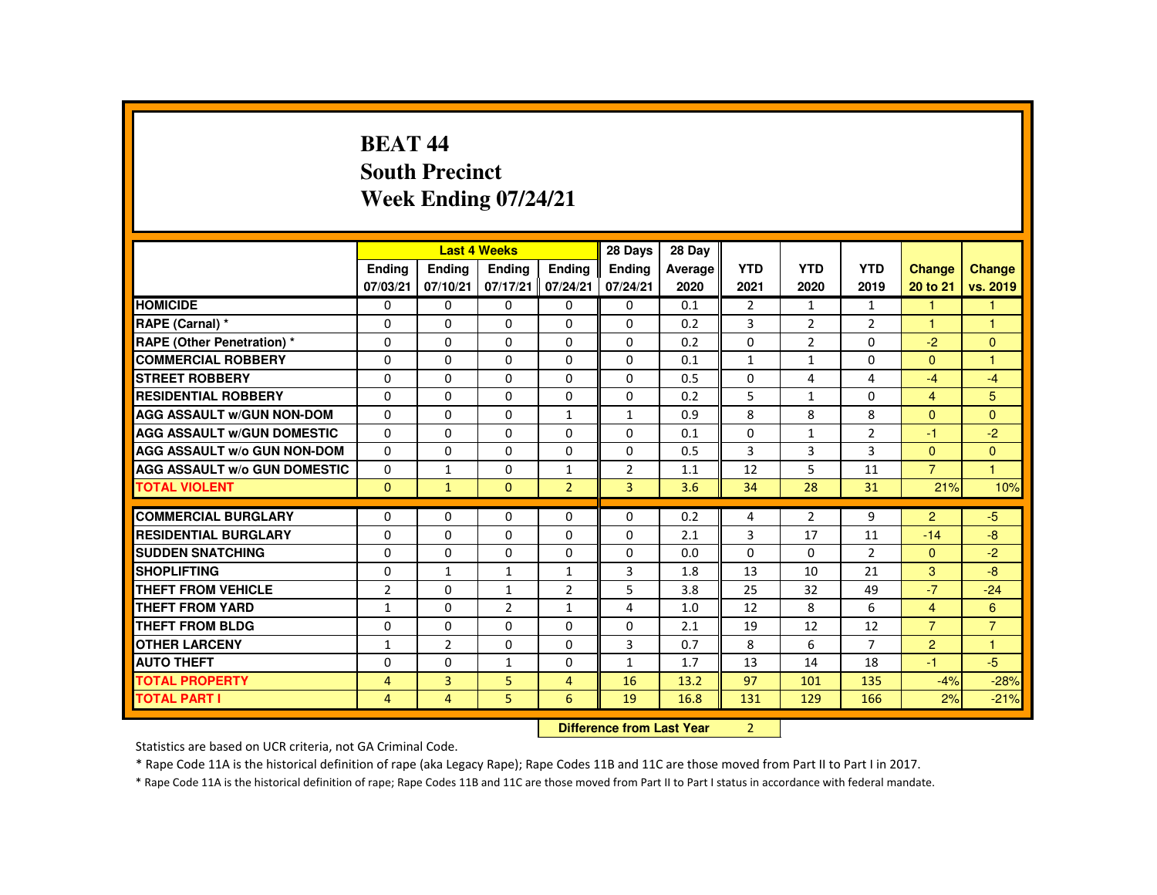### **BEAT 44 South PrecinctWeek Ending 07/24/21**

|                                     |                |                | <b>Last 4 Weeks</b> |                | 28 Days                          | 28 Day  |                |                |                |                |                |
|-------------------------------------|----------------|----------------|---------------------|----------------|----------------------------------|---------|----------------|----------------|----------------|----------------|----------------|
|                                     | <b>Endina</b>  | <b>Endina</b>  | <b>Endina</b>       | <b>Endina</b>  | <b>Endina</b>                    | Average | <b>YTD</b>     | <b>YTD</b>     | <b>YTD</b>     | <b>Change</b>  | <b>Change</b>  |
|                                     | 07/03/21       | 07/10/21       | 07/17/21            | 07/24/21       | 07/24/21                         | 2020    | 2021           | 2020           | 2019           | 20 to 21       | vs. 2019       |
| <b>HOMICIDE</b>                     | $\mathbf{0}$   | 0              | $\Omega$            | 0              | 0                                | 0.1     | $\overline{2}$ | 1              | $\mathbf{1}$   | $\mathbf{1}$   | 1              |
| RAPE (Carnal) *                     | 0              | $\Omega$       | $\Omega$            | $\Omega$       | $\Omega$                         | 0.2     | 3              | $\overline{2}$ | $\overline{2}$ | -1             | 1              |
| <b>RAPE (Other Penetration) *</b>   | $\Omega$       | $\Omega$       | $\Omega$            | $\Omega$       | $\Omega$                         | 0.2     | $\Omega$       | 2              | $\Omega$       | $-2$           | $\mathbf{0}$   |
| <b>COMMERCIAL ROBBERY</b>           | $\Omega$       | $\Omega$       | $\Omega$            | $\Omega$       | $\Omega$                         | 0.1     | $\mathbf{1}$   | $\mathbf{1}$   | $\Omega$       | $\Omega$       | $\mathbf{1}$   |
| <b>STREET ROBBERY</b>               | $\Omega$       | $\Omega$       | $\Omega$            | $\Omega$       | $\Omega$                         | 0.5     | 0              | 4              | 4              | $-4$           | $-4$           |
| <b>RESIDENTIAL ROBBERY</b>          | $\Omega$       | $\Omega$       | $\Omega$            | $\Omega$       | $\Omega$                         | 0.2     | 5              | $\mathbf{1}$   | $\Omega$       | $\overline{4}$ | 5              |
| <b>AGG ASSAULT W/GUN NON-DOM</b>    | $\Omega$       | $\Omega$       | $\Omega$            | $\mathbf{1}$   | $\mathbf{1}$                     | 0.9     | 8              | 8              | 8              | $\Omega$       | $\Omega$       |
| <b>AGG ASSAULT W/GUN DOMESTIC</b>   | $\Omega$       | $\Omega$       | $\Omega$            | $\Omega$       | $\Omega$                         | 0.1     | $\Omega$       | $\mathbf{1}$   | $\overline{2}$ | $-1$           | $-2$           |
| AGG ASSAULT W/o GUN NON-DOM         | 0              | 0              | 0                   | 0              | 0                                | 0.5     | 3              | 3              | 3              | $\Omega$       | $\mathbf{0}$   |
| <b>AGG ASSAULT W/o GUN DOMESTIC</b> | $\Omega$       | $\mathbf{1}$   | $\Omega$            | $\mathbf{1}$   | $\overline{2}$                   | 1.1     | 12             | 5              | 11             | $\overline{7}$ | $\mathbf{1}$   |
| <b>TOTAL VIOLENT</b>                | $\Omega$       | $\mathbf{1}$   | $\Omega$            | $\overline{2}$ | $\overline{3}$                   | 3.6     | 34             | 28             | 31             | 21%            | 10%            |
| <b>COMMERCIAL BURGLARY</b>          | 0              | 0              | 0                   | 0              | 0                                | 0.2     | 4              | 2              | 9              | $\overline{2}$ | $-5$           |
| <b>RESIDENTIAL BURGLARY</b>         | $\Omega$       | $\Omega$       | $\Omega$            | $\Omega$       | 0                                | 2.1     | 3              | 17             | 11             | $-14$          | $-8$           |
| <b>SUDDEN SNATCHING</b>             | $\Omega$       | $\Omega$       | $\Omega$            | $\Omega$       | $\Omega$                         | 0.0     | $\Omega$       | $\Omega$       | $\overline{2}$ | $\mathbf{0}$   | $-2$           |
| <b>SHOPLIFTING</b>                  | 0              | $\mathbf{1}$   | 1                   | $\mathbf{1}$   | 3                                | 1.8     | 13             | 10             | 21             | 3              | $-8$           |
| <b>THEFT FROM VEHICLE</b>           | $\overline{2}$ | $\Omega$       | $\mathbf{1}$        | $\overline{2}$ | 5                                | 3.8     | 25             | 32             | 49             | $-7$           | $-24$          |
| <b>THEFT FROM YARD</b>              | $\mathbf{1}$   | $\Omega$       | $\overline{2}$      | $\mathbf{1}$   | 4                                | 1.0     | 12             | 8              | 6              | $\overline{4}$ | 6              |
| <b>THEFT FROM BLDG</b>              | 0              | $\Omega$       | $\Omega$            | $\Omega$       | $\Omega$                         | 2.1     | 19             | 12             | 12             | $\overline{7}$ | $\overline{7}$ |
| <b>OTHER LARCENY</b>                | $\mathbf{1}$   | $\overline{2}$ | $\Omega$            | $\Omega$       | 3                                | 0.7     | 8              | 6              | $\overline{7}$ | $\overline{2}$ | $\overline{1}$ |
| <b>AUTO THEFT</b>                   | $\Omega$       | $\Omega$       | $\mathbf{1}$        | $\Omega$       | $\mathbf{1}$                     | 1.7     | 13             | 14             | 18             | $-1$           | $-5$           |
| <b>TOTAL PROPERTY</b>               | 4              | 3              | 5                   | $\overline{4}$ | 16                               | 13.2    | 97             | 101            | 135            | $-4%$          | $-28%$         |
| <b>TOTAL PART I</b>                 | $\overline{4}$ | $\overline{4}$ | 5                   | 6              | 19                               | 16.8    | 131            | 129            | 166            | 2%             | $-21%$         |
|                                     |                |                |                     |                | <b>Difference from Last Year</b> |         | $\overline{2}$ |                |                |                |                |

 **Difference from Last Year**

Statistics are based on UCR criteria, not GA Criminal Code.

\* Rape Code 11A is the historical definition of rape (aka Legacy Rape); Rape Codes 11B and 11C are those moved from Part II to Part I in 2017.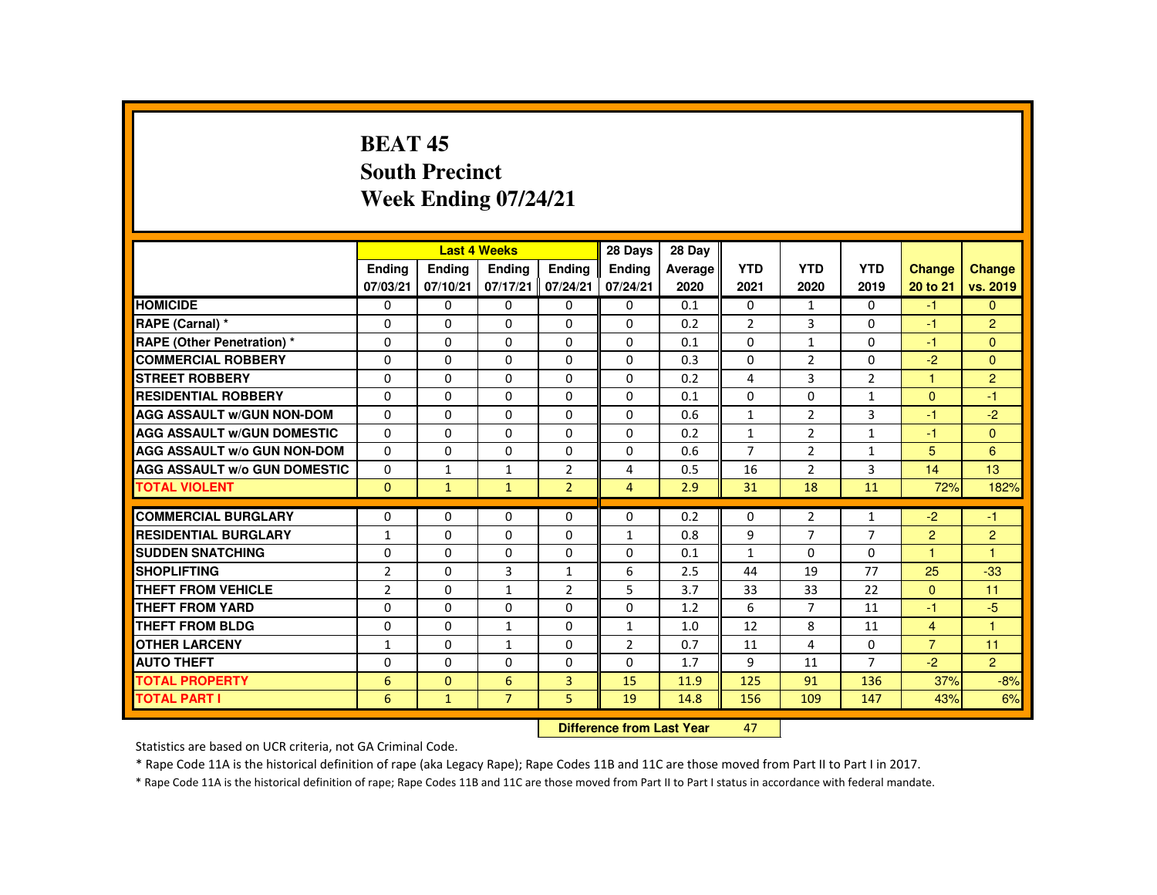#### **BEAT 45 South PrecinctWeek Ending 07/24/21**

|                                         |                                  |                           | <b>Last 4 Weeks</b> |                                | 28 Days                   | 28 Day          |                    |                    |                    |                                  |                                  |
|-----------------------------------------|----------------------------------|---------------------------|---------------------|--------------------------------|---------------------------|-----------------|--------------------|--------------------|--------------------|----------------------------------|----------------------------------|
|                                         | <b>Endina</b><br>07/03/21        | <b>Endina</b><br>07/10/21 | Ending<br>07/17/21  | <b>Endina</b><br>07/24/21      | <b>Endina</b><br>07/24/21 | Average<br>2020 | <b>YTD</b><br>2021 | <b>YTD</b><br>2020 | <b>YTD</b><br>2019 | <b>Change</b><br>20 to 21        | Change<br>vs. 2019               |
| <b>HOMICIDE</b>                         | 0                                | $\Omega$                  | $\Omega$            | 0                              | 0                         | 0.1             | 0                  | 1                  | $\Omega$           | $-1$                             | $\mathbf{0}$                     |
| RAPE (Carnal) *                         | 0                                | $\Omega$                  | $\Omega$            | $\Omega$                       | $\Omega$                  | 0.2             | $\overline{2}$     | 3                  | $\Omega$           | $-1$                             | $\overline{2}$                   |
| <b>RAPE (Other Penetration) *</b>       | $\Omega$                         | $\Omega$                  | $\Omega$            | $\Omega$                       | $\Omega$                  | 0.1             | $\Omega$           | $\mathbf{1}$       | $\Omega$           | $-1$                             | $\Omega$                         |
| <b>COMMERCIAL ROBBERY</b>               | $\Omega$                         | $\Omega$                  | $\Omega$            | $\Omega$                       | $\Omega$                  | 0.3             | $\Omega$           | 2                  | $\Omega$           | $-2$                             | $\Omega$                         |
| <b>STREET ROBBERY</b>                   | $\Omega$                         | $\Omega$                  | $\Omega$            | $\Omega$                       | $\Omega$                  | 0.2             | 4                  | $\overline{3}$     | $\overline{2}$     | $\mathbf{1}$                     | $\overline{2}$                   |
| <b>RESIDENTIAL ROBBERY</b>              | 0                                | 0                         | 0                   | 0                              | 0                         | 0.1             | $\Omega$           | 0                  | $\mathbf{1}$       | $\Omega$                         | $-1$                             |
| <b>AGG ASSAULT W/GUN NON-DOM</b>        | $\Omega$                         | $\Omega$                  | $\Omega$            | $\Omega$                       | $\Omega$                  | 0.6             | $\mathbf{1}$       | $\overline{2}$     | 3                  | -1                               | $-2$                             |
| <b>AGG ASSAULT W/GUN DOMESTIC</b>       | $\Omega$                         | $\Omega$                  | $\Omega$            | $\Omega$                       | $\Omega$                  | 0.2             | $\mathbf{1}$       | 2                  | $\mathbf{1}$       | $-1$                             | $\Omega$                         |
| <b>AGG ASSAULT W/o GUN NON-DOM</b>      | $\Omega$                         | $\Omega$                  | $\Omega$            | $\Omega$                       | $\Omega$                  | 0.6             | $\overline{7}$     | $\overline{2}$     | $\mathbf{1}$       | 5                                | 6                                |
| <b>AGG ASSAULT W/o GUN DOMESTIC</b>     | $\Omega$                         | $\mathbf{1}$              | $\mathbf{1}$        | $\overline{2}$                 | 4                         | 0.5             | 16                 | $\overline{2}$     | 3                  | 14                               | 13                               |
| <b>TOTAL VIOLENT</b>                    | $\mathbf{0}$                     | $\mathbf{1}$              | $\mathbf{1}$        | $\overline{2}$                 | $\overline{4}$            | 2.9             | 31                 | 18                 | 11                 | 72%                              | 182%                             |
| <b>COMMERCIAL BURGLARY</b>              | 0                                | $\Omega$                  | $\Omega$            | $\Omega$                       | $\Omega$                  | 0.2             | $\Omega$           | $\overline{2}$     | $\mathbf{1}$       | $-2$                             | $-1$                             |
| <b>RESIDENTIAL BURGLARY</b>             |                                  | $\Omega$                  | $\Omega$            | $\Omega$                       |                           |                 | 9                  | $\overline{7}$     | $\overline{7}$     |                                  |                                  |
| <b>SUDDEN SNATCHING</b>                 | $\mathbf{1}$                     |                           |                     |                                | $\mathbf{1}$              | 0.8             |                    |                    |                    | 2                                | $\overline{2}$<br>$\overline{1}$ |
| <b>SHOPLIFTING</b>                      | 0                                | 0<br>$\Omega$             | 0<br>3              | 0                              | 0<br>6                    | 0.1             | $\mathbf{1}$<br>44 | 0<br>19            | $\mathbf{0}$<br>77 | $\blacktriangleleft$<br>25       | $-33$                            |
| <b>THEFT FROM VEHICLE</b>               | $\overline{2}$<br>$\overline{2}$ | $\Omega$                  | $\mathbf{1}$        | $\mathbf{1}$<br>$\overline{2}$ | 5                         | 2.5<br>3.7      | 33                 | 33                 | 22                 | $\Omega$                         | 11                               |
| <b>THEFT FROM YARD</b>                  | $\Omega$                         | $\Omega$                  | $\Omega$            | $\Omega$                       | $\Omega$                  |                 | 6                  | $\overline{7}$     |                    | $-1$                             | $-5$                             |
|                                         |                                  | $\Omega$                  |                     | $\Omega$                       |                           | 1.2             |                    |                    | 11                 |                                  |                                  |
| THEFT FROM BLDG<br><b>OTHER LARCENY</b> | 0                                | $\Omega$                  | 1                   | $\Omega$                       | 1                         | 1.0             | 12                 | 8<br>4             | 11<br>$\Omega$     | $\overline{4}$<br>$\overline{7}$ | 11                               |
|                                         | $\mathbf{1}$                     |                           | 1                   |                                | $\overline{2}$            | 0.7             | 11                 |                    |                    |                                  |                                  |
| <b>AUTO THEFT</b>                       | $\Omega$                         | $\Omega$                  | $\Omega$            | $\Omega$                       | $\Omega$                  | 1.7             | 9                  | 11                 | $\overline{7}$     | $-2$                             | $\overline{2}$                   |
| <b>TOTAL PROPERTY</b>                   | 6                                | $\Omega$                  | 6                   | $\overline{3}$                 | 15                        | 11.9            | 125                | 91                 | 136                | 37%                              | $-8%$                            |
| <b>TOTAL PART I</b>                     | 6                                | $\mathbf{1}$              | $\overline{7}$      | 5.                             | 19                        | 14.8            | 156                | 109                | 147                | 43%                              | 6%                               |
|                                         | Difference from Least Vacu       |                           |                     |                                |                           |                 | $\sqrt{2}$         |                    |                    |                                  |                                  |

 **Difference from Last Year**<sup>47</sup>

Statistics are based on UCR criteria, not GA Criminal Code.

\* Rape Code 11A is the historical definition of rape (aka Legacy Rape); Rape Codes 11B and 11C are those moved from Part II to Part I in 2017.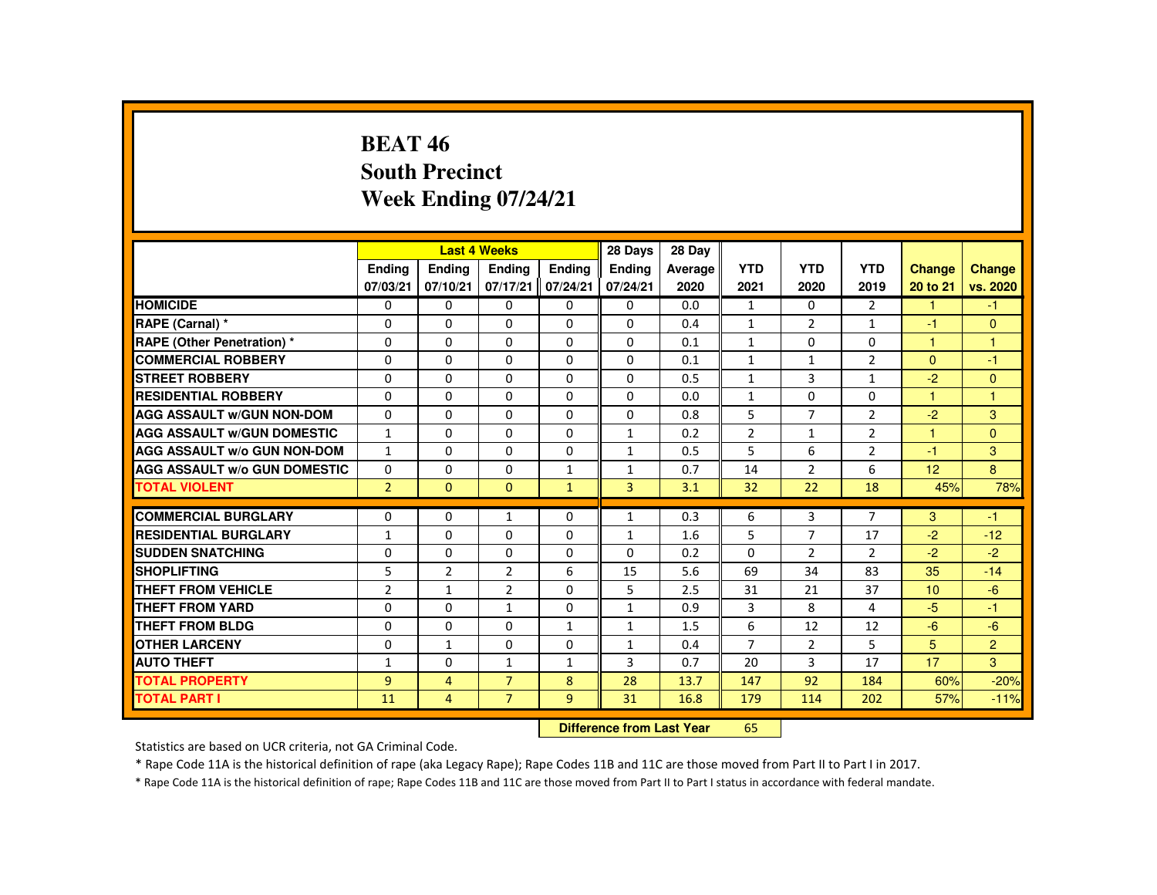#### **BEAT 46 South PrecinctWeek Ending 07/24/21**

|                                     |                |                | <b>Last 4 Weeks</b> |               | 28 Days        | 28 Day  |                |                |                |                 |                |
|-------------------------------------|----------------|----------------|---------------------|---------------|----------------|---------|----------------|----------------|----------------|-----------------|----------------|
|                                     | <b>Endina</b>  | Ending         | Ending              | <b>Endina</b> | Ending         | Average | <b>YTD</b>     | <b>YTD</b>     | <b>YTD</b>     | Change          | <b>Change</b>  |
|                                     | 07/03/21       | 07/10/21       | 07/17/21            | 07/24/21      | 07/24/21       | 2020    | 2021           | 2020           | 2019           | 20 to 21        | vs. 2020       |
| <b>HOMICIDE</b>                     | $\Omega$       | $\Omega$       | $\Omega$            | $\Omega$      | 0              | 0.0     | $\mathbf{1}$   | $\Omega$       | $\overline{2}$ | $\mathbf{1}$    | $-1$           |
| RAPE (Carnal) *                     | $\Omega$       | $\Omega$       | $\Omega$            | $\Omega$      | $\Omega$       | 0.4     | $\mathbf{1}$   | $\overline{2}$ | $\mathbf{1}$   | $-1$            | $\mathbf{0}$   |
| <b>RAPE (Other Penetration) *</b>   | 0              | $\Omega$       | $\Omega$            | $\Omega$      | 0              | 0.1     | $\mathbf{1}$   | 0              | 0              | $\mathbf{1}$    | $\mathbf{1}$   |
| <b>COMMERCIAL ROBBERY</b>           | $\Omega$       | $\Omega$       | $\Omega$            | $\Omega$      | $\Omega$       | 0.1     | $\mathbf{1}$   | $\mathbf{1}$   | $\overline{2}$ | $\mathbf{0}$    | $-1$           |
| <b>STREET ROBBERY</b>               | $\Omega$       | $\Omega$       | $\Omega$            | $\Omega$      | $\Omega$       | 0.5     | $\mathbf{1}$   | 3              | $\mathbf{1}$   | $-2$            | $\mathbf{0}$   |
| <b>RESIDENTIAL ROBBERY</b>          | 0              | $\mathbf{0}$   | 0                   | 0             | $\Omega$       | 0.0     | $\mathbf{1}$   | 0              | 0              | 1               | 1              |
| <b>AGG ASSAULT W/GUN NON-DOM</b>    | $\Omega$       | $\Omega$       | $\Omega$            | $\Omega$      | $\Omega$       | 0.8     | 5              | $\overline{7}$ | $\overline{2}$ | $-2$            | 3              |
| <b>AGG ASSAULT W/GUN DOMESTIC</b>   | $\mathbf{1}$   | $\Omega$       | $\Omega$            | $\Omega$      | $\mathbf{1}$   | 0.2     | $\overline{2}$ | $\mathbf{1}$   | $\overline{2}$ | $\mathbf{1}$    | $\mathbf{0}$   |
| <b>AGG ASSAULT W/o GUN NON-DOM</b>  | $\mathbf{1}$   | $\Omega$       | $\Omega$            | $\Omega$      | $\mathbf{1}$   | 0.5     | 5              | 6              | $\overline{2}$ | $-1$            | 3              |
| <b>AGG ASSAULT W/o GUN DOMESTIC</b> | $\Omega$       | $\Omega$       | $\Omega$            | $\mathbf{1}$  | $\mathbf{1}$   | 0.7     | 14             | 2              | 6              | 12 <sup>2</sup> | 8              |
| <b>TOTAL VIOLENT</b>                | 2 <sup>1</sup> | $\mathbf{0}$   | $\Omega$            | $\mathbf{1}$  | $\overline{3}$ | 3.1     | 32             | 22             | 18             | 45%             | 78%            |
| <b>COMMERCIAL BURGLARY</b>          | $\Omega$       | $\Omega$       | $\mathbf{1}$        | $\Omega$      | $\mathbf{1}$   | 0.3     | 6              | 3              | $\overline{7}$ | 3               | $-1$           |
| <b>RESIDENTIAL BURGLARY</b>         | $\mathbf{1}$   | $\Omega$       | $\Omega$            | 0             | $\mathbf{1}$   | 1.6     | 5              | $\overline{7}$ | 17             | $-2$            | $-12$          |
| <b>SUDDEN SNATCHING</b>             | $\Omega$       | $\mathbf{0}$   | $\Omega$            | $\Omega$      | $\Omega$       | 0.2     | $\Omega$       | $\overline{2}$ | $\overline{2}$ | $-2$            | $-2$           |
| <b>SHOPLIFTING</b>                  | 5              | 2              | $\overline{2}$      | 6             | 15             | 5.6     | 69             | 34             | 83             | 35              | $-14$          |
| <b>THEFT FROM VEHICLE</b>           | $\overline{2}$ | $\mathbf{1}$   | $\overline{2}$      | $\Omega$      | 5              | 2.5     | 31             | 21             | 37             | 10              | $-6$           |
| <b>THEFT FROM YARD</b>              | $\Omega$       | $\Omega$       | $\mathbf{1}$        | $\Omega$      | $\mathbf{1}$   | 0.9     | 3              | 8              | 4              | $-5$            | $-1$           |
| THEFT FROM BLDG                     | 0              | $\Omega$       | 0                   | $\mathbf{1}$  | $\mathbf{1}$   | 1.5     | 6              | 12             | 12             | $-6$            | $-6$           |
| <b>OTHER LARCENY</b>                | 0              | $\mathbf{1}$   | $\Omega$            | $\Omega$      | 1              | 0.4     | $\overline{7}$ | 2              | 5              | 5               | $\overline{2}$ |
| <b>AUTO THEFT</b>                   | $\mathbf{1}$   | $\Omega$       | $\mathbf{1}$        | $\mathbf{1}$  | 3              | 0.7     | 20             | 3              | 17             | 17              | 3              |
| <b>TOTAL PROPERTY</b>               | $\overline{9}$ | $\overline{4}$ | $\overline{7}$      | 8             | 28             | 13.7    | 147            | 92             | 184            | 60%             | $-20%$         |
| <b>TOTAL PART I</b>                 | 11             | 4              | $\overline{7}$      | 9             | 31             | 16.8    | 179            | 114            | 202            | 57%             | $-11%$         |
|                                     |                |                |                     |               |                |         |                |                |                |                 |                |

 **Difference from Last Year**<sup>65</sup>

Statistics are based on UCR criteria, not GA Criminal Code.

\* Rape Code 11A is the historical definition of rape (aka Legacy Rape); Rape Codes 11B and 11C are those moved from Part II to Part I in 2017.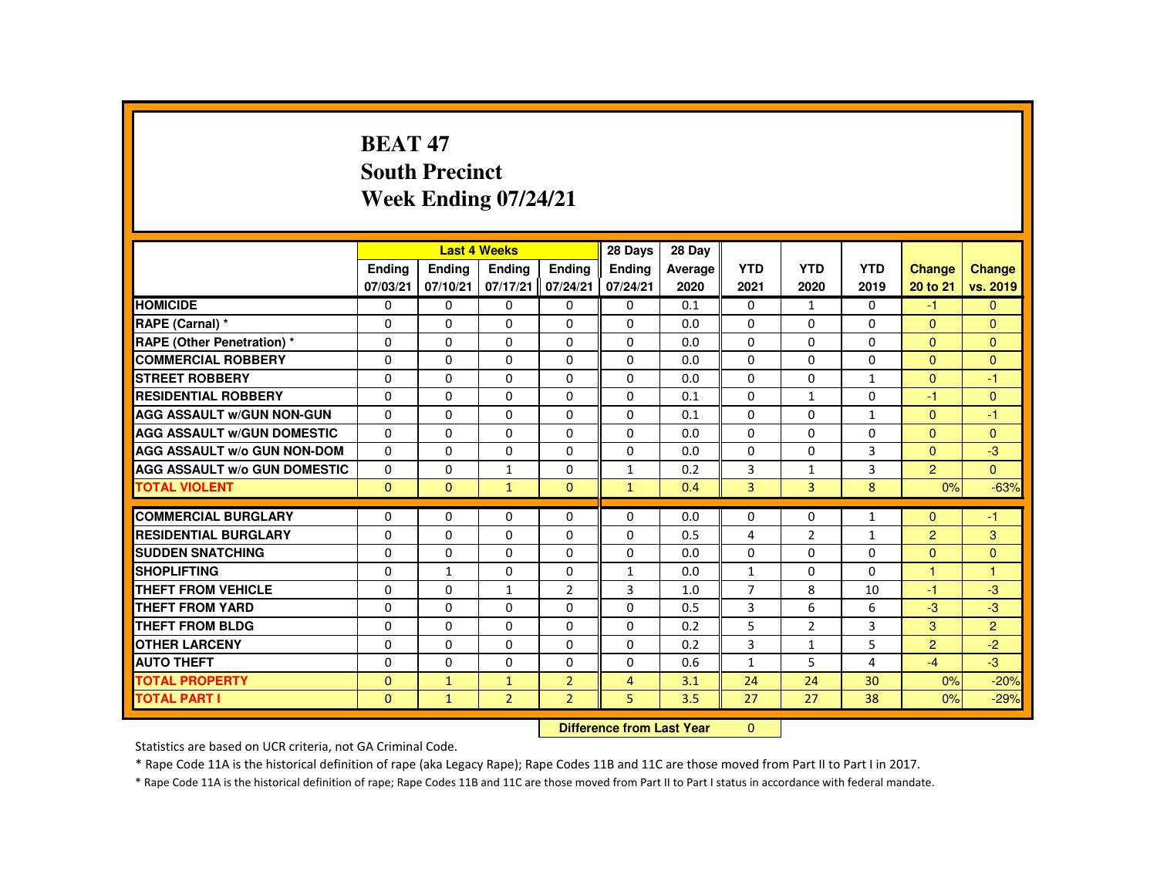## **BEAT 47 South PrecinctWeek Ending 07/24/21**

|                                     |          |              | <b>Last 4 Weeks</b> |                | 28 Days        | 28 Day  |                |                |                |                |                |
|-------------------------------------|----------|--------------|---------------------|----------------|----------------|---------|----------------|----------------|----------------|----------------|----------------|
|                                     | Ending   | Ending       | <b>Endina</b>       | <b>Endina</b>  | <b>Endina</b>  | Average | <b>YTD</b>     | <b>YTD</b>     | <b>YTD</b>     | Change         | <b>Change</b>  |
|                                     | 07/03/21 | 07/10/21     | 07/17/21            | 07/24/21       | 07/24/21       | 2020    | 2021           | 2020           | 2019           | 20 to 21       | vs. 2019       |
| <b>HOMICIDE</b>                     | 0        | $\mathbf{0}$ | 0                   | 0              | 0              | 0.1     | 0              | $\mathbf{1}$   | $\Omega$       | $-1$           | $\mathbf{0}$   |
| RAPE (Carnal) *                     | 0        | $\Omega$     | $\Omega$            | $\Omega$       | $\Omega$       | 0.0     | $\Omega$       | $\Omega$       | $\Omega$       | $\Omega$       | $\mathbf{0}$   |
| <b>RAPE (Other Penetration) *</b>   | $\Omega$ | $\Omega$     | $\Omega$            | $\Omega$       | $\Omega$       | 0.0     | $\Omega$       | $\Omega$       | $\Omega$       | $\Omega$       | $\mathbf{0}$   |
| <b>COMMERCIAL ROBBERY</b>           | 0        | $\Omega$     | $\Omega$            | $\Omega$       | $\Omega$       | 0.0     | $\Omega$       | $\Omega$       | $\Omega$       | $\mathbf{0}$   | $\Omega$       |
| <b>STREET ROBBERY</b>               | 0        | $\Omega$     | $\Omega$            | $\Omega$       | 0              | 0.0     | $\Omega$       | $\Omega$       | $\mathbf{1}$   | $\Omega$       | $-1$           |
| <b>RESIDENTIAL ROBBERY</b>          | $\Omega$ | $\Omega$     | $\Omega$            | $\Omega$       | $\Omega$       | 0.1     | $\Omega$       | $\mathbf{1}$   | $\Omega$       | $-1$           | $\Omega$       |
| <b>AGG ASSAULT W/GUN NON-GUN</b>    | $\Omega$ | $\Omega$     | $\Omega$            | $\Omega$       | $\Omega$       | 0.1     | $\Omega$       | $\Omega$       | $\mathbf{1}$   | $\Omega$       | $-1$           |
| <b>AGG ASSAULT W/GUN DOMESTIC</b>   | $\Omega$ | $\Omega$     | $\Omega$            | $\Omega$       | $\Omega$       | 0.0     | $\Omega$       | $\Omega$       | $\Omega$       | $\Omega$       | $\Omega$       |
| <b>AGG ASSAULT W/o GUN NON-DOM</b>  | $\Omega$ | $\Omega$     | $\Omega$            | $\Omega$       | $\Omega$       | 0.0     | $\Omega$       | 0              | 3              | $\Omega$       | $-3$           |
| <b>AGG ASSAULT W/o GUN DOMESTIC</b> | $\Omega$ | $\Omega$     | $\mathbf{1}$        | $\Omega$       | $\mathbf{1}$   | 0.2     | 3              | $\mathbf{1}$   | 3              | $\overline{2}$ | $\mathbf{0}$   |
| <b>TOTAL VIOLENT</b>                | $\Omega$ | $\Omega$     | $\mathbf{1}$        | $\Omega$       | $\mathbf{1}$   | 0.4     | 3              | $\overline{3}$ | 8              | 0%             | $-63%$         |
| <b>COMMERCIAL BURGLARY</b>          | $\Omega$ | $\Omega$     | $\Omega$            | $\Omega$       | $\Omega$       | 0.0     | $\Omega$       | 0              | $\mathbf{1}$   | $\Omega$       | $-1$           |
| <b>RESIDENTIAL BURGLARY</b>         | $\Omega$ | $\Omega$     | $\Omega$            | 0              | $\mathbf 0$    | 0.5     | 4              | $\overline{2}$ | $\mathbf{1}$   | $\overline{2}$ | 3              |
| <b>SUDDEN SNATCHING</b>             | $\Omega$ | $\Omega$     | $\Omega$            | $\Omega$       | $\Omega$       | 0.0     | $\Omega$       | $\Omega$       | $\Omega$       | $\Omega$       | $\mathbf{0}$   |
| <b>SHOPLIFTING</b>                  | 0        | $\mathbf{1}$ | 0                   | 0              | $\mathbf{1}$   | 0.0     | $\mathbf{1}$   | 0              | $\Omega$       | 1              | $\mathbf{1}$   |
| <b>THEFT FROM VEHICLE</b>           | $\Omega$ | $\Omega$     | $\mathbf{1}$        | $\overline{2}$ | 3              | 1.0     | $\overline{7}$ | 8              | 10             | $-1$           | $-3$           |
| <b>THEFT FROM YARD</b>              | $\Omega$ | $\Omega$     | $\Omega$            | $\Omega$       | $\Omega$       | 0.5     | 3              | 6              | 6              | $-3$           | $-3$           |
| <b>THEFT FROM BLDG</b>              | $\Omega$ | $\Omega$     | $\Omega$            | $\Omega$       | $\Omega$       | 0.2     | 5              | $\overline{2}$ | $\overline{3}$ | 3              | $\overline{2}$ |
| <b>OTHER LARCENY</b>                | 0        | $\mathbf{0}$ | 0                   | $\Omega$       | $\Omega$       | 0.2     | 3              | $\mathbf{1}$   | 5              | $\overline{2}$ | $-2$           |
| <b>AUTO THEFT</b>                   | $\Omega$ | $\Omega$     | $\Omega$            | $\Omega$       | $\Omega$       | 0.6     | $\mathbf{1}$   | 5              | 4              | $-4$           | $-3$           |
| <b>TOTAL PROPERTY</b>               | $\Omega$ | $\mathbf{1}$ | $\mathbf{1}$        | $\overline{2}$ | $\overline{4}$ | 3.1     | 24             | 24             | 30             | 0%             | $-20%$         |
| <b>TOTAL PART I</b>                 | $\Omega$ | $\mathbf{1}$ | $\overline{2}$      | $\overline{2}$ | 5              | 3.5     | 27             | 27             | 38             | 0%             | $-29%$         |
|                                     |          |              |                     |                |                |         | $\Omega$       |                |                |                |                |

 **Difference from Last Year**

Statistics are based on UCR criteria, not GA Criminal Code.

\* Rape Code 11A is the historical definition of rape (aka Legacy Rape); Rape Codes 11B and 11C are those moved from Part II to Part I in 2017.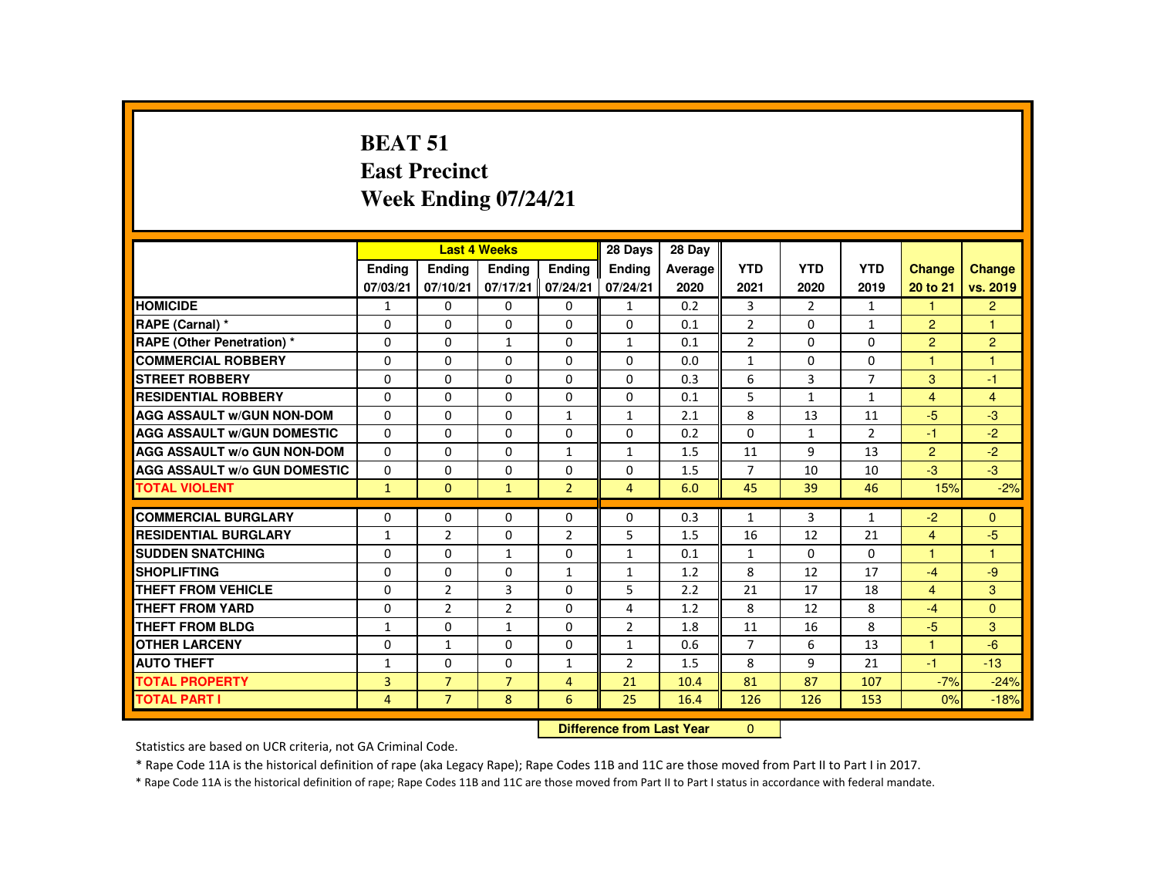# **BEAT 51 East PrecinctWeek Ending 07/24/21**

|                                     |                |                | <b>Last 4 Weeks</b> |                | 28 Days        | 28 Day                           |                |                |                |                      |                |
|-------------------------------------|----------------|----------------|---------------------|----------------|----------------|----------------------------------|----------------|----------------|----------------|----------------------|----------------|
|                                     | Ending         | Ending         | Ending              | Ending         | <b>Ending</b>  | Average                          | <b>YTD</b>     | <b>YTD</b>     | <b>YTD</b>     | <b>Change</b>        | <b>Change</b>  |
|                                     | 07/03/21       | 07/10/21       | 07/17/21            | 07/24/21       | 07/24/21       | 2020                             | 2021           | 2020           | 2019           | 20 to 21             | vs. 2019       |
| <b>HOMICIDE</b>                     | $\mathbf{1}$   | $\mathbf{0}$   | $\mathbf{0}$        | $\mathbf{0}$   | 1              | 0.2                              | 3              | $\overline{2}$ | $\mathbf{1}$   | $\mathbf{1}$         | $\overline{2}$ |
| RAPE (Carnal) *                     | 0              | $\Omega$       | $\Omega$            | $\Omega$       | $\Omega$       | 0.1                              | $\overline{2}$ | 0              | $\mathbf{1}$   | $\overline{2}$       | -1             |
| <b>RAPE (Other Penetration) *</b>   | $\Omega$       | $\Omega$       | $\mathbf{1}$        | $\Omega$       | $\mathbf{1}$   | 0.1                              | $\overline{2}$ | $\Omega$       | $\Omega$       | 2                    | 2              |
| <b>COMMERCIAL ROBBERY</b>           | $\Omega$       | $\Omega$       | $\Omega$            | $\Omega$       | $\Omega$       | 0.0                              | $\mathbf{1}$   | $\Omega$       | $\Omega$       | $\blacktriangleleft$ | $\overline{1}$ |
| <b>STREET ROBBERY</b>               | $\Omega$       | $\Omega$       | $\Omega$            | $\Omega$       | $\Omega$       | 0.3                              | 6              | 3              | $\overline{7}$ | 3                    | $-1$           |
| <b>RESIDENTIAL ROBBERY</b>          | $\Omega$       | 0              | $\Omega$            | 0              | 0              | 0.1                              | 5              | $\mathbf{1}$   | $\mathbf{1}$   | $\overline{4}$       | $\overline{4}$ |
| <b>AGG ASSAULT W/GUN NON-DOM</b>    | $\Omega$       | $\Omega$       | $\Omega$            | $\mathbf{1}$   | $\mathbf{1}$   | 2.1                              | 8              | 13             | 11             | $-5$                 | $-3$           |
| <b>AGG ASSAULT W/GUN DOMESTIC</b>   | $\Omega$       | $\Omega$       | $\Omega$            | $\Omega$       | $\Omega$       | 0.2                              | $\Omega$       | $\mathbf{1}$   | $\overline{2}$ | $-1$                 | $-2$           |
| <b>AGG ASSAULT W/o GUN NON-DOM</b>  | 0              | 0              | 0                   | $\mathbf{1}$   | $\mathbf{1}$   | 1.5                              | 11             | 9              | 13             | $\overline{2}$       | $-2$           |
| <b>AGG ASSAULT W/o GUN DOMESTIC</b> | $\Omega$       | 0              | $\Omega$            | $\Omega$       | 0              | 1.5                              | $\overline{7}$ | 10             | 10             | $-3$                 | $-3$           |
| <b>TOTAL VIOLENT</b>                | $\mathbf{1}$   | $\mathbf{0}$   | $\mathbf{1}$        | $\overline{2}$ | $\overline{4}$ | 6.0                              | 45             | 39             | 46             | 15%                  | $-2%$          |
| <b>COMMERCIAL BURGLARY</b>          | 0              | 0              | $\Omega$            | 0              | $\Omega$       | 0.3                              | $\mathbf{1}$   | 3              | $\mathbf{1}$   | $-2$                 | $\mathbf{0}$   |
| <b>RESIDENTIAL BURGLARY</b>         | $\mathbf{1}$   | $\overline{2}$ | $\Omega$            | $\overline{2}$ | 5              | 1.5                              | 16             | 12             | 21             | $\overline{4}$       | $-5$           |
| <b>SUDDEN SNATCHING</b>             | 0              | 0              | $\mathbf{1}$        | 0              | $\mathbf{1}$   | 0.1                              | $\mathbf{1}$   | 0              | 0              | $\blacktriangleleft$ | $\overline{1}$ |
| <b>SHOPLIFTING</b>                  | 0              | $\mathbf{0}$   | $\Omega$            | $\mathbf{1}$   | $\mathbf{1}$   | 1.2                              | 8              | 12             | 17             | $-4$                 | $-9$           |
| <b>THEFT FROM VEHICLE</b>           | $\Omega$       | $\overline{2}$ | 3                   | $\Omega$       | 5              | 2.2                              | 21             | 17             | 18             | $\overline{4}$       | 3              |
| <b>THEFT FROM YARD</b>              | $\Omega$       | $\overline{2}$ | 2                   | $\Omega$       | 4              | 1.2                              | 8              | 12             | 8              | $-4$                 | $\Omega$       |
| <b>THEFT FROM BLDG</b>              | $\mathbf{1}$   | $\Omega$       | $\mathbf{1}$        | $\Omega$       | 2              | 1.8                              | 11             | 16             | 8              | $-5$                 | 3              |
| <b>OTHER LARCENY</b>                | $\Omega$       | $\mathbf{1}$   | $\Omega$            | $\Omega$       | $\mathbf{1}$   | 0.6                              | $\overline{7}$ | 6              | 13             | $\overline{1}$       | $-6$           |
| <b>AUTO THEFT</b>                   | $\mathbf{1}$   | $\Omega$       | $\Omega$            | $\mathbf{1}$   | 2              | 1.5                              | 8              | 9              | 21             | $-1$                 | $-13$          |
| <b>TOTAL PROPERTY</b>               | 3              | $\overline{7}$ | $\overline{7}$      | $\overline{4}$ | 21             | 10.4                             | 81             | 87             | 107            | $-7%$                | $-24%$         |
| <b>TOTAL PART I</b>                 | $\overline{4}$ | $\overline{7}$ | 8                   | 6              | 25             | 16.4                             | 126            | 126            | 153            | 0%                   | $-18%$         |
|                                     |                |                |                     |                |                | <b>Difference from Last Year</b> | $\mathbf{0}$   |                |                |                      |                |

Statistics are based on UCR criteria, not GA Criminal Code.

\* Rape Code 11A is the historical definition of rape (aka Legacy Rape); Rape Codes 11B and 11C are those moved from Part II to Part I in 2017.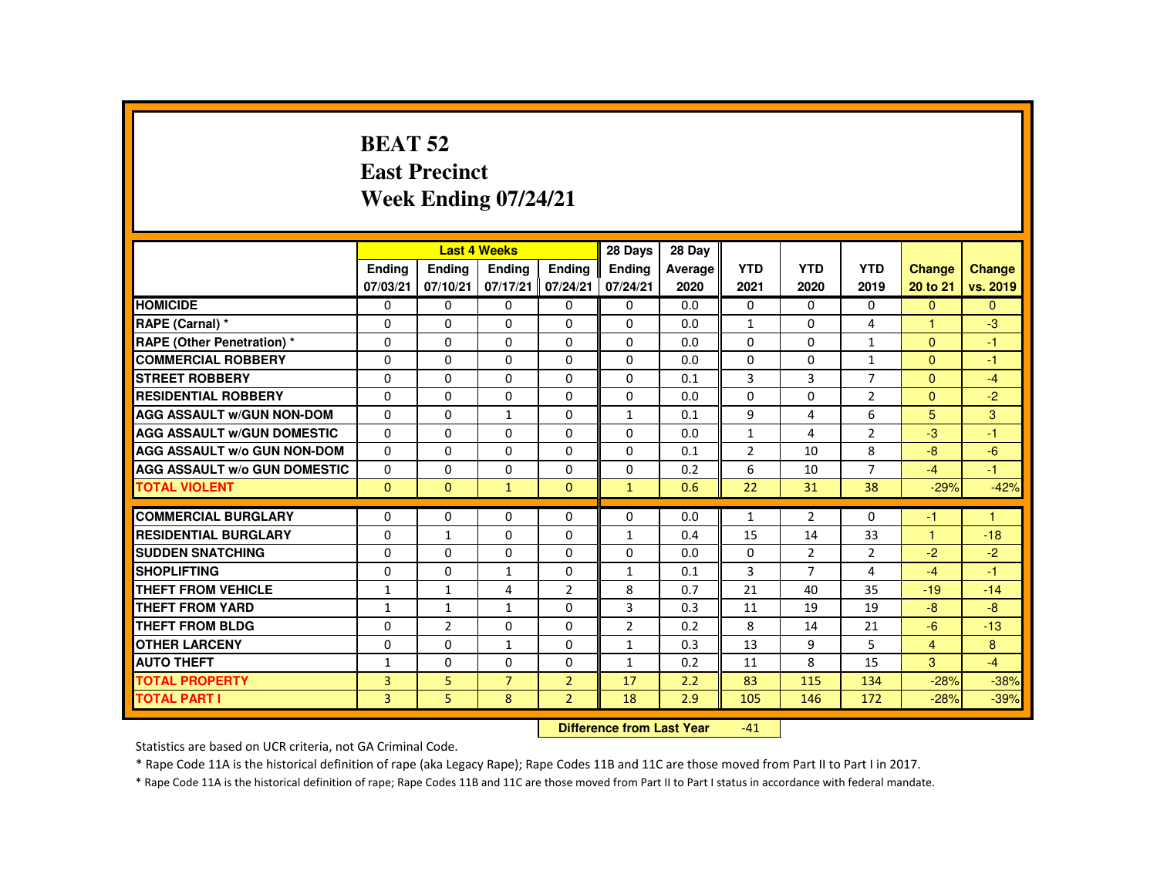#### **BEAT 52 East PrecinctWeek Ending 07/24/21**

|                                     |               |                | <b>Last 4 Weeks</b> |                | 28 Days                   | 28 Day  |                               |                |                |                      |              |
|-------------------------------------|---------------|----------------|---------------------|----------------|---------------------------|---------|-------------------------------|----------------|----------------|----------------------|--------------|
|                                     | <b>Endina</b> | <b>Endina</b>  | Ending              | <b>Endina</b>  | <b>Endina</b>             | Average | <b>YTD</b>                    | <b>YTD</b>     | <b>YTD</b>     | <b>Change</b>        | Change       |
|                                     | 07/03/21      | 07/10/21       | 07/17/21            | 07/24/21       | 07/24/21                  | 2020    | 2021                          | 2020           | 2019           | 20 to 21             | vs. 2019     |
| <b>HOMICIDE</b>                     | $\Omega$      | $\Omega$       | $\Omega$            | 0              | 0                         | 0.0     | 0                             | $\Omega$       | $\Omega$       | $\Omega$             | $\mathbf{0}$ |
| RAPE (Carnal) *                     | 0             | $\Omega$       | $\Omega$            | $\Omega$       | $\Omega$                  | 0.0     | $\mathbf{1}$                  | 0              | 4              |                      | $-3$         |
| <b>RAPE (Other Penetration) *</b>   | $\Omega$      | $\Omega$       | $\Omega$            | $\Omega$       | $\Omega$                  | 0.0     | $\Omega$                      | $\Omega$       | $\mathbf{1}$   | $\Omega$             | $-1$         |
| <b>COMMERCIAL ROBBERY</b>           | $\Omega$      | $\Omega$       | $\Omega$            | $\Omega$       | $\Omega$                  | 0.0     | $\Omega$                      | $\Omega$       | $\mathbf{1}$   | $\Omega$             | $-1$         |
| <b>STREET ROBBERY</b>               | $\Omega$      | $\Omega$       | $\Omega$            | $\Omega$       | $\Omega$                  | 0.1     | 3                             | $\overline{3}$ | $\overline{7}$ | $\Omega$             | $-4$         |
| <b>RESIDENTIAL ROBBERY</b>          | 0             | 0              | 0                   | 0              | 0                         | 0.0     | $\Omega$                      | 0              | $\overline{2}$ | $\Omega$             | $-2$         |
| <b>AGG ASSAULT W/GUN NON-DOM</b>    | $\Omega$      | $\Omega$       | $\mathbf{1}$        | $\Omega$       | $\mathbf{1}$              | 0.1     | 9                             | 4              | 6              | 5                    | 3            |
| <b>AGG ASSAULT W/GUN DOMESTIC</b>   | $\Omega$      | $\Omega$       | $\Omega$            | $\Omega$       | $\Omega$                  | 0.0     | $\mathbf{1}$                  | 4              | $\overline{2}$ | $-3$                 | $-1$         |
| <b>AGG ASSAULT W/o GUN NON-DOM</b>  | $\Omega$      | $\Omega$       | $\Omega$            | $\Omega$       | $\Omega$                  | 0.1     | $\overline{2}$                | 10             | 8              | $-8$                 | $-6$         |
| <b>AGG ASSAULT W/o GUN DOMESTIC</b> | $\Omega$      | $\Omega$       | $\Omega$            | $\Omega$       | $\Omega$                  | 0.2     | 6                             | 10             | $\overline{7}$ | $-4$                 | $-1$         |
| <b>TOTAL VIOLENT</b>                | $\mathbf{0}$  | $\mathbf{0}$   | $\mathbf{1}$        | $\mathbf{0}$   | $\mathbf{1}$              | 0.6     | 22                            | 31             | 38             | $-29%$               | $-42%$       |
|                                     |               |                |                     |                |                           |         |                               |                |                |                      |              |
| <b>COMMERCIAL BURGLARY</b>          | $\Omega$      | $\Omega$       | $\Omega$            | $\Omega$       | $\Omega$                  | 0.0     | $\mathbf{1}$                  | $\overline{2}$ | 0              | -1                   | 1            |
| <b>RESIDENTIAL BURGLARY</b>         | $\Omega$      | $\mathbf{1}$   | $\Omega$            | $\Omega$       | $\mathbf{1}$              | 0.4     | 15                            | 14             | 33             | $\blacktriangleleft$ | $-18$        |
| <b>SUDDEN SNATCHING</b>             | 0             | 0              | 0                   | 0              | 0                         | 0.0     | 0                             | $\overline{2}$ | $\overline{2}$ | $-2$                 | $-2$         |
| <b>SHOPLIFTING</b>                  | 0             | $\Omega$       | $\mathbf{1}$        | $\Omega$       | $\mathbf{1}$              | 0.1     | 3                             | $\overline{7}$ | 4              | $-4$                 | $-1$         |
| <b>THEFT FROM VEHICLE</b>           | $\mathbf{1}$  | $\mathbf{1}$   | 4                   | $\overline{2}$ | 8                         | 0.7     | 21                            | 40             | 35             | $-19$                | $-14$        |
| <b>THEFT FROM YARD</b>              | $\mathbf{1}$  | $\mathbf{1}$   | $\mathbf{1}$        | $\Omega$       | 3                         | 0.3     | 11                            | 19             | 19             | $-8$                 | $-8$         |
| THEFT FROM BLDG                     | 0             | $\overline{2}$ | $\Omega$            | $\Omega$       | $\overline{2}$            | 0.2     | 8                             | 14             | 21             | $-6$                 | $-13$        |
| <b>OTHER LARCENY</b>                | $\Omega$      | $\Omega$       | 1                   | $\Omega$       | $\mathbf{1}$              | 0.3     | 13                            | 9              | 5              | $\overline{4}$       | 8            |
| <b>AUTO THEFT</b>                   | $\mathbf{1}$  | $\Omega$       | $\Omega$            | $\Omega$       | $\mathbf{1}$              | 0.2     | 11                            | 8              | 15             | 3                    | $-4$         |
| <b>TOTAL PROPERTY</b>               | 3             | 5              | $\overline{7}$      | $\overline{2}$ | 17                        | 2.2     | 83                            | 115            | 134            | $-28%$               | $-38%$       |
| <b>TOTAL PART I</b>                 | 3             | 5              | 8                   | $\overline{2}$ | 18                        | 2.9     | 105                           | 146            | 172            | $-28%$               | $-39%$       |
|                                     |               |                |                     |                | Difference from Leat Voor |         | $A$ <sup><math>A</math></sup> |                |                |                      |              |

 **Difference from Last Year**-41

Statistics are based on UCR criteria, not GA Criminal Code.

\* Rape Code 11A is the historical definition of rape (aka Legacy Rape); Rape Codes 11B and 11C are those moved from Part II to Part I in 2017.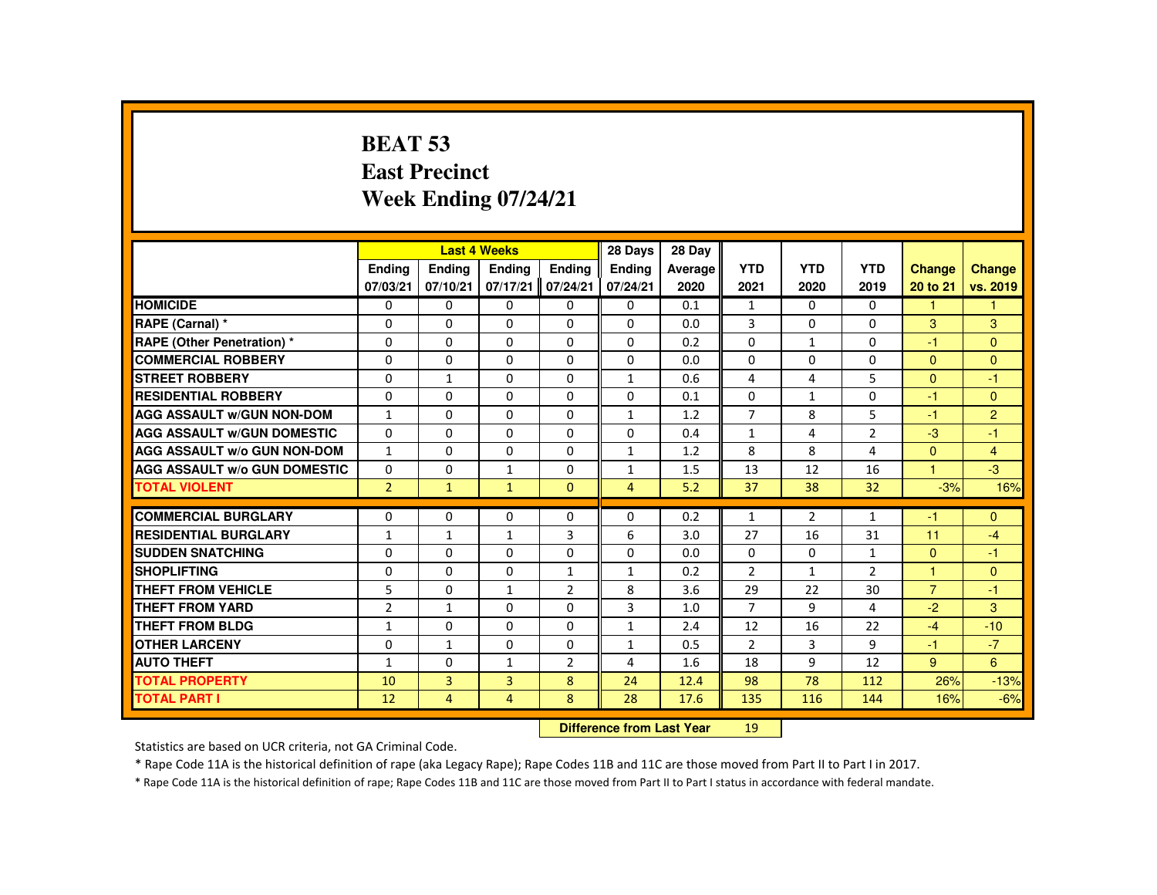## **BEAT 53 East PrecinctWeek Ending 07/24/21**

|                                     |                |                | <b>Last 4 Weeks</b> |                | 28 Days        | 28 Day  |                |                |                 |                |                      |
|-------------------------------------|----------------|----------------|---------------------|----------------|----------------|---------|----------------|----------------|-----------------|----------------|----------------------|
|                                     | <b>Endina</b>  | <b>Ending</b>  | Ending              | Ending         | <b>Endina</b>  | Average | <b>YTD</b>     | <b>YTD</b>     | <b>YTD</b>      | <b>Change</b>  | <b>Change</b>        |
|                                     | 07/03/21       | 07/10/21       | 07/17/21            | 07/24/21       | 07/24/21       | 2020    | 2021           | 2020           | 2019            | 20 to 21       | vs. 2019             |
| <b>HOMICIDE</b>                     | 0              | $\Omega$       | $\Omega$            | $\Omega$       | 0              | 0.1     | $\mathbf{1}$   | $\Omega$       | $\Omega$        | $\mathbf{1}$   | $\blacktriangleleft$ |
| RAPE (Carnal) *                     | $\Omega$       | $\mathbf{0}$   | $\Omega$            | $\Omega$       | $\Omega$       | 0.0     | 3              | $\Omega$       | $\Omega$        | $\mathbf{3}$   | 3                    |
| RAPE (Other Penetration) *          | $\Omega$       | $\Omega$       | $\Omega$            | $\Omega$       | 0              | 0.2     | $\Omega$       | $\mathbf{1}$   | $\Omega$        | $-1$           | $\Omega$             |
| <b>COMMERCIAL ROBBERY</b>           | $\Omega$       | $\Omega$       | $\Omega$            | $\Omega$       | $\Omega$       | 0.0     | $\Omega$       | $\Omega$       | $\Omega$        | $\Omega$       | $\Omega$             |
| <b>STREET ROBBERY</b>               | $\Omega$       | $\mathbf{1}$   | $\Omega$            | $\Omega$       | $\mathbf{1}$   | 0.6     | 4              | 4              | 5.              | $\Omega$       | $-1$                 |
| <b>RESIDENTIAL ROBBERY</b>          | 0              | $\mathbf{0}$   | $\Omega$            | $\mathbf{0}$   | $\mathbf{0}$   | 0.1     | $\mathbf{0}$   | 1              | 0               | $-1$           | $\Omega$             |
| <b>AGG ASSAULT w/GUN NON-DOM</b>    | $\mathbf{1}$   | $\Omega$       | $\Omega$            | $\Omega$       | $\mathbf{1}$   | 1.2     | $\overline{7}$ | 8              | 5               | $-1$           | $\overline{2}$       |
| <b>AGG ASSAULT w/GUN DOMESTIC</b>   | $\Omega$       | $\Omega$       | $\Omega$            | $\Omega$       | $\Omega$       | 0.4     | $\mathbf{1}$   | 4              | $\overline{2}$  | $-3$           | $-1$                 |
| <b>AGG ASSAULT w/o GUN NON-DOM</b>  | $\mathbf{1}$   | $\Omega$       | $\Omega$            | $\Omega$       | $\mathbf{1}$   | 1.2     | 8              | 8              | 4               | $\mathbf{0}$   | $\overline{4}$       |
| <b>AGG ASSAULT w/o GUN DOMESTIC</b> | $\Omega$       | $\Omega$       | $\mathbf{1}$        | $\Omega$       | $\mathbf{1}$   | 1.5     | 13             | 12             | 16              | $\mathbf{1}$   | $-3$                 |
| <b>TOTAL VIOLENT</b>                | 2 <sup>1</sup> | $\mathbf{1}$   | $\blacklozenge$     | $\Omega$       | $\overline{4}$ | 5.2     | 37             | 38             | 32 <sub>2</sub> | $-3%$          | 16%                  |
| <b>COMMERCIAL BURGLARY</b>          | $\Omega$       | $\Omega$       | $\Omega$            | $\Omega$       | $\Omega$       | 0.2     | $\mathbf{1}$   | $\overline{2}$ | $\mathbf{1}$    | $-1$           | $\Omega$             |
| <b>RESIDENTIAL BURGLARY</b>         | $\mathbf{1}$   | $\mathbf{1}$   | $\mathbf{1}$        | $\overline{3}$ | 6              | 3.0     | 27             | 16             | 31              | 11             | $-4$                 |
| <b>SUDDEN SNATCHING</b>             | $\Omega$       | $\mathbf{0}$   | $\Omega$            | $\Omega$       | $\Omega$       | 0.0     | $\Omega$       | 0              | $\mathbf{1}$    | $\mathbf{0}$   | $-1$                 |
| <b>SHOPLIFTING</b>                  | $\Omega$       | $\Omega$       | $\Omega$            | $\mathbf{1}$   | $\mathbf{1}$   | 0.2     | $\overline{2}$ | $\mathbf{1}$   | $\overline{2}$  | $\overline{1}$ | $\Omega$             |
| <b>THEFT FROM VEHICLE</b>           | 5              | $\Omega$       | $\mathbf{1}$        | $\overline{2}$ | 8              | 3.6     | 29             | 22             | 30              | $\overline{7}$ | $-1$                 |
| <b>THEFT FROM YARD</b>              | $\overline{2}$ | $\mathbf{1}$   | $\Omega$            | $\Omega$       | 3              | 1.0     | $\overline{7}$ | 9              | 4               | $-2$           | $\mathbf{3}$         |
| <b>THEFT FROM BLDG</b>              | $\mathbf{1}$   | $\Omega$       | $\Omega$            | $\Omega$       | $\mathbf{1}$   | 2.4     | 12             | 16             | 22              | $-4$           | $-10$                |
| <b>OTHER LARCENY</b>                | $\Omega$       | $\mathbf{1}$   | $\Omega$            | $\Omega$       | $\mathbf{1}$   | 0.5     | 2              | 3              | 9               | $-1$           | $-7$                 |
| <b>AUTO THEFT</b>                   | $\mathbf{1}$   | $\Omega$       | $\mathbf{1}$        | $\overline{2}$ | 4              | 1.6     | 18             | 9              | 12              | 9              | 6                    |
| <b>TOTAL PROPERTY</b>               | 10             | $\overline{3}$ | $\overline{3}$      | 8              | 24             | 12.4    | 98             | 78             | 112             | 26%            | $-13%$               |
| <b>TOTAL PART I</b>                 | 12             | 4              | 4                   | 8              | 28             | 17.6    | 135            | 116            | 144             | 16%            | $-6%$                |
|                                     |                |                |                     |                |                |         |                |                |                 |                |                      |

 **Difference from Last Year**<sup>19</sup>

Statistics are based on UCR criteria, not GA Criminal Code.

\* Rape Code 11A is the historical definition of rape (aka Legacy Rape); Rape Codes 11B and 11C are those moved from Part II to Part I in 2017.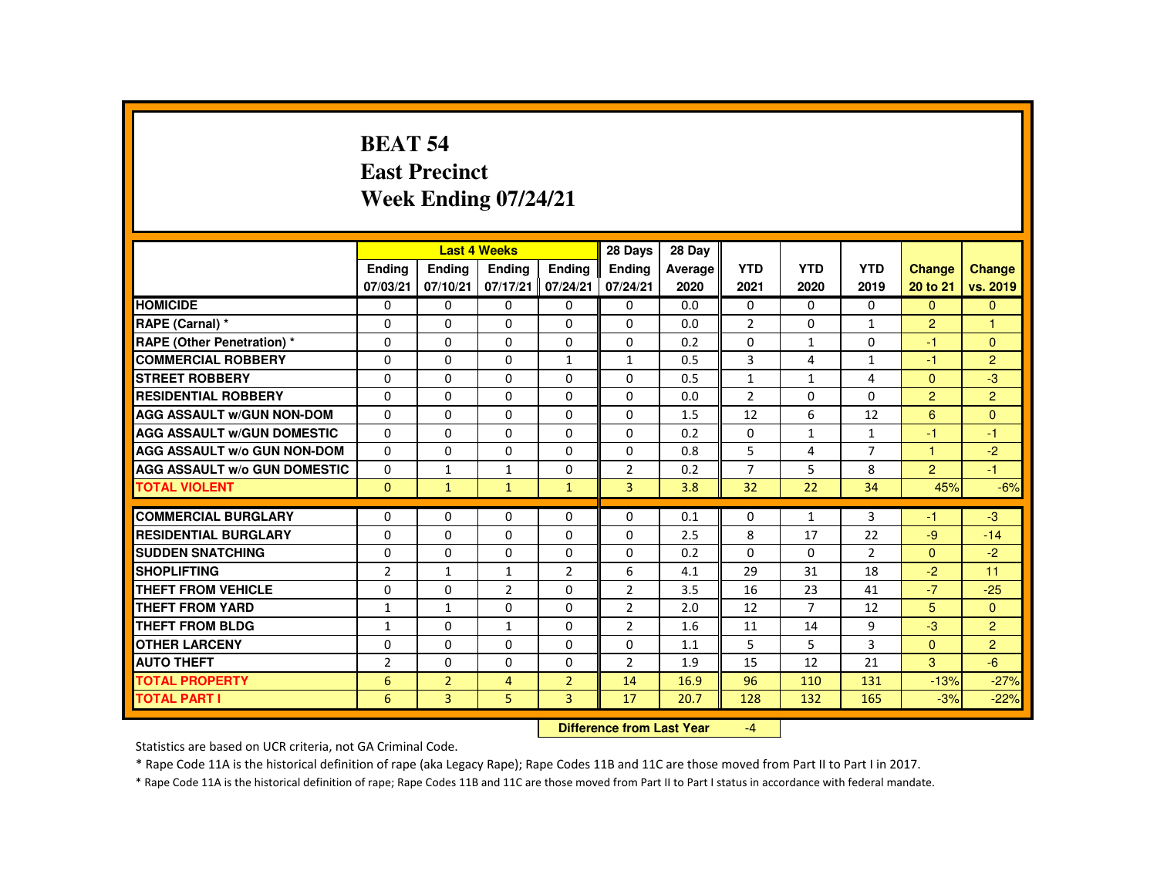#### **BEAT 54 East PrecinctWeek Ending 07/24/21**

|                                     |                |                | <b>Last 4 Weeks</b> |                | 28 Days        | 28 Dav    |                |                |                |                      |                |
|-------------------------------------|----------------|----------------|---------------------|----------------|----------------|-----------|----------------|----------------|----------------|----------------------|----------------|
|                                     | <b>Endina</b>  | <b>Endina</b>  | <b>Endina</b>       | <b>Endina</b>  | <b>Endina</b>  | Average   | <b>YTD</b>     | <b>YTD</b>     | <b>YTD</b>     | <b>Change</b>        | <b>Change</b>  |
|                                     | 07/03/21       | 07/10/21       | 07/17/21            | 07/24/21       | 07/24/21       | 2020      | 2021           | 2020           | 2019           | 20 to 21             | vs. 2019       |
| <b>HOMICIDE</b>                     | $\Omega$       | $\Omega$       | $\Omega$            | 0              | 0              | 0.0       | 0              | $\Omega$       | $\Omega$       | $\Omega$             | $\mathbf{0}$   |
| RAPE (Carnal) *                     | $\Omega$       | $\Omega$       | $\Omega$            | $\Omega$       | $\Omega$       | 0.0       | $\overline{2}$ | 0              | $\mathbf{1}$   | $\overline{2}$       | $\overline{1}$ |
| <b>RAPE (Other Penetration)</b> *   | 0              | 0              | 0                   | 0              | 0              | 0.2       | 0              | $\mathbf{1}$   | 0              | $-1$                 | $\Omega$       |
| <b>COMMERCIAL ROBBERY</b>           | $\Omega$       | $\Omega$       | $\Omega$            | $\mathbf{1}$   | $\mathbf{1}$   | 0.5       | 3              | 4              | $\mathbf{1}$   | $-1$                 | 2              |
| <b>STREET ROBBERY</b>               | $\Omega$       | $\Omega$       | $\Omega$            | $\Omega$       | $\Omega$       | 0.5       | $\mathbf{1}$   | $\mathbf{1}$   | 4              | $\Omega$             | $-3$           |
| <b>RESIDENTIAL ROBBERY</b>          | $\Omega$       | $\Omega$       | $\Omega$            | $\Omega$       | $\Omega$       | 0.0       | $\overline{2}$ | $\Omega$       | $\Omega$       | $\overline{2}$       | 2              |
| <b>AGG ASSAULT W/GUN NON-DOM</b>    | 0              | $\Omega$       | $\Omega$            | $\Omega$       | $\Omega$       | 1.5       | 12             | 6              | 12             | 6                    | $\Omega$       |
| <b>AGG ASSAULT W/GUN DOMESTIC</b>   | $\Omega$       | 0              | $\Omega$            | 0              | $\Omega$       | 0.2       | 0              | $\mathbf{1}$   | $\mathbf{1}$   | -1                   | $-1$           |
| <b>AGG ASSAULT W/o GUN NON-DOM</b>  | $\Omega$       | 0              | $\Omega$            | 0              | $\Omega$       | 0.8       | 5              | 4              | 7              | $\blacktriangleleft$ | $-2$           |
| <b>AGG ASSAULT W/o GUN DOMESTIC</b> | $\Omega$       | $\mathbf{1}$   | $\mathbf{1}$        | $\Omega$       | $\overline{2}$ | 0.2       | $\overline{7}$ | 5              | 8              | $\mathcal{P}$        | $-1$           |
| <b>TOTAL VIOLENT</b>                | $\mathbf{0}$   | $\mathbf{1}$   | $\mathbf{1}$        | $\mathbf{1}$   | 3              | 3.8       | 32             | 22             | 34             | 45%                  | $-6%$          |
| <b>COMMERCIAL BURGLARY</b>          | $\Omega$       | $\Omega$       | $\Omega$            | $\Omega$       | $\Omega$       | 0.1       | 0              | $\mathbf{1}$   | 3              | -1                   | $-3$           |
| <b>RESIDENTIAL BURGLARY</b>         | $\Omega$       | $\Omega$       | $\Omega$            | $\Omega$       | $\Omega$       | 2.5       | 8              | 17             | 22             | $-9$                 | $-14$          |
| <b>SUDDEN SNATCHING</b>             | $\Omega$       | 0              | $\Omega$            | 0              | 0              | 0.2       | $\Omega$       | $\Omega$       | $\overline{2}$ | $\mathbf{0}$         | $-2$           |
| <b>SHOPLIFTING</b>                  | $\overline{2}$ | $\mathbf{1}$   | $\mathbf{1}$        | $\overline{2}$ | 6              | 4.1       | 29             | 31             | 18             | $-2$                 | 11             |
| <b>THEFT FROM VEHICLE</b>           | 0              | 0              | $\overline{2}$      | 0              | $\overline{2}$ | 3.5       | 16             | 23             | 41             | $-7$                 | $-25$          |
| <b>THEFT FROM YARD</b>              | $\mathbf{1}$   | $\mathbf{1}$   | $\Omega$            | $\Omega$       | $\overline{2}$ | 2.0       | 12             | $\overline{7}$ | 12             | 5                    | $\Omega$       |
| <b>THEFT FROM BLDG</b>              | $\mathbf{1}$   | $\Omega$       | $\mathbf{1}$        | $\Omega$       | $\overline{2}$ | 1.6       | 11             | 14             | 9              | $-3$                 | $\overline{2}$ |
| <b>OTHER LARCENY</b>                | 0              | 0              | 0                   | 0              | 0              | 1.1       | 5              | 5              | 3              | $\Omega$             | $\overline{2}$ |
| <b>AUTO THEFT</b>                   | $\overline{2}$ | $\Omega$       | $\Omega$            | $\Omega$       | $\overline{2}$ | 1.9       | 15             | 12             | 21             | 3                    | $-6$           |
| <b>TOTAL PROPERTY</b>               | 6              | $\overline{2}$ | $\overline{4}$      | $\overline{2}$ | 14             | 16.9      | 96             | 110            | 131            | $-13%$               | $-27%$         |
| <b>TOTAL PART I</b>                 | 6              | 3              | 5                   | 3              | 17             | 20.7      | 128            | 132            | 165            | $-3%$                | $-22%$         |
|                                     |                |                |                     | <b>CARLES</b>  | .              | $-1 - -1$ |                |                |                |                      |                |

 **Difference from Last Year**-4

Statistics are based on UCR criteria, not GA Criminal Code.

\* Rape Code 11A is the historical definition of rape (aka Legacy Rape); Rape Codes 11B and 11C are those moved from Part II to Part I in 2017.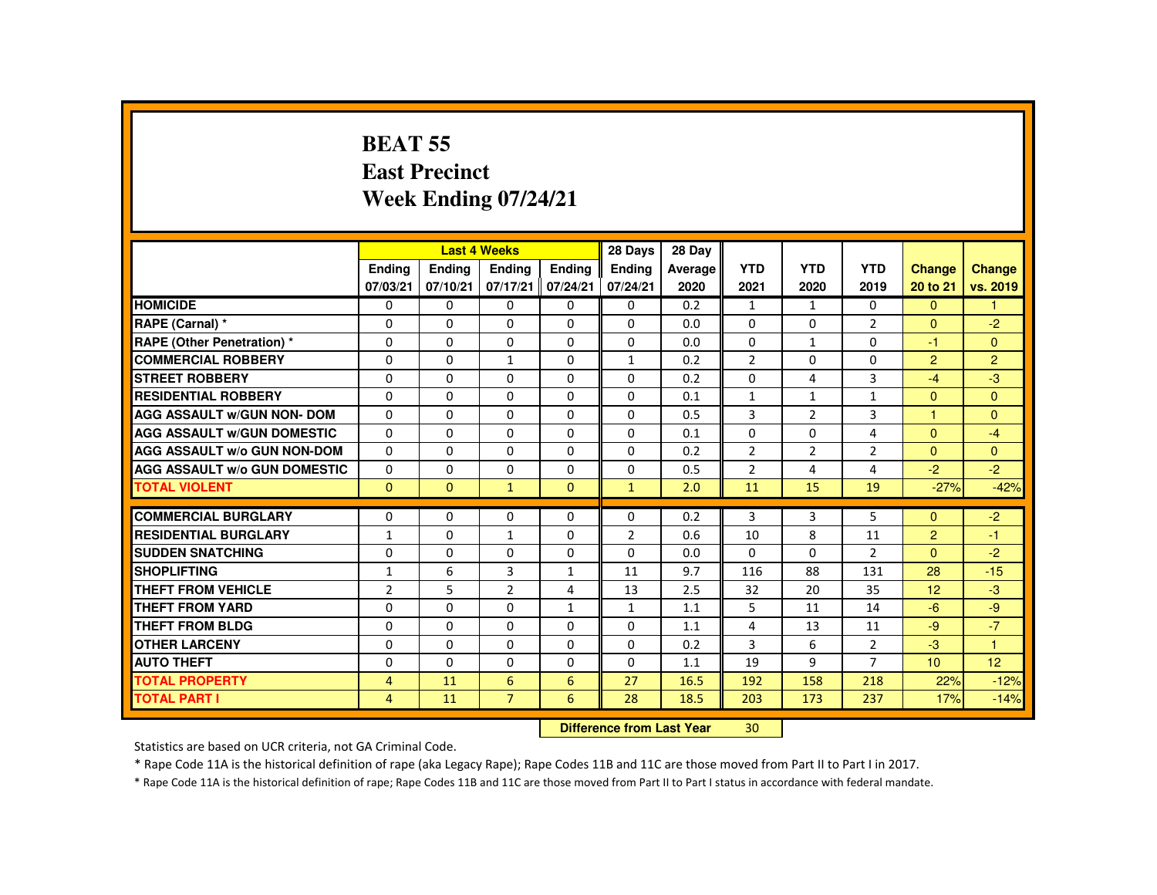#### **BEAT 55 East PrecinctWeek Ending 07/24/21**

|                                     |                |               | <b>Last 4 Weeks</b> |              | 28 Days                   | 28 Day  |                |                |                |                |                |
|-------------------------------------|----------------|---------------|---------------------|--------------|---------------------------|---------|----------------|----------------|----------------|----------------|----------------|
|                                     | <b>Ending</b>  | <b>Ending</b> | <b>Ending</b>       | Ending       | <b>Endina</b>             | Average | <b>YTD</b>     | <b>YTD</b>     | <b>YTD</b>     | <b>Change</b>  | <b>Change</b>  |
|                                     | 07/03/21       | 07/10/21      | 07/17/21            | 07/24/21     | 07/24/21                  | 2020    | 2021           | 2020           | 2019           | 20 to 21       | vs. 2019       |
| <b>HOMICIDE</b>                     | $\Omega$       | $\Omega$      | $\Omega$            | $\Omega$     | 0                         | 0.2     | $\mathbf{1}$   | $\mathbf{1}$   | $\Omega$       | $\Omega$       | 1              |
| RAPE (Carnal) *                     | 0              | $\Omega$      | $\mathbf{0}$        | $\Omega$     | 0                         | 0.0     | 0              | $\Omega$       | $\overline{2}$ | $\overline{0}$ | $-2$           |
| <b>RAPE (Other Penetration) *</b>   | $\Omega$       | $\Omega$      | $\Omega$            | $\Omega$     | 0                         | 0.0     | $\Omega$       | $\mathbf{1}$   | $\Omega$       | $-1$           | $\mathbf{0}$   |
| <b>COMMERCIAL ROBBERY</b>           | $\Omega$       | $\Omega$      | $\mathbf{1}$        | $\Omega$     | $\mathbf{1}$              | 0.2     | $\overline{2}$ | $\Omega$       | $\Omega$       | $\overline{2}$ | $\overline{2}$ |
| <b>STREET ROBBERY</b>               | $\Omega$       | $\Omega$      | $\Omega$            | $\Omega$     | $\Omega$                  | 0.2     | $\Omega$       | 4              | 3              | $-4$           | $-3$           |
| <b>RESIDENTIAL ROBBERY</b>          | 0              | $\Omega$      | $\mathbf{0}$        | 0            | 0                         | 0.1     | $\mathbf{1}$   | $\mathbf{1}$   | $\mathbf{1}$   | $\mathbf{0}$   | $\mathbf{0}$   |
| <b>AGG ASSAULT w/GUN NON- DOM</b>   | $\Omega$       | $\Omega$      | $\Omega$            | $\Omega$     | $\Omega$                  | 0.5     | 3              | 2              | $\overline{3}$ | $\overline{1}$ | $\Omega$       |
| <b>AGG ASSAULT W/GUN DOMESTIC</b>   | $\Omega$       | $\Omega$      | $\Omega$            | $\Omega$     | $\Omega$                  | 0.1     | $\Omega$       | $\Omega$       | $\overline{4}$ | $\Omega$       | $-4$           |
| <b>AGG ASSAULT w/o GUN NON-DOM</b>  | $\Omega$       | $\Omega$      | $\Omega$            | $\Omega$     | $\Omega$                  | 0.2     | $\overline{2}$ | $\overline{2}$ | $\overline{2}$ | $\Omega$       | $\mathbf{0}$   |
| <b>AGG ASSAULT w/o GUN DOMESTIC</b> | $\Omega$       | $\Omega$      | $\Omega$            | $\Omega$     | $\Omega$                  | 0.5     | $\overline{2}$ | 4              | 4              | $-2$           | $-2$           |
| <b>TOTAL VIOLENT</b>                | $\Omega$       | $\mathbf{0}$  | $\mathbf{1}$        | $\mathbf{0}$ | $\mathbf{1}$              | 2.0     | 11             | 15             | 19             | $-27%$         | $-42%$         |
| <b>COMMERCIAL BURGLARY</b>          | $\Omega$       | $\Omega$      | $\Omega$            | $\Omega$     | $\Omega$                  | 0.2     | 3              | 3              | 5              | $\Omega$       | $-2$           |
| <b>RESIDENTIAL BURGLARY</b>         | $\mathbf{1}$   | $\Omega$      | $\mathbf{1}$        | $\Omega$     | $\overline{2}$            | 0.6     | 10             | 8              | 11             | $\overline{2}$ | $-1$           |
| <b>SUDDEN SNATCHING</b>             | $\Omega$       | $\Omega$      | $\Omega$            | $\Omega$     | $\Omega$                  | 0.0     | $\Omega$       | $\Omega$       | $\overline{2}$ | $\Omega$       | $-2$           |
| <b>SHOPLIFTING</b>                  | $\mathbf{1}$   | 6             | 3                   | $\mathbf{1}$ | 11                        | 9.7     | 116            | 88             | 131            | 28             | $-15$          |
| <b>THEFT FROM VEHICLE</b>           | $\overline{2}$ | 5             | $\overline{2}$      | 4            | 13                        | 2.5     | 32             | 20             | 35             | 12             | $-3$           |
| <b>THEFT FROM YARD</b>              | $\Omega$       | $\Omega$      | $\Omega$            | $\mathbf{1}$ | $\mathbf{1}$              | 1.1     | 5              | 11             | 14             | $-6$           | $-9$           |
| <b>THEFT FROM BLDG</b>              | $\Omega$       | $\Omega$      | $\Omega$            | $\Omega$     | $\Omega$                  | 1.1     | 4              | 13             | 11             | $-9$           | $-7$           |
| <b>OTHER LARCENY</b>                | $\Omega$       | $\Omega$      | $\Omega$            | $\Omega$     | $\Omega$                  | 0.2     | $\overline{3}$ | 6              | $\overline{2}$ | $-3$           | 1              |
| <b>AUTO THEFT</b>                   | $\Omega$       | $\Omega$      | $\Omega$            | $\Omega$     | $\Omega$                  | 1.1     | 19             | 9              | $\overline{7}$ | 10             | 12             |
| <b>TOTAL PROPERTY</b>               | $\overline{4}$ | 11            | 6                   | 6            | 27                        | 16.5    | 192            | 158            | 218            | 22%            | $-12%$         |
| <b>TOTAL PART I</b>                 | 4              | 11            | $\overline{7}$      | 6            | 28                        | 18.5    | 203            | 173            | 237            | 17%            | $-14%$         |
|                                     |                |               |                     |              | Difference from Leat Vacu |         | $20^{\circ}$   |                |                |                |                |

 **Difference from Last Year**<sup>30</sup>

Statistics are based on UCR criteria, not GA Criminal Code.

\* Rape Code 11A is the historical definition of rape (aka Legacy Rape); Rape Codes 11B and 11C are those moved from Part II to Part I in 2017.